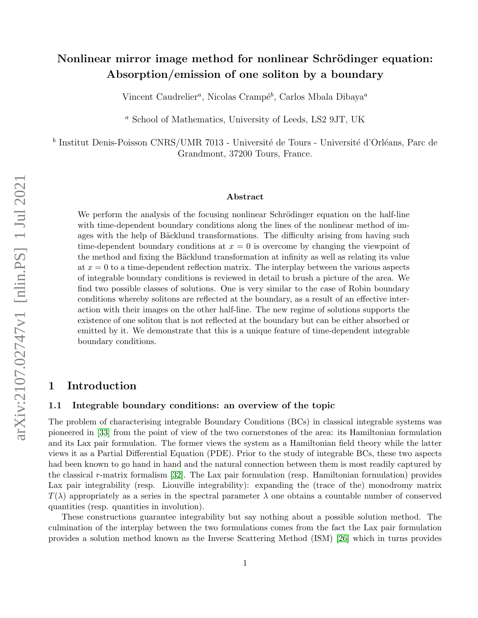# Nonlinear mirror image method for nonlinear Schrödinger equation: Absorption/emission of one soliton by a boundary

Vincent Caudrelier<sup>a</sup>, Nicolas Crampé<sup>b</sup>, Carlos Mbala Dibaya<sup>a</sup>

<sup>a</sup> School of Mathematics, University of Leeds, LS2 9JT, UK

<sup>b</sup> Institut Denis-Poisson CNRS/UMR 7013 - Université de Tours - Université d'Orléans, Parc de Grandmont, 37200 Tours, France.

#### Abstract

We perform the analysis of the focusing nonlinear Schrödinger equation on the half-line with time-dependent boundary conditions along the lines of the nonlinear method of images with the help of Bäcklund transformations. The difficulty arising from having such time-dependent boundary conditions at  $x = 0$  is overcome by changing the viewpoint of the method and fixing the Bäcklund transformation at infinity as well as relating its value at  $x = 0$  to a time-dependent reflection matrix. The interplay between the various aspects of integrable boundary conditions is reviewed in detail to brush a picture of the area. We find two possible classes of solutions. One is very similar to the case of Robin boundary conditions whereby solitons are reflected at the boundary, as a result of an effective interaction with their images on the other half-line. The new regime of solutions supports the existence of one soliton that is not reflected at the boundary but can be either absorbed or emitted by it. We demonstrate that this is a unique feature of time-dependent integrable boundary conditions.

# 1 Introduction

## 1.1 Integrable boundary conditions: an overview of the topic

The problem of characterising integrable Boundary Conditions (BCs) in classical integrable systems was pioneered in [\[33\]](#page-36-0) from the point of view of the two cornerstones of the area: its Hamiltonian formulation and its Lax pair formulation. The former views the system as a Hamiltonian field theory while the latter views it as a Partial Differential Equation (PDE). Prior to the study of integrable BCs, these two aspects had been known to go hand in hand and the natural connection between them is most readily captured by the classical r-matrix formalism  $[32]$ . The Lax pair formulation (resp. Hamiltonian formulation) provides Lax pair integrability (resp. Liouville integrability): expanding the (trace of the) monodromy matrix  $T(\lambda)$  appropriately as a series in the spectral parameter  $\lambda$  one obtains a countable number of conserved quantities (resp. quantities in involution).

These constructions guarantee integrability but say nothing about a possible solution method. The culmination of the interplay between the two formulations comes from the fact the Lax pair formulation provides a solution method known as the Inverse Scattering Method (ISM) [\[26\]](#page-36-2) which in turns provides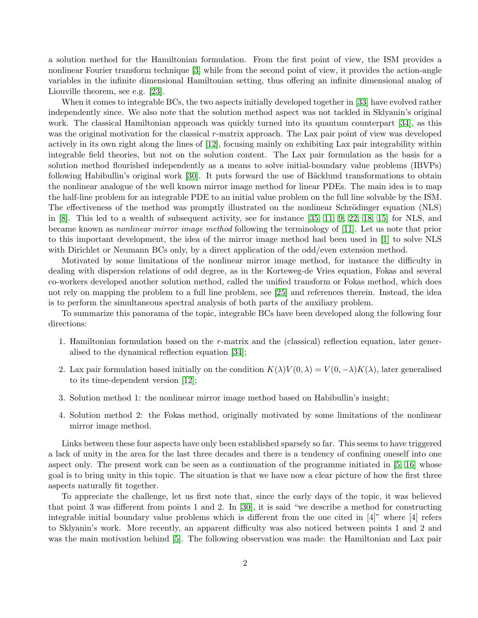a solution method for the Hamiltonian formulation. From the first point of view, the ISM provides a nonlinear Fourier transform technique [\[3\]](#page-35-0) while from the second point of view, it provides the action-angle variables in the infinite dimensional Hamiltonian setting, thus offering an infinite dimensional analog of Liouville theorem, see e.g. [\[23\]](#page-36-3).

When it comes to integrable BCs, the two aspects initially developed together in [\[33\]](#page-36-0) have evolved rather independently since. We also note that the solution method aspect was not tackled in Sklyanin's original work. The classical Hamiltonian approach was quickly turned into its quantum counterpart [\[34\]](#page-36-4), as this was the original motivation for the classical r-matrix approach. The Lax pair point of view was developed actively in its own right along the lines of [\[12\]](#page-35-1), focusing mainly on exhibiting Lax pair integrability within integrable field theories, but not on the solution content. The Lax pair formulation as the basis for a solution method flourished independently as a means to solve initial-boundary value problems (IBVPs) following Habibullin's original work [\[30\]](#page-36-5). It puts forward the use of Bäcklund transformations to obtain the nonlinear analogue of the well known mirror image method for linear PDEs. The main idea is to map the half-line problem for an integrable PDE to an initial value problem on the full line solvable by the ISM. The effectiveness of the method was promptly illustrated on the nonlinear Schrödinger equation (NLS) in [\[8\]](#page-35-2). This led to a wealth of subsequent activity, see for instance [\[35,](#page-37-0) [11,](#page-35-3) [9,](#page-35-4) [22,](#page-36-6) [18,](#page-36-7) [15\]](#page-35-5) for NLS, and became known as nonlinear mirror image method following the terminology of [\[11\]](#page-35-3). Let us note that prior to this important development, the idea of the mirror image method had been used in [\[1\]](#page-35-6) to solve NLS with Dirichlet or Neumann BCs only, by a direct application of the odd/even extension method.

Motivated by some limitations of the nonlinear mirror image method, for instance the difficulty in dealing with dispersion relations of odd degree, as in the Korteweg-de Vries equation, Fokas and several co-workers developed another solution method, called the unified transform or Fokas method, which does not rely on mapping the problem to a full line problem, see [\[25\]](#page-36-8) and references therein. Instead, the idea is to perform the simultaneous spectral analysis of both parts of the auxiliary problem.

To summarize this panorama of the topic, integrable BCs have been developed along the following four directions:

- 1. Hamiltonian formulation based on the r-matrix and the (classical) reflection equation, later generalised to the dynamical reflection equation [\[34\]](#page-36-4);
- 2. Lax pair formulation based initially on the condition  $K(\lambda)V(0, \lambda) = V(0, -\lambda)K(\lambda)$ , later generalised to its time-dependent version [\[12\]](#page-35-1);
- 3. Solution method 1: the nonlinear mirror image method based on Habibullin's insight;
- 4. Solution method 2: the Fokas method, originally motivated by some limitations of the nonlinear mirror image method.

Links between these four aspects have only been established sparsely so far. This seems to have triggered a lack of unity in the area for the last three decades and there is a tendency of confining oneself into one aspect only. The present work can be seen as a continuation of the programme initiated in [\[5,](#page-35-7) [16\]](#page-35-8) whose goal is to bring unity in this topic. The situation is that we have now a clear picture of how the first three aspects naturally fit together.

To appreciate the challenge, let us first note that, since the early days of the topic, it was believed that point 3 was different from points 1 and 2. In [\[30\]](#page-36-5), it is said "we describe a method for constructing integrable initial boundary value problems which is different from the one cited in [4]" where [4] refers to Sklyanin's work. More recently, an apparent difficulty was also noticed between points 1 and 2 and was the main motivation behind [\[5\]](#page-35-7). The following observation was made: the Hamiltonian and Lax pair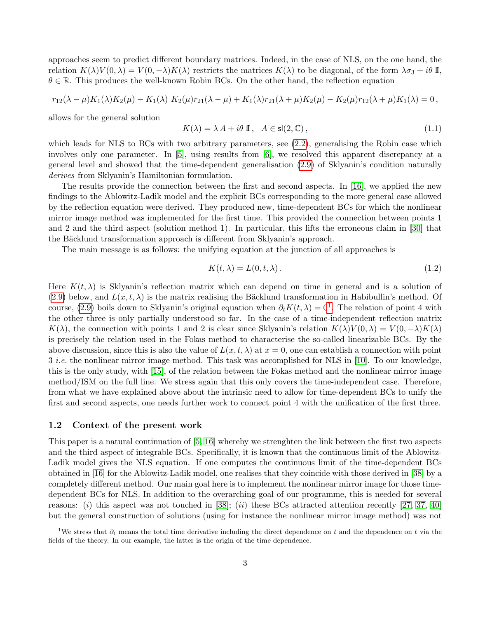approaches seem to predict different boundary matrices. Indeed, in the case of NLS, on the one hand, the relation  $K(\lambda)V(0, \lambda) = V(0, -\lambda)K(\lambda)$  restricts the matrices  $K(\lambda)$  to be diagonal, of the form  $\lambda \sigma_3 + i\theta$  II,  $\theta \in \mathbb{R}$ . This produces the well-known Robin BCs. On the other hand, the reflection equation

$$
r_{12}(\lambda - \mu)K_1(\lambda)K_2(\mu) - K_1(\lambda) K_2(\mu) r_{21}(\lambda - \mu) + K_1(\lambda) r_{21}(\lambda + \mu)K_2(\mu) - K_2(\mu) r_{12}(\lambda + \mu)K_1(\lambda) = 0,
$$

allows for the general solution

$$
K(\lambda) = \lambda A + i\theta \, \mathbb{I}, \quad A \in \mathsf{sl}(2, \mathbb{C}), \tag{1.1}
$$

which leads for NLS to BCs with two arbitrary parameters, see [\(2.2\)](#page-3-0), generalising the Robin case which involves only one parameter. In [\[5\]](#page-35-7), using results from [\[6\]](#page-35-9), we resolved this apparent discrepancy at a general level and showed that the time-dependent generalisation [\(2.9\)](#page-4-0) of Sklyanin's condition naturally derives from Sklyanin's Hamiltonian formulation.

The results provide the connection between the first and second aspects. In [\[16\]](#page-35-8), we applied the new findings to the Ablowitz-Ladik model and the explicit BCs corresponding to the more general case allowed by the reflection equation were derived. They produced new, time-dependent BCs for which the nonlinear mirror image method was implemented for the first time. This provided the connection between points 1 and 2 and the third aspect (solution method 1). In particular, this lifts the erroneous claim in [\[30\]](#page-36-5) that the Bäcklund transformation approach is different from Sklyanin's approach.

The main message is as follows: the unifying equation at the junction of all approaches is

<span id="page-2-1"></span>
$$
K(t,\lambda) = L(0,t,\lambda). \tag{1.2}
$$

Here  $K(t, \lambda)$  is Sklyanin's reflection matrix which can depend on time in general and is a solution of [\(2.9\)](#page-4-0) below, and  $L(x, t, \lambda)$  is the matrix realising the Bäcklund transformation in Habibullin's method. Of course, [\(2.9\)](#page-4-0) boils down to Sklyanin's original equation when  $\partial_t K(t, \lambda) = 0^1$  $\partial_t K(t, \lambda) = 0^1$ . The relation of point 4 with the other three is only partially understood so far. In the case of a time-independent reflection matrix  $K(\lambda)$ , the connection with points 1 and 2 is clear since Sklyanin's relation  $K(\lambda)V(0, \lambda) = V(0, -\lambda)K(\lambda)$ is precisely the relation used in the Fokas method to characterise the so-called linearizable BCs. By the above discussion, since this is also the value of  $L(x, t, \lambda)$  at  $x = 0$ , one can establish a connection with point 3 i.e. the nonlinear mirror image method. This task was accomplished for NLS in [\[10\]](#page-35-10). To our knowledge, this is the only study, with [\[15\]](#page-35-5), of the relation between the Fokas method and the nonlinear mirror image method/ISM on the full line. We stress again that this only covers the time-independent case. Therefore, from what we have explained above about the intrinsic need to allow for time-dependent BCs to unify the first and second aspects, one needs further work to connect point 4 with the unification of the first three.

### 1.2 Context of the present work

This paper is a natural continuation of [\[5,](#page-35-7) [16\]](#page-35-8) whereby we strenghten the link between the first two aspects and the third aspect of integrable BCs. Specifically, it is known that the continuous limit of the Ablowitz-Ladik model gives the NLS equation. If one computes the continuous limit of the time-dependent BCs obtained in [\[16\]](#page-35-8) for the Ablowitz-Ladik model, one realises that they coincide with those derived in [\[38\]](#page-37-1) by a completely different method. Our main goal here is to implement the nonlinear mirror image for those timedependent BCs for NLS. In addition to the overarching goal of our programme, this is needed for several reasons: (i) this aspect was not touched in [\[38\]](#page-37-1); (ii) these BCs attracted attention recently [\[27,](#page-36-9) [37,](#page-37-2) [40\]](#page-37-3) but the general construction of solutions (using for instance the nonlinear mirror image method) was not

<span id="page-2-0"></span><sup>&</sup>lt;sup>1</sup>We stress that  $\partial_t$  means the total time derivative including the direct dependence on t and the dependence on t via the fields of the theory. In our example, the latter is the origin of the time dependence.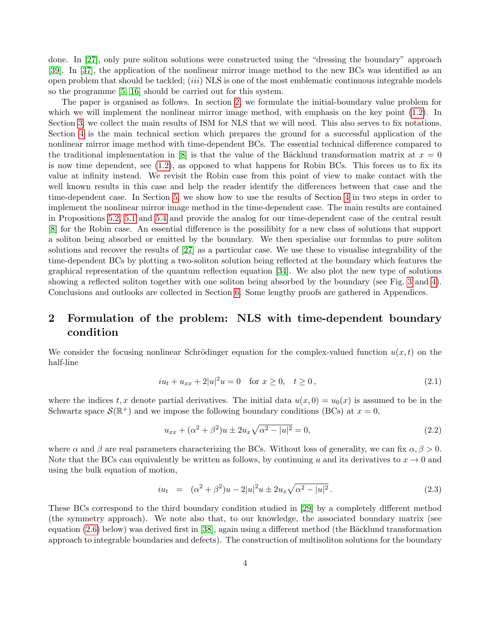done. In [\[27\]](#page-36-9), only pure soliton solutions were constructed using the "dressing the boundary" approach [\[39\]](#page-37-4). In [\[37\]](#page-37-2), the application of the nonlinear mirror image method to the new BCs was identified as an open problem that should be tackled;  $(iii) NLS$  is one of the most emblematic continuous integrable models so the programme [\[5,](#page-35-7) [16\]](#page-35-8) should be carried out for this system.

The paper is organised as follows. In section [2,](#page-3-1) we formulate the initial-boundary value problem for which we will implement the nonlinear mirror image method, with emphasis on the key point  $(1.2)$ . In Section [3,](#page-7-0) we collect the main results of ISM for NLS that we will need. This also serves to fix notations. Section [4](#page-10-0) is the main technical section which prepares the ground for a successful application of the nonlinear mirror image method with time-dependent BCs. The essential technical difference compared to the traditional implementation in [\[8\]](#page-35-2) is that the value of the Bäcklund transformation matrix at  $x = 0$ is now time dependent, see [\(1.2\)](#page-2-1), as opposed to what happens for Robin BCs. This forces us to fix its value at infinity instead. We revisit the Robin case from this point of view to make contact with the well known results in this case and help the reader identify the differences between that case and the time-dependent case. In Section [5,](#page-17-0) we show how to use the results of Section [4](#page-10-0) in two steps in order to implement the nonlinear mirror image method in the time-dependent case. The main results are contained in Propositions [5.2,](#page-20-0) [5.1](#page-19-0) and [5.4](#page-22-0) and provide the analog for our time-dependent case of the central result [\[8\]](#page-35-2) for the Robin case. An essential difference is the possilibity for a new class of solutions that support a soliton being absorbed or emitted by the boundary. We then specialise our formulas to pure soliton solutions and recover the results of [\[27\]](#page-36-9) as a particular case. We use these to visualise integrability of the time-dependent BCs by plotting a two-soliton solution being reflected at the boundary which features the graphical representation of the quantum reflection equation [\[34\]](#page-36-4). We also plot the new type of solutions showing a reflected soliton together with one soliton being absorbed by the boundary (see Fig. [3](#page-26-0) and [4\)](#page-26-1). Conclusions and outlooks are collected in Section [6.](#page-27-0) Some lengthy proofs are gathered in Appendices.

# <span id="page-3-1"></span>2 Formulation of the problem: NLS with time-dependent boundary condition

We consider the focusing nonlinear Schrödinger equation for the complex-valued function  $u(x, t)$  on the half-line

<span id="page-3-3"></span>
$$
iu_t + u_{xx} + 2|u|^2 u = 0 \quad \text{for } x \ge 0, \quad t \ge 0,
$$
\n(2.1)

where the indices t, x denote partial derivatives. The initial data  $u(x, 0) = u_0(x)$  is assumed to be in the Schwartz space  $\mathcal{S}(\mathbb{R}^+)$  and we impose the following boundary conditions (BCs) at  $x=0$ ,

<span id="page-3-0"></span>
$$
u_{xx} + (\alpha^2 + \beta^2)u \pm 2u_x \sqrt{\alpha^2 - |u|^2} = 0,
$$
\n(2.2)

where  $\alpha$  and  $\beta$  are real parameters characterizing the BCs. Without loss of generality, we can fix  $\alpha, \beta > 0$ . Note that the BCs can equivalently be written as follows, by continuing u and its derivatives to  $x \to 0$  and using the bulk equation of motion,

<span id="page-3-2"></span>
$$
iu_t = (\alpha^2 + \beta^2)u - 2|u|^2u \pm 2u_x\sqrt{\alpha^2 - |u|^2}.
$$
 (2.3)

These BCs correspond to the third boundary condition studied in [\[29\]](#page-36-10) by a completely different method (the symmetry approach). We note also that, to our knowledge, the associated boundary matrix (see equation  $(2.6)$  below) was derived first in [\[38\]](#page-37-1), again using a different method (the Bäcklund transformation approach to integrable boundaries and defects). The construction of multisoliton solutions for the boundary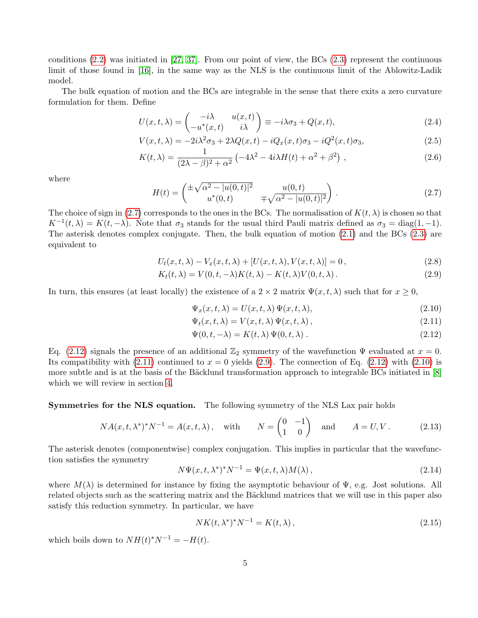conditions [\(2.2\)](#page-3-0) was initiated in [\[27,](#page-36-9) [37\]](#page-37-2). From our point of view, the BCs [\(2.3\)](#page-3-2) represent the continuous limit of those found in [\[16\]](#page-35-8), in the same way as the NLS is the continuous limit of the Ablowitz-Ladik model.

The bulk equation of motion and the BCs are integrable in the sense that there exits a zero curvature formulation for them. Define

<span id="page-4-1"></span>
$$
U(x,t,\lambda) = \begin{pmatrix} -i\lambda & u(x,t) \\ -u^*(x,t) & i\lambda \end{pmatrix} \equiv -i\lambda\sigma_3 + Q(x,t),
$$
\n(2.4)

$$
V(x,t,\lambda) = -2i\lambda^2 \sigma_3 + 2\lambda Q(x,t) - iQ_x(x,t)\sigma_3 - iQ^2(x,t)\sigma_3,
$$
\n(2.5)

$$
K(t,\lambda) = \frac{1}{(2\lambda - \beta)^2 + \alpha^2} \left( -4\lambda^2 - 4i\lambda H(t) + \alpha^2 + \beta^2 \right),
$$
\n(2.6)

where

<span id="page-4-2"></span>
$$
H(t) = \begin{pmatrix} \pm \sqrt{\alpha^2 - |u(0, t)|^2} & u(0, t) \\ u^*(0, t) & \mp \sqrt{\alpha^2 - |u(0, t)|^2} \end{pmatrix} .
$$
 (2.7)

The choice of sign in [\(2.7\)](#page-4-2) corresponds to the ones in the BCs. The normalisation of  $K(t, \lambda)$  is chosen so that  $K^{-1}(t, \lambda) = K(t, -\lambda)$ . Note that  $\sigma_3$  stands for the usual third Pauli matrix defined as  $\sigma_3 = \text{diag}(1, -1)$ . The asterisk denotes complex conjugate. Then, the bulk equation of motion [\(2.1\)](#page-3-3) and the BCs [\(2.3\)](#page-3-2) are equivalent to

<span id="page-4-0"></span>
$$
U_t(x,t,\lambda) - V_x(x,t,\lambda) + [U(x,t,\lambda), V(x,t,\lambda)] = 0, \qquad (2.8)
$$

$$
K_t(t,\lambda) = V(0,t,-\lambda)K(t,\lambda) - K(t,\lambda)V(0,t,\lambda).
$$
\n(2.9)

In turn, this ensures (at least locally) the existence of a  $2 \times 2$  matrix  $\Psi(x, t, \lambda)$  such that for  $x \geq 0$ ,

<span id="page-4-3"></span>
$$
\Psi_x(x, t, \lambda) = U(x, t, \lambda) \Psi(x, t, \lambda), \qquad (2.10)
$$

$$
\Psi_t(x, t, \lambda) = V(x, t, \lambda) \Psi(x, t, \lambda), \qquad (2.11)
$$

$$
\Psi(0, t, -\lambda) = K(t, \lambda) \Psi(0, t, \lambda) . \qquad (2.12)
$$

Eq. [\(2.12\)](#page-4-3) signals the presence of an additional  $\mathbb{Z}_2$  symmetry of the wavefunction  $\Psi$  evaluated at  $x = 0$ . Its compatibility with  $(2.11)$  continued to  $x = 0$  yields  $(2.9)$ . The connection of Eq.  $(2.12)$  with  $(2.10)$  is more subtle and is at the basis of the Bäcklund transformation approach to integrable BCs initiated in [\[8\]](#page-35-2) which we will review in section [4.](#page-10-0)

Symmetries for the NLS equation. The following symmetry of the NLS Lax pair holds

$$
NA(x, t, \lambda^*)^* N^{-1} = A(x, t, \lambda), \quad \text{with} \qquad N = \begin{pmatrix} 0 & -1 \\ 1 & 0 \end{pmatrix} \quad \text{and} \qquad A = U, V. \tag{2.13}
$$

The asterisk denotes (componentwise) complex conjugation. This implies in particular that the wavefunction satisfies the symmetry

<span id="page-4-4"></span>
$$
N\Psi(x,t,\lambda^*)^*N^{-1} = \Psi(x,t,\lambda)M(\lambda),\tag{2.14}
$$

where  $M(\lambda)$  is determined for instance by fixing the asymptotic behaviour of  $\Psi$ , e.g. Jost solutions. All related objects such as the scattering matrix and the Bäcklund matrices that we will use in this paper also satisfy this reduction symmetry. In particular, we have

$$
NK(t, \lambda^*)^*N^{-1} = K(t, \lambda), \qquad (2.15)
$$

which boils down to  $NH(t)^*N^{-1} = -H(t)$ .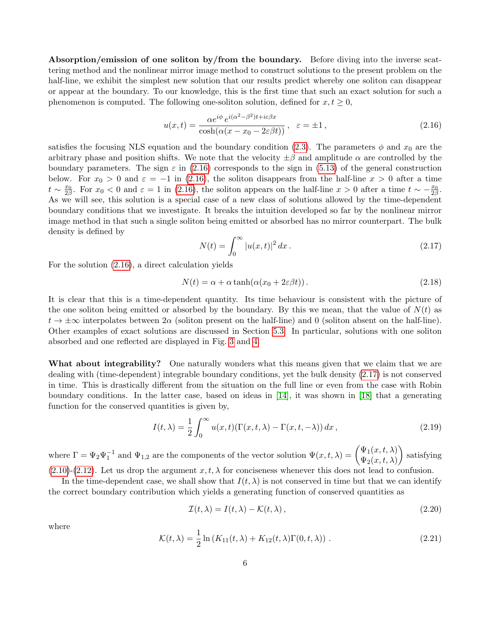Absorption/emission of one soliton by/from the boundary. Before diving into the inverse scattering method and the nonlinear mirror image method to construct solutions to the present problem on the half-line, we exhibit the simplest new solution that our results predict whereby one soliton can disappear or appear at the boundary. To our knowledge, this is the first time that such an exact solution for such a phenomenon is computed. The following one-soliton solution, defined for  $x, t \geq 0$ ,

<span id="page-5-0"></span>
$$
u(x,t) = \frac{\alpha e^{i\phi} e^{i(\alpha^2 - \beta^2)t + i\varepsilon\beta x}}{\cosh(\alpha(x - x_0 - 2\varepsilon\beta t))}, \quad \varepsilon = \pm 1,
$$
\n(2.16)

satisfies the focusing NLS equation and the boundary condition [\(2.3\)](#page-3-2). The parameters  $\phi$  and  $x_0$  are the arbitrary phase and position shifts. We note that the velocity  $\pm \beta$  and amplitude  $\alpha$  are controlled by the boundary parameters. The sign  $\varepsilon$  in [\(2.16\)](#page-5-0) corresponds to the sign in [\(5.13\)](#page-19-1) of the general construction below. For  $x_0 > 0$  and  $\varepsilon = -1$  in [\(2.16\)](#page-5-0), the soliton disappears from the half-line  $x > 0$  after a time  $t \sim \frac{x_0}{2\beta}$ . For  $x_0 < 0$  and  $\varepsilon = 1$  in [\(2.16\)](#page-5-0), the soliton appears on the half-line  $x > 0$  after a time  $t \sim -\frac{x_0}{2\beta}$ . As we will see, this solution is a special case of a new class of solutions allowed by the time-dependent boundary conditions that we investigate. It breaks the intuition developed so far by the nonlinear mirror image method in that such a single soliton being emitted or absorbed has no mirror counterpart. The bulk density is defined by

<span id="page-5-1"></span>
$$
N(t) = \int_0^\infty |u(x, t)|^2 dx.
$$
 (2.17)

For the solution [\(2.16\)](#page-5-0), a direct calculation yields

<span id="page-5-3"></span>
$$
N(t) = \alpha + \alpha \tanh(\alpha(x_0 + 2\varepsilon\beta t)).
$$
\n(2.18)

It is clear that this is a time-dependent quantity. Its time behaviour is consistent with the picture of the one soliton being emitted or absorbed by the boundary. By this we mean, that the value of  $N(t)$  as  $t \to \pm \infty$  interpolates between  $2\alpha$  (soliton present on the half-line) and 0 (soliton absent on the half-line). Other examples of exact solutions are discussed in Section [5.3.](#page-24-0) In particular, solutions with one soliton absorbed and one reflected are displayed in Fig. [3](#page-26-0) and [4.](#page-26-1)

What about integrability? One naturally wonders what this means given that we claim that we are dealing with (time-dependent) integrable boundary conditions, yet the bulk density [\(2.17\)](#page-5-1) is not conserved in time. This is drastically different from the situation on the full line or even from the case with Robin boundary conditions. In the latter case, based on ideas in [\[14\]](#page-35-11), it was shown in [\[18\]](#page-36-7) that a generating function for the conserved quantities is given by,

$$
I(t,\lambda) = \frac{1}{2} \int_0^\infty u(x,t) (\Gamma(x,t,\lambda) - \Gamma(x,t,-\lambda)) dx , \qquad (2.19)
$$

where  $\Gamma = \Psi_2 \Psi_1^{-1}$  and  $\Psi_{1,2}$  are the components of the vector solution  $\Psi(x,t,\lambda) = \begin{pmatrix} \Psi_1(x,t,\lambda) \\ \Psi_2(x,t,\lambda) \end{pmatrix}$  $\Psi_2(x,t,\lambda)$  satisfying  $(2.10)-(2.12)$  $(2.10)-(2.12)$  $(2.10)-(2.12)$ . Let us drop the argument  $x, t, \lambda$  for conciseness whenever this does not lead to confusion.

In the time-dependent case, we shall show that  $I(t, \lambda)$  is not conserved in time but that we can identify the correct boundary contribution which yields a generating function of conserved quantities as

$$
\mathcal{I}(t,\lambda) = I(t,\lambda) - \mathcal{K}(t,\lambda),\tag{2.20}
$$

where

<span id="page-5-2"></span>
$$
\mathcal{K}(t,\lambda) = \frac{1}{2}\ln(K_{11}(t,\lambda) + K_{12}(t,\lambda)\Gamma(0,t,\lambda))\,. \tag{2.21}
$$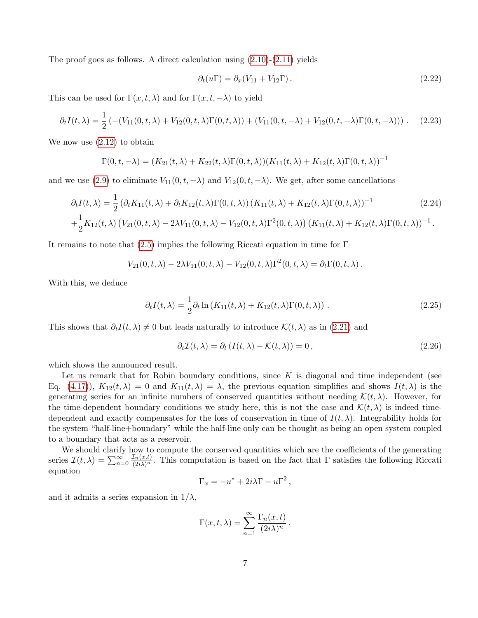The proof goes as follows. A direct calculation using  $(2.10)-(2.11)$  $(2.10)-(2.11)$  yields

$$
\partial_t(u\Gamma) = \partial_x(V_{11} + V_{12}\Gamma). \tag{2.22}
$$

This can be used for  $\Gamma(x, t, \lambda)$  and for  $\Gamma(x, t, -\lambda)$  to yield

$$
\partial_t I(t,\lambda) = \frac{1}{2} \left( -(V_{11}(0,t,\lambda) + V_{12}(0,t,\lambda) \Gamma(0,t,\lambda)) + (V_{11}(0,t,-\lambda) + V_{12}(0,t,-\lambda) \Gamma(0,t,-\lambda)) \right). \tag{2.23}
$$

We now use  $(2.12)$  to obtain

$$
\Gamma(0, t, -\lambda) = (K_{21}(t, \lambda) + K_{22}(t, \lambda)\Gamma(0, t, \lambda))(K_{11}(t, \lambda) + K_{12}(t, \lambda)\Gamma(0, t, \lambda))^{-1}
$$

and we use [\(2.9\)](#page-4-0) to eliminate  $V_{11}(0, t, -\lambda)$  and  $V_{12}(0, t, -\lambda)$ . We get, after some cancellations

$$
\partial_t I(t,\lambda) = \frac{1}{2} \left( \partial_t K_{11}(t,\lambda) + \partial_t K_{12}(t,\lambda) \Gamma(0,t,\lambda) \right) (K_{11}(t,\lambda) + K_{12}(t,\lambda) \Gamma(0,t,\lambda))^{-1}
$$
\n
$$
+ \frac{1}{2} K_{12}(t,\lambda) \left( V_{21}(0,t,\lambda) - 2\lambda V_{11}(0,t,\lambda) - V_{12}(0,t,\lambda) \Gamma^2(0,t,\lambda) \right) (K_{11}(t,\lambda) + K_{12}(t,\lambda) \Gamma(0,t,\lambda))^{-1}.
$$
\n(2.24)

It remains to note that [\(2.5\)](#page-4-1) implies the following Riccati equation in time for  $\Gamma$ 

$$
V_{21}(0, t, \lambda) - 2\lambda V_{11}(0, t, \lambda) - V_{12}(0, t, \lambda) \Gamma^2(0, t, \lambda) = \partial_t \Gamma(0, t, \lambda).
$$

With this, we deduce

$$
\partial_t I(t,\lambda) = \frac{1}{2} \partial_t \ln \left( K_{11}(t,\lambda) + K_{12}(t,\lambda) \Gamma(0,t,\lambda) \right) \,. \tag{2.25}
$$

This shows that  $\partial_t I(t, \lambda) \neq 0$  but leads naturally to introduce  $\mathcal{K}(t, \lambda)$  as in [\(2.21\)](#page-5-2) and

<span id="page-6-0"></span>
$$
\partial_t \mathcal{I}(t, \lambda) = \partial_t \left( I(t, \lambda) - \mathcal{K}(t, \lambda) \right) = 0, \qquad (2.26)
$$

which shows the announced result.

Let us remark that for Robin boundary conditions, since  $K$  is diagonal and time independent (see Eq. [\(4.17\)](#page-15-0)),  $K_{12}(t,\lambda) = 0$  and  $K_{11}(t,\lambda) = \lambda$ , the previous equation simplifies and shows  $I(t,\lambda)$  is the generating series for an infinite numbers of conserved quantities without needing  $\mathcal{K}(t, \lambda)$ . However, for the time-dependent boundary conditions we study here, this is not the case and  $\mathcal{K}(t,\lambda)$  is indeed timedependent and exactly compensates for the loss of conservation in time of  $I(t, \lambda)$ . Integrability holds for the system "half-line+boundary" while the half-line only can be thought as being an open system coupled to a boundary that acts as a reservoir.

We should clarify how to compute the conserved quantities which are the coefficients of the generating series  $\mathcal{I}(t,\lambda) = \sum_{n=0}^{\infty}$  $\frac{\mathcal{I}_n(x,t)}{(2i\lambda)^n}$ . This computation is based on the fact that  $\Gamma$  satisfies the following Riccati equation

$$
\Gamma_x = -u^* + 2i\lambda\Gamma - u\Gamma^2,
$$

and it admits a series expansion in  $1/\lambda$ ,

$$
\Gamma(x, t, \lambda) = \sum_{n=1}^{\infty} \frac{\Gamma_n(x, t)}{(2i\lambda)^n}.
$$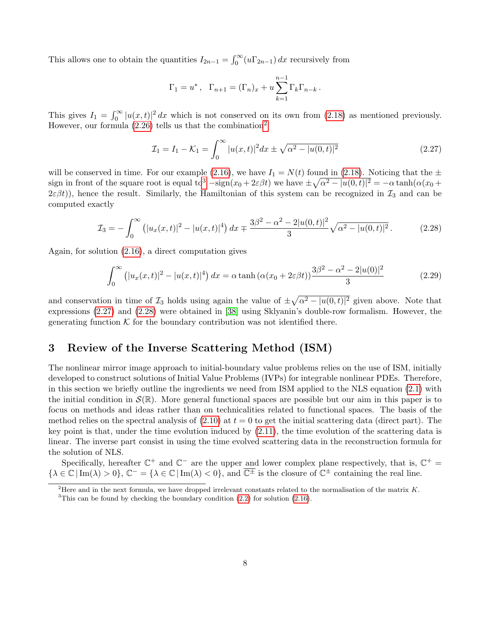This allows one to obtain the quantities  $I_{2n-1} = \int_0^\infty (u\Gamma_{2n-1}) dx$  recursively from

$$
\Gamma_1 = u^*, \quad \Gamma_{n+1} = (\Gamma_n)_x + u \sum_{k=1}^{n-1} \Gamma_k \Gamma_{n-k}.
$$

This gives  $I_1 = \int_0^\infty |u(x,t)|^2 dx$  which is not conserved on its own from [\(2.18\)](#page-5-3) as mentioned previously. However, our formula  $(2.26)$  $(2.26)$  $(2.26)$  tells us that the combination<sup>2</sup>

<span id="page-7-3"></span>
$$
\mathcal{I}_1 = I_1 - \mathcal{K}_1 = \int_0^\infty |u(x, t)|^2 dx \pm \sqrt{\alpha^2 - |u(0, t)|^2}
$$
\n(2.27)

will be conserved in time. For our example [\(2.16\)](#page-5-0), we have  $I_1 = N(t)$  found in [\(2.18\)](#page-5-3). Noticing that the  $\pm$ sign in front of the square root is equal to<sup>[3](#page-7-2)</sup>  $-\text{sign}(x_0+2\varepsilon\beta t)$  we have  $\pm\sqrt{\alpha^2-|u(0,t)|^2}=-\alpha\tanh(\alpha(x_0+t))$  $2\varepsilon\beta t$ ), hence the result. Similarly, the Hamiltonian of this system can be recognized in  $\mathcal{I}_3$  and can be computed exactly

<span id="page-7-4"></span>
$$
\mathcal{I}_3 = -\int_0^\infty \left( |u_x(x,t)|^2 - |u(x,t)|^4 \right) dx \mp \frac{3\beta^2 - \alpha^2 - 2|u(0,t)|^2}{3} \sqrt{\alpha^2 - |u(0,t)|^2} \,. \tag{2.28}
$$

Again, for solution [\(2.16\)](#page-5-0), a direct computation gives

$$
\int_0^\infty \left( |u_x(x,t)|^2 - |u(x,t)|^4 \right) dx = \alpha \tanh\left( \alpha (x_0 + 2\varepsilon \beta t) \right) \frac{3\beta^2 - \alpha^2 - 2|u(0)|^2}{3} \tag{2.29}
$$

and conservation in time of  $\mathcal{I}_3$  holds using again the value of  $\pm \sqrt{\alpha^2 - |u(0,t)|^2}$  given above. Note that expressions [\(2.27\)](#page-7-3) and [\(2.28\)](#page-7-4) were obtained in [\[38\]](#page-37-1) using Sklyanin's double-row formalism. However, the generating function  $K$  for the boundary contribution was not identified there.

# <span id="page-7-0"></span>3 Review of the Inverse Scattering Method (ISM)

The nonlinear mirror image approach to initial-boundary value problems relies on the use of ISM, initially developed to construct solutions of Initial Value Problems (IVPs) for integrable nonlinear PDEs. Therefore, in this section we briefly outline the ingredients we need from ISM applied to the NLS equation [\(2.1\)](#page-3-3) with the initial condition in  $\mathcal{S}(\mathbb{R})$ . More general functional spaces are possible but our aim in this paper is to focus on methods and ideas rather than on technicalities related to functional spaces. The basis of the method relies on the spectral analysis of  $(2.10)$  at  $t = 0$  to get the initial scattering data (direct part). The key point is that, under the time evolution induced by  $(2.11)$ , the time evolution of the scattering data is linear. The inverse part consist in using the time evolved scattering data in the reconstruction formula for the solution of NLS.

Specifically, hereafter  $\mathbb{C}^+$  and  $\mathbb{C}^-$  are the upper and lower complex plane respectively, that is,  $\mathbb{C}^+$  =  $\{\lambda \in \mathbb{C} \mid \text{Im}(\lambda) > 0\}, \mathbb{C}^- = \{\lambda \in \mathbb{C} \mid \text{Im}(\lambda) < 0\}, \text{ and } \overline{\mathbb{C}^{\pm}} \text{ is the closure of } \mathbb{C}^{\pm} \text{ containing the real line.}$ 

<span id="page-7-1"></span><sup>&</sup>lt;sup>2</sup>Here and in the next formula, we have dropped irrelevant constants related to the normalisation of the matrix  $K$ .

<span id="page-7-2"></span> $3$ This can be found by checking the boundary condition  $(2.2)$  for solution  $(2.16)$ .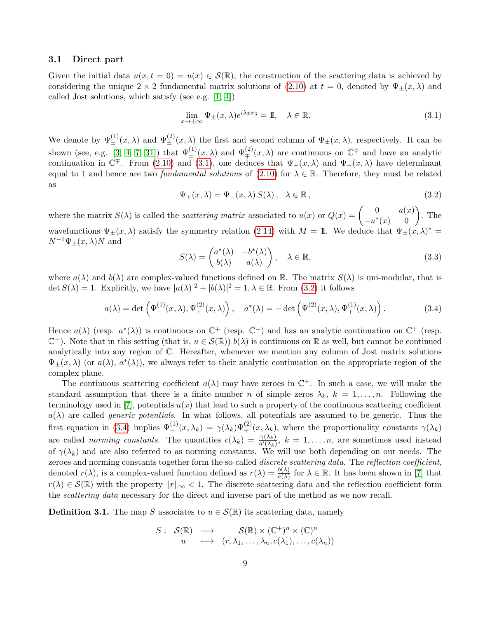## 3.1 Direct part

Given the initial data  $u(x, t = 0) = u(x) \in \mathcal{S}(\mathbb{R})$ , the construction of the scattering data is achieved by considering the unique  $2 \times 2$  fundamental matrix solutions of [\(2.10\)](#page-4-3) at  $t = 0$ , denoted by  $\Psi_{+}(x, \lambda)$  and called Jost solutions, which satisfy (see e.g. [\[1,](#page-35-6) [4\]](#page-35-12))

<span id="page-8-0"></span>
$$
\lim_{x \to \pm \infty} \Psi_{\pm}(x, \lambda) e^{i\lambda x \sigma_3} = \mathbb{I}, \quad \lambda \in \mathbb{R}.
$$
\n(3.1)

We denote by  $\Psi_{\pm}^{(1)}(x,\lambda)$  and  $\Psi_{\pm}^{(2)}(x,\lambda)$  the first and second column of  $\Psi_{\pm}(x,\lambda)$ , respectively. It can be shown (see, e.g. [\[3,](#page-35-0) [4,](#page-35-12) [7,](#page-35-13) [31\]](#page-36-11)) that  $\Psi_{\pm}^{(1)}(x,\lambda)$  and  $\Psi_{\mp}^{(2)}(x,\lambda)$  are continuous on  $\overline{\mathbb{C}^{\mp}}$  and have an analytic continuation in  $\mathbb{C}^{\mp}$ . From [\(2.10\)](#page-4-3) and [\(3.1\)](#page-8-0), one deduces that  $\Psi_{+}(x,\lambda)$  and  $\Psi_{-}(x,\lambda)$  have determinant equal to 1 and hence are two *fundamental solutions* of [\(2.10\)](#page-4-3) for  $\lambda \in \mathbb{R}$ . Therefore, they must be related as

<span id="page-8-1"></span>
$$
\Psi_{+}(x,\lambda) = \Psi_{-}(x,\lambda) S(\lambda), \quad \lambda \in \mathbb{R}, \tag{3.2}
$$

where the matrix  $S(\lambda)$  is called the *scattering matrix* associated to  $u(x)$  or  $Q(x) = \begin{pmatrix} 0 & u(x) \\ -\frac{1}{2}(x) & 0 \end{pmatrix}$  $\begin{pmatrix} 0 & u(x) \\ -u^*(x) & 0 \end{pmatrix}$ . The wavefunctions  $\Psi_{\pm}(x,\lambda)$  satisfy the symmetry relation [\(2.14\)](#page-4-4) with  $M = \mathbb{I}$ . We deduce that  $\Psi_{\pm}(x,\lambda)^* =$  $N^{-1}\Psi_+(x,\lambda)N$  and

$$
S(\lambda) = \begin{pmatrix} a^*(\lambda) & -b^*(\lambda) \\ b(\lambda) & a(\lambda) \end{pmatrix}, \quad \lambda \in \mathbb{R},
$$
\n(3.3)

where  $a(\lambda)$  and  $b(\lambda)$  are complex-valued functions defined on R. The matrix  $S(\lambda)$  is uni-modular, that is det  $S(\lambda) = 1$ . Explicitly, we have  $|a(\lambda)|^2 + |b(\lambda)|^2 = 1, \lambda \in \mathbb{R}$ . From [\(3.2\)](#page-8-1) it follows

<span id="page-8-2"></span>
$$
a(\lambda) = \det \left( \Psi_{-}^{(1)}(x,\lambda), \Psi_{+}^{(2)}(x,\lambda) \right), \quad a^*(\lambda) = -\det \left( \Psi_{-}^{(2)}(x,\lambda), \Psi_{+}^{(1)}(x,\lambda) \right). \tag{3.4}
$$

Hence  $a(\lambda)$  (resp.  $a^*(\lambda)$ ) is continuous on  $\overline{\mathbb{C}^+}$  (resp.  $\overline{\mathbb{C}^-}$ ) and has an analytic continuation on  $\mathbb{C}^+$  (resp.  $\mathbb{C}^-$ ). Note that in this setting (that is,  $u \in \mathcal{S}(\mathbb{R})$ )  $b(\lambda)$  is continuous on  $\mathbb R$  as well, but cannot be continued analytically into any region of C. Hereafter, whenever we mention any column of Jost matrix solutions  $\Psi_{\pm}(x,\lambda)$  (or  $a(\lambda), a^*(\lambda)$ ), we always refer to their analytic continuation on the appropriate region of the complex plane.

The continuous scattering coefficient  $a(\lambda)$  may have zeroes in  $\mathbb{C}^+$ . In such a case, we will make the standard assumption that there is a finite number n of simple zeros  $\lambda_k$ ,  $k = 1, \ldots, n$ . Following the terminology used in [\[7\]](#page-35-13), potentials  $u(x)$  that lead to such a property of the continuous scattering coefficient  $a(\lambda)$  are called *generic potentials*. In what follows, all potentials are assumed to be generic. Thus the first equation in [\(3.4\)](#page-8-2) implies  $\Psi_{-}^{(1)}(x,\lambda_k) = \gamma(\lambda_k) \Psi_{+}^{(2)}(x,\lambda_k)$ , where the proportionality constants  $\gamma(\lambda_k)$ are called *norming constants*. The quantities  $c(\lambda_k) = \frac{\gamma(\lambda_k)}{a'(\lambda_k)}$ ,  $k = 1, \ldots, n$ , are sometimes used instead of  $\gamma(\lambda_k)$  and are also referred to as norming constants. We will use both depending on our needs. The zeroes and norming constants together form the so-called discrete scattering data. The reflection coefficient, denoted  $r(\lambda)$ , is a complex-valued function defined as  $r(\lambda) = \frac{b(\lambda)}{a(\lambda)}$  for  $\lambda \in \mathbb{R}$ . It has been shown in [\[7\]](#page-35-13) that  $r(\lambda) \in \mathcal{S}(\mathbb{R})$  with the property  $||r||_{\infty} < 1$ . The discrete scattering data and the reflection coefficient form the *scattering data* necessary for the direct and inverse part of the method as we now recall.

**Definition 3.1.** The map S associates to  $u \in \mathcal{S}(\mathbb{R})$  its scattering data, namely

$$
S: S(\mathbb{R}) \longrightarrow S(\mathbb{R}) \times (\mathbb{C}^+)^n \times (\mathbb{C})^n
$$
  
 
$$
u \longmapsto (r, \lambda_1, \dots, \lambda_n, c(\lambda_1), \dots, c(\lambda_n))
$$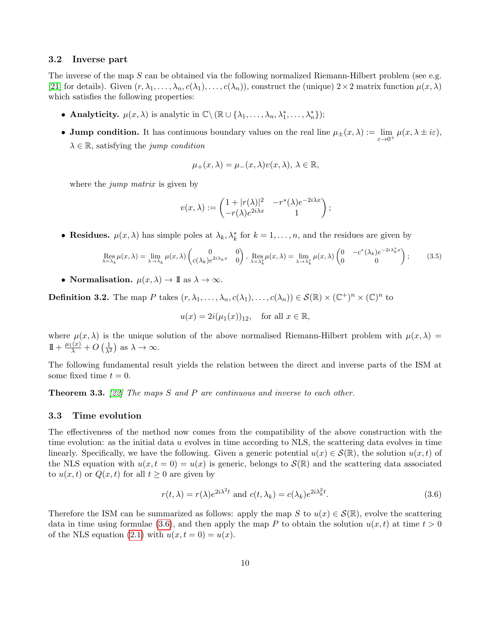### 3.2 Inverse part

The inverse of the map  $S$  can be obtained via the following normalized Riemann-Hilbert problem (see e.g. [\[21\]](#page-36-12) for details). Given  $(r, \lambda_1, \ldots, \lambda_n, c(\lambda_1), \ldots, c(\lambda_n))$ , construct the (unique)  $2 \times 2$  matrix function  $\mu(x, \lambda)$ which satisfies the following properties:

- Analyticity.  $\mu(x, \lambda)$  is analytic in  $\mathbb{C}\setminus (\mathbb{R}\cup \{\lambda_1, \ldots, \lambda_n, \lambda_1^*, \ldots, \lambda_n^*\});$
- Jump condition. It has continuous boundary values on the real line  $\mu_{\pm}(x,\lambda) := \lim_{\varepsilon \to 0^+} \mu(x,\lambda \pm i\varepsilon)$ ,  $\lambda \in \mathbb{R}$ , satisfying the jump condition

$$
\mu_+(x,\lambda) = \mu_-(x,\lambda)v(x,\lambda), \lambda \in \mathbb{R},
$$

where the *jump matrix* is given by

$$
v(x,\lambda) := \begin{pmatrix} 1+|r(\lambda)|^2 & -r^*(\lambda)e^{-2i\lambda x} \\ -r(\lambda)e^{2i\lambda x} & 1 \end{pmatrix};
$$

• Residues.  $\mu(x, \lambda)$  has simple poles at  $\lambda_k, \lambda_k^*$  for  $k = 1, \ldots, n$ , and the residues are given by

$$
\operatorname{Res}_{\lambda=\lambda_k} \mu(x,\lambda) = \lim_{\lambda \to \lambda_k} \mu(x,\lambda) \begin{pmatrix} 0 & 0 \\ c(\lambda_k) e^{2i\lambda_k x} & 0 \end{pmatrix}, \operatorname{Res}_{\lambda=\lambda_k^*} \mu(x,\lambda) = \lim_{\lambda \to \lambda_k^*} \mu(x,\lambda) \begin{pmatrix} 0 & -c^*(\lambda_k) e^{-2i\lambda_k^* x} \\ 0 & 0 \end{pmatrix};
$$
(3.5)

• Normalisation.  $\mu(x, \lambda) \to \mathbb{I}$  as  $\lambda \to \infty$ .

**Definition 3.2.** The map P takes  $(r, \lambda_1, ..., \lambda_n, c(\lambda_1), ..., c(\lambda_n)) \in \mathcal{S}(\mathbb{R}) \times (\mathbb{C}^+)^n \times (\mathbb{C})^n$  to

$$
u(x) = 2i(\mu_1(x))_{12}, \quad \text{for all } x \in \mathbb{R},
$$

where  $\mu(x, \lambda)$  is the unique solution of the above normalised Riemann-Hilbert problem with  $\mu(x, \lambda)$  =  $1 + \frac{\mu_1(x)}{\lambda} + O\left(\frac{1}{\lambda^2}\right)$  as  $\lambda \to \infty$ .

The following fundamental result yields the relation between the direct and inverse parts of the ISM at some fixed time  $t = 0$ .

**Theorem 3.3.** [\[22\]](#page-36-6) The maps S and P are continuous and inverse to each other.

### 3.3 Time evolution

The effectiveness of the method now comes from the compatibility of the above construction with the time evolution: as the initial data  $u$  evolves in time according to NLS, the scattering data evolves in time linearly. Specifically, we have the following. Given a generic potential  $u(x) \in \mathcal{S}(\mathbb{R})$ , the solution  $u(x, t)$  of the NLS equation with  $u(x, t = 0) = u(x)$  is generic, belongs to  $\mathcal{S}(\mathbb{R})$  and the scattering data associated to  $u(x, t)$  or  $Q(x, t)$  for all  $t \geq 0$  are given by

<span id="page-9-0"></span>
$$
r(t,\lambda) = r(\lambda)e^{2i\lambda^2t} \text{ and } c(t,\lambda_k) = c(\lambda_k)e^{2i\lambda_k^2t}.
$$
 (3.6)

Therefore the ISM can be summarized as follows: apply the map S to  $u(x) \in S(\mathbb{R})$ , evolve the scattering data in time using formulae [\(3.6\)](#page-9-0), and then apply the map P to obtain the solution  $u(x, t)$  at time  $t > 0$ of the NLS equation [\(2.1\)](#page-3-3) with  $u(x,t=0) = u(x)$ .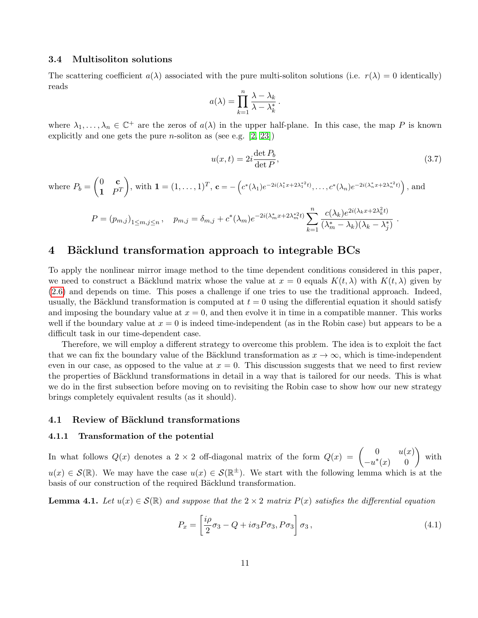### <span id="page-10-3"></span>3.4 Multisoliton solutions

The scattering coefficient  $a(\lambda)$  associated with the pure multi-soliton solutions (i.e.  $r(\lambda) = 0$  identically) reads

$$
a(\lambda) = \prod_{k=1}^{n} \frac{\lambda - \lambda_k}{\lambda - \lambda_k^*}.
$$

where  $\lambda_1,\ldots,\lambda_n\in\mathbb{C}^+$  are the zeros of  $a(\lambda)$  in the upper half-plane. In this case, the map P is known explicitly and one gets the pure *n*-soliton as (see e.g.  $[2, 23]$  $[2, 23]$ )

$$
u(x,t) = 2i \frac{\det P_b}{\det P},
$$
\n(3.7)

where 
$$
P_b = \begin{pmatrix} 0 & \mathbf{c} \\ \mathbf{1} & P^T \end{pmatrix}
$$
, with  $\mathbf{1} = (1, ..., 1)^T$ ,  $\mathbf{c} = -\left( c^*(\lambda_1) e^{-2i(\lambda_1^* x + 2\lambda_1^{*2}t)}, ..., c^*(\lambda_n) e^{-2i(\lambda_n^* x + 2\lambda_n^{*2}t)} \right)$ , and  
\n
$$
P = (p_{m,j})_{1 \le m,j \le n}, \quad p_{m,j} = \delta_{m,j} + c^*(\lambda_m) e^{-2i(\lambda_m^* x + 2\lambda_m^{*2}t)} \sum_{k=1}^n \frac{c(\lambda_k) e^{2i(\lambda_k x + 2\lambda_k^2 t)}}{(\lambda_m^* - \lambda_k)(\lambda_k - \lambda_j^*)}.
$$

# <span id="page-10-0"></span>4 Bäcklund transformation approach to integrable BCs

To apply the nonlinear mirror image method to the time dependent conditions considered in this paper, we need to construct a Bäcklund matrix whose the value at  $x = 0$  equals  $K(t, \lambda)$  with  $K(t, \lambda)$  given by [\(2.6\)](#page-4-1) and depends on time. This poses a challenge if one tries to use the traditional approach. Indeed, usually, the Bäcklund transformation is computed at  $t = 0$  using the differential equation it should satisfy and imposing the boundary value at  $x = 0$ , and then evolve it in time in a compatible manner. This works well if the boundary value at  $x = 0$  is indeed time-independent (as in the Robin case) but appears to be a difficult task in our time-dependent case.

Therefore, we will employ a different strategy to overcome this problem. The idea is to exploit the fact that we can fix the boundary value of the Bäcklund transformation as  $x \to \infty$ , which is time-independent even in our case, as opposed to the value at  $x = 0$ . This discussion suggests that we need to first review the properties of Bäcklund transformations in detail in a way that is tailored for our needs. This is what we do in the first subsection before moving on to revisiting the Robin case to show how our new strategy brings completely equivalent results (as it should).

#### 4.1 Review of Bäcklund transformations

#### 4.1.1 Transformation of the potential

In what follows  $Q(x)$  denotes a 2 × 2 off-diagonal matrix of the form  $Q(x) = \begin{pmatrix} 0 & u(x) \\ u(x) & 0 \end{pmatrix}$  $\begin{pmatrix} 0 & u(x) \\ -u^*(x) & 0 \end{pmatrix}$  with  $u(x) \in \mathcal{S}(\mathbb{R})$ . We may have the case  $u(x) \in \mathcal{S}(\mathbb{R}^{\pm})$ . We start with the following lemma which is at the basis of our construction of the required Bäcklund transformation.

<span id="page-10-2"></span>**Lemma 4.1.** Let  $u(x) \in \mathcal{S}(\mathbb{R})$  and suppose that the  $2 \times 2$  matrix  $P(x)$  satisfies the differential equation

<span id="page-10-1"></span>
$$
P_x = \left[\frac{i\rho}{2}\sigma_3 - Q + i\sigma_3 P \sigma_3, P \sigma_3\right] \sigma_3, \qquad (4.1)
$$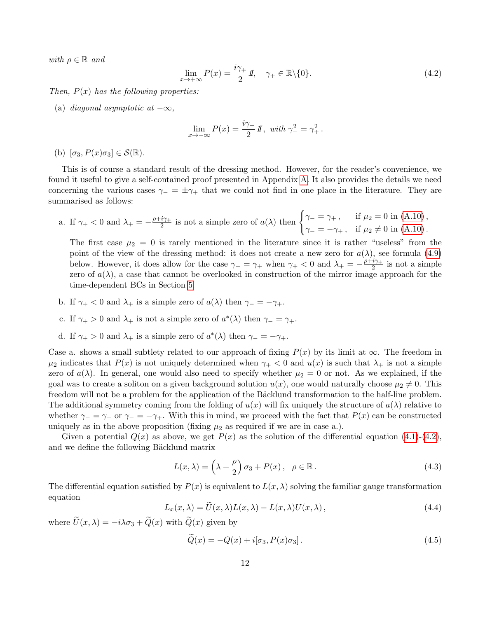with  $\rho \in \mathbb{R}$  and

<span id="page-11-0"></span>
$$
\lim_{x \to +\infty} P(x) = \frac{i\gamma_+}{2} I\!\!I, \quad \gamma_+ \in \mathbb{R} \setminus \{0\}. \tag{4.2}
$$

Then,  $P(x)$  has the following properties:

(a) diagonal asymptotic at  $-\infty$ ,

$$
\lim_{x \to -\infty} P(x) = \frac{i\gamma_-}{2} I\!\!I, \text{ with } \gamma_-^2 = \gamma_+^2.
$$

(b)  $[\sigma_3, P(x)\sigma_3] \in \mathcal{S}(\mathbb{R})$ .

This is of course a standard result of the dressing method. However, for the reader's convenience, we found it useful to give a self-contained proof presented in Appendix [A.](#page-28-0) It also provides the details we need concerning the various cases  $\gamma = \pm \gamma_+$  that we could not find in one place in the literature. They are summarised as follows:

a. If 
$$
\gamma_+ < 0
$$
 and  $\lambda_+ = -\frac{\rho + i\gamma_+}{2}$  is not a simple zero of  $a(\lambda)$  then  $\begin{cases} \gamma_- = \gamma_+ , & \text{if } \mu_2 = 0 \text{ in (A.10)}, \\ \gamma_- = -\gamma_+ , & \text{if } \mu_2 \neq 0 \text{ in (A.10)}. \end{cases}$ 

The first case  $\mu_2 = 0$  is rarely mentioned in the literature since it is rather "useless" from the point of the view of the dressing method: it does not create a new zero for  $a(\lambda)$ , see formula [\(4.9\)](#page-13-0) below. However, it does allow for the case  $\gamma = \gamma_+$  when  $\gamma_+ < 0$  and  $\lambda_+ = -\frac{\rho + i\gamma_+}{2}$  $\frac{i\gamma_+}{2}$  is not a simple zero of  $a(\lambda)$ , a case that cannot be overlooked in construction of the mirror image approach for the time-dependent BCs in Section [5.](#page-17-0)

- b. If  $\gamma_+ < 0$  and  $\lambda_+$  is a simple zero of  $a(\lambda)$  then  $\gamma_- = -\gamma_+$ .
- c. If  $\gamma_+ > 0$  and  $\lambda_+$  is not a simple zero of  $a^*(\lambda)$  then  $\gamma_- = \gamma_+$ .
- d. If  $\gamma_+ > 0$  and  $\lambda_+$  is a simple zero of  $a^*(\lambda)$  then  $\gamma_- = -\gamma_+$ .

Case a. shows a small subtlety related to our approach of fixing  $P(x)$  by its limit at  $\infty$ . The freedom in  $\mu_2$  indicates that  $P(x)$  is not uniquely determined when  $\gamma_+ < 0$  and  $u(x)$  is such that  $\lambda_+$  is not a simple zero of  $a(\lambda)$ . In general, one would also need to specify whether  $\mu_2 = 0$  or not. As we explained, if the goal was to create a soliton on a given background solution  $u(x)$ , one would naturally choose  $\mu_2 \neq 0$ . This freedom will not be a problem for the application of the Bäcklund transformation to the half-line problem. The additional symmetry coming from the folding of  $u(x)$  will fix uniquely the structure of  $a(\lambda)$  relative to whether  $\gamma = \gamma_+$  or  $\gamma = -\gamma_+$ . With this in mind, we proceed with the fact that  $P(x)$  can be constructed uniquely as in the above proposition (fixing  $\mu_2$  as required if we are in case a.).

Given a potential  $Q(x)$  as above, we get  $P(x)$  as the solution of the differential equation [\(4.1\)](#page-10-1)-[\(4.2\)](#page-11-0), and we define the following Bäcklund matrix

<span id="page-11-2"></span>
$$
L(x,\lambda) = \left(\lambda + \frac{\rho}{2}\right)\sigma_3 + P(x), \quad \rho \in \mathbb{R}.
$$
 (4.3)

The differential equation satisfied by  $P(x)$  is equivalent to  $L(x, \lambda)$  solving the familiar gauge transformation equation

<span id="page-11-3"></span>
$$
L_x(x,\lambda) = U(x,\lambda)L(x,\lambda) - L(x,\lambda)U(x,\lambda), \qquad (4.4)
$$

where  $\widetilde{U}(x, \lambda) = -i\lambda \sigma_3 + \widetilde{Q}(x)$  with  $\widetilde{Q}(x)$  given by

<span id="page-11-1"></span>
$$
\widetilde{Q}(x) = -Q(x) + i[\sigma_3, P(x)\sigma_3]. \tag{4.5}
$$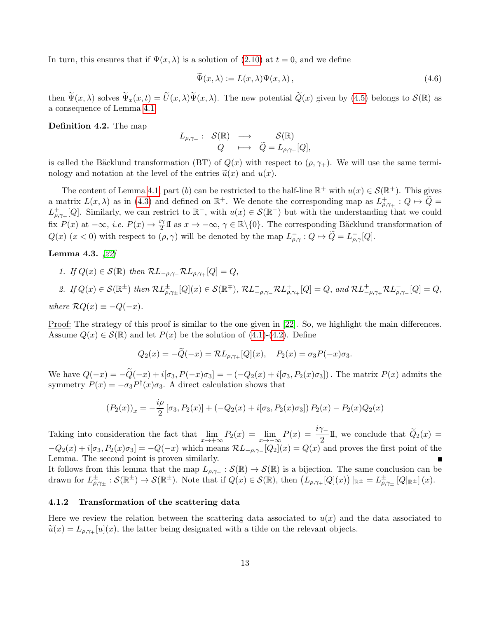In turn, this ensures that if  $\Psi(x, \lambda)$  is a solution of [\(2.10\)](#page-4-3) at  $t = 0$ , and we define

<span id="page-12-1"></span>
$$
\Psi(x,\lambda) := L(x,\lambda)\Psi(x,\lambda),\tag{4.6}
$$

then  $\tilde{\Psi}(x, \lambda)$  solves  $\tilde{\Psi}_x(x, t) = \tilde{U}(x, \lambda)\tilde{\Psi}(x, \lambda)$ . The new potential  $\tilde{Q}(x)$  given by [\(4.5\)](#page-11-1) belongs to  $\mathcal{S}(\mathbb{R})$  as a consequence of Lemma [4.1.](#page-10-2)

<span id="page-12-0"></span>Definition 4.2. The map

$$
\begin{array}{cccc} L_{\rho,\gamma_+}: & \mathcal{S}(\mathbb{R}) & \longrightarrow & \mathcal{S}(\mathbb{R}) \\ & Q & \longmapsto & \widetilde{Q}=L_{\rho,\gamma_+}[Q], \end{array}
$$

is called the Bäcklund transformation (BT) of  $Q(x)$  with respect to  $(\rho, \gamma)$ . We will use the same terminology and notation at the level of the entries  $\tilde{u}(x)$  and  $u(x)$ .

The content of Lemma [4.1,](#page-10-2) part (b) can be restricted to the half-line  $\mathbb{R}^+$  with  $u(x) \in \mathcal{S}(\mathbb{R}^+)$ . This gives a matrix  $L(x, \lambda)$  as in [\(4.3\)](#page-11-2) and defined on  $\mathbb{R}^+$ . We denote the corresponding map as  $L^+_{\rho, \gamma_+} : Q \mapsto \widetilde{Q} =$  $L^+_{\rho,\gamma+}[Q]$ . Similarly, we can restrict to  $\mathbb{R}^-$ , with  $u(x) \in \mathcal{S}(\mathbb{R}^-)$  but with the understanding that we could fix  $P(x)$  at  $-\infty$ , *i.e.*  $P(x) \to \frac{i\gamma}{2} \mathbb{I}$  as  $x \to -\infty$ ,  $\gamma \in \mathbb{R} \setminus \{0\}$ . The corresponding Bäcklund transformation of  $Q(x)$   $(x < 0)$  with respect to  $(\rho, \gamma)$  will be denoted by the map  $L^{-}_{\rho,\gamma}: Q \mapsto \widetilde{Q} = L^{-}_{\rho,\gamma}[Q]$ .

<span id="page-12-2"></span>Lemma 4.3. [\[22\]](#page-36-6)

1. If  $Q(x) \in \mathcal{S}(\mathbb{R})$  then  $\mathcal{R}L_{-\rho,\gamma_+}\mathcal{R}L_{\rho,\gamma_+}[Q] = Q$ ,

2. If 
$$
Q(x) \in \mathcal{S}(\mathbb{R}^{\pm})
$$
 then  $\mathcal{R}L^{\pm}_{\rho,\gamma_{\pm}}[Q](x) \in \mathcal{S}(\mathbb{R}^{\mp})$ ,  $\mathcal{R}L^{-}_{-\rho,\gamma_{-}}\mathcal{R}L^{+}_{\rho,\gamma_{+}}[Q] = Q$ , and  $\mathcal{R}L^{+}_{-\rho,\gamma_{+}}\mathcal{R}L^{-}_{\rho,\gamma_{-}}[Q] = Q$ ,

where  $\mathcal{R}Q(x) \equiv -Q(-x)$ .

Proof: The strategy of this proof is similar to the one given in [\[22\]](#page-36-6). So, we highlight the main differences. Assume  $Q(x) \in \mathcal{S}(\mathbb{R})$  and let  $P(x)$  be the solution of [\(4.1\)](#page-10-1)-[\(4.2\)](#page-11-0). Define

$$
Q_2(x) = -Q(-x) = \mathcal{R}L_{\rho,\gamma_+}[Q](x), \quad P_2(x) = \sigma_3 P(-x)\sigma_3.
$$

We have  $Q(-x) = -\tilde{Q}(-x) + i[\sigma_3, P(-x)\sigma_3] = -(-Q_2(x) + i[\sigma_3, P_2(x)\sigma_3])$ . The matrix  $P(x)$  admits the symmetry  $P(x) = -\sigma_3 P^{\dagger}(x)\sigma_3$ . A direct calculation shows that

$$
(P_2(x))_x = -\frac{i\rho}{2} [\sigma_3, P_2(x)] + (-Q_2(x) + i[\sigma_3, P_2(x)\sigma_3]) P_2(x) - P_2(x)Q_2(x)
$$

Taking into consideration the fact that  $\lim_{x\to+\infty} P_2(x) = \lim_{x\to-\infty} P(x) = \frac{i\gamma}{2} \mathbb{I}$ , we conclude that  $\widetilde{Q}_2(x) =$  $-Q_2(x) + i[\sigma_3, P_2(x)\sigma_3] = -Q(-x)$  which means  $\mathcal{R}L_{-\rho,\gamma_-}[Q_2](x) = Q(x)$  and proves the first point of the Lemma. The second point is proven similarly.

It follows from this lemma that the map  $L_{\rho,\gamma_+}: \mathcal{S}(\mathbb{R}) \to \mathcal{S}(\mathbb{R})$  is a bijection. The same conclusion can be drawn for  $L^{\pm}_{\rho,\gamma_{\pm}}:\mathcal{S}(\mathbb{R}^{\pm})\to\mathcal{S}(\mathbb{R}^{\pm})$ . Note that if  $Q(x)\in\mathcal{S}(\mathbb{R})$ , then  $(L_{\rho,\gamma_{+}}[Q](x))|_{\mathbb{R}^{\pm}}=L^{\pm}_{\rho,\gamma_{\pm}}[Q|_{\mathbb{R}^{\pm}}](x)$ .

### 4.1.2 Transformation of the scattering data

Here we review the relation between the scattering data associated to  $u(x)$  and the data associated to  $\tilde{u}(x) = L_{\rho,\gamma+}[u](x)$ , the latter being designated with a tilde on the relevant objects.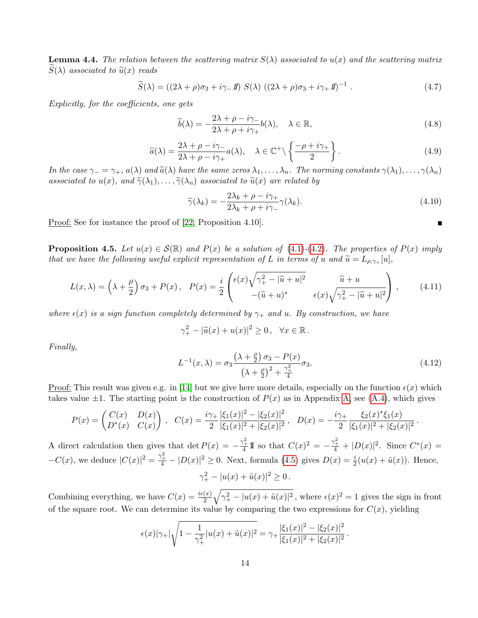**Lemma 4.4.** The relation between the scattering matrix  $S(\lambda)$  associated to  $u(x)$  and the scattering matrix  $S(\lambda)$  associated to  $\widetilde{u}(x)$  reads

<span id="page-13-3"></span>
$$
\widetilde{S}(\lambda) = ((2\lambda + \rho)\sigma_3 + i\gamma_-\mathit{1}) S(\lambda) ((2\lambda + \rho)\sigma_3 + i\gamma_+\mathit{1})^{-1} . \tag{4.7}
$$

Explicitly, for the coefficients, one gets

<span id="page-13-2"></span>
$$
\widetilde{b}(\lambda) = -\frac{2\lambda + \rho - i\gamma}{2\lambda + \rho + i\gamma_+} b(\lambda), \quad \lambda \in \mathbb{R},
$$
\n(4.8)

<span id="page-13-0"></span>
$$
\widetilde{a}(\lambda) = \frac{2\lambda + \rho - i\gamma}{2\lambda + \rho - i\gamma_+} a(\lambda), \quad \lambda \in \mathbb{C}^+ \setminus \left\{ \frac{-\rho + i\gamma_+}{2} \right\}.
$$
\n(4.9)

In the case  $\gamma_-=\gamma_+$ ,  $a(\lambda)$  and  $\tilde{a}(\lambda)$  have the same zeros  $\lambda_1,\ldots,\lambda_n$ . The norming constants  $\gamma(\lambda_1),\ldots,\gamma(\lambda_n)$ associated to  $u(x)$ , and  $\widetilde{\gamma}(\lambda_1), \ldots, \widetilde{\gamma}(\lambda_n)$  associated to  $\widetilde{u}(x)$  are related by

$$
\widetilde{\gamma}(\lambda_k) = -\frac{2\lambda_k + \rho - i\gamma_+}{2\lambda_k + \rho + i\gamma_-}\gamma(\lambda_k). \tag{4.10}
$$

 $\blacksquare$ 

Proof: See for instance the proof of [\[22,](#page-36-6) Proposition 4.10].

<span id="page-13-4"></span>**Proposition 4.5.** Let  $u(x) \in \mathcal{S}(\mathbb{R})$  and  $P(x)$  be a solution of [\(4.1\)](#page-10-1)-[\(4.2\)](#page-11-0). The properties of  $P(x)$  imply that we have the following useful explicit representation of L in terms of u and  $\widetilde{u} = L_{\rho,\gamma+}[u],$ 

$$
L(x,\lambda) = \left(\lambda + \frac{\rho}{2}\right)\sigma_3 + P(x), \quad P(x) = \frac{i}{2}\begin{pmatrix} \epsilon(x)\sqrt{\gamma_+^2 - |\widetilde{u} + u|^2} & \widetilde{u} + u\\ -(\widetilde{u} + u)^* & \epsilon(x)\sqrt{\gamma_+^2 - |\widetilde{u} + u|^2} \end{pmatrix},\tag{4.11}
$$

where  $\epsilon(x)$  is a sign function completely determined by  $\gamma_+$  and u. By construction, we have

$$
\gamma_+^2 - |\widetilde{u}(x) + u(x)|^2 \ge 0, \quad \forall x \in \mathbb{R}.
$$

Finally,

<span id="page-13-1"></span>
$$
L^{-1}(x,\lambda) = \sigma_3 \frac{\left(\lambda + \frac{\rho}{2}\right)\sigma_3 - P(x)}{\left(\lambda + \frac{\rho}{2}\right)^2 + \frac{\gamma_+^2}{4}} \sigma_3.
$$
\n(4.12)

Proof: This result was given e.g. in [\[14\]](#page-35-11) but we give here more details, especially on the function  $\epsilon(x)$  which takes value  $\pm 1$ . The starting point is the construction of  $P(x)$  as in Appendix [A,](#page-28-0) see [\(A.4\)](#page-29-0), which gives

$$
P(x) = \begin{pmatrix} C(x) & D(x) \\ D^*(x) & C(x) \end{pmatrix}, \quad C(x) = \frac{i\gamma_+}{2} \frac{|\xi_1(x)|^2 - |\xi_2(x)|^2}{|\xi_1(x)|^2 + |\xi_2(x)|^2}, \quad D(x) = -\frac{i\gamma_+}{2} \frac{\xi_2(x)^* \xi_1(x)}{|\xi_1(x)|^2 + |\xi_2(x)|^2}.
$$

A direct calculation then gives that det  $P(x) = -\frac{\gamma_+^2}{4} \mathbb{I}$  so that  $C(x)^2 = -\frac{\gamma_+^2}{4} + |D(x)|^2$ . Since  $C^*(x) =$  $-C(x)$ , we deduce  $|C(x)|^2 = \frac{\gamma_+^2}{4} - |D(x)|^2 \ge 0$ . Next, formula [\(4.5\)](#page-11-1) gives  $D(x) = \frac{i}{2}(u(x) + \tilde{u}(x))$ . Hence,  $\gamma_+^2 - |u(x) + \tilde{u}(x)|^2 \ge 0$ .

Combining everything, we have  $C(x) = \frac{i\epsilon(x)}{2}\sqrt{\gamma_+^2 - |u(x) + \tilde{u}(x)|^2}$ , where  $\epsilon(x)^2 = 1$  gives the sign in front of the square root. We can determine its value by comparing the two expressions for  $C(x)$ , yielding

$$
\epsilon(x)|\gamma_+|\sqrt{1-\frac{1}{\gamma_+^2}|u(x)+\tilde{u}(x)|^2}=\gamma_+\frac{|\xi_1(x)|^2-|\xi_2(x)|^2}{|\xi_1(x)|^2+|\xi_2(x)|^2}.
$$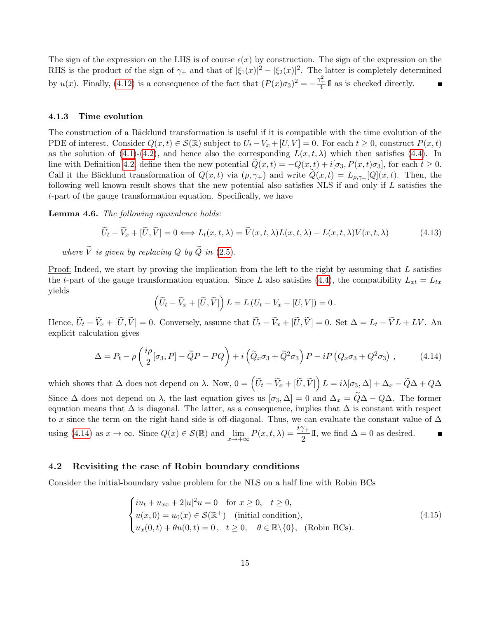The sign of the expression on the LHS is of course  $\epsilon(x)$  by construction. The sign of the expression on the RHS is the product of the sign of  $\gamma_+$  and that of  $|\xi_1(x)|^2 - |\xi_2(x)|^2$ . The latter is completely determined by  $u(x)$ . Finally, [\(4.12\)](#page-13-1) is a consequence of the fact that  $(P(x)\sigma_3)^2 = -\frac{\gamma_+^2}{4} \mathbb{I}$  as is checked directly.

#### 4.1.3 Time evolution

The construction of a Bäcklund transformation is useful if it is compatible with the time evolution of the PDE of interest. Consider  $Q(x, t) \in \mathcal{S}(\mathbb{R})$  subject to  $U_t - V_x + [U, V] = 0$ . For each  $t \geq 0$ , construct  $P(x, t)$ as the solution of [\(4.1\)](#page-10-1)-[\(4.2\)](#page-11-0), and hence also the corresponding  $L(x, t, \lambda)$  which then satisfies [\(4.4\)](#page-11-3). In line with Definition [4.2,](#page-12-0) define then the new potential  $Q(x,t) = -Q(x,t) + i[\sigma_3, P(x,t)\sigma_3]$ , for each  $t \ge 0$ . Call it the Bäcklund transformation of  $Q(x,t)$  via  $(\rho, \gamma)$  and write  $Q(x,t) = L_{\rho, \gamma} [Q](x,t)$ . Then, the following well known result shows that the new potential also satisfies NLS if and only if L satisfies the t-part of the gauge transformation equation. Specifically, we have

<span id="page-14-2"></span>Lemma 4.6. The following equivalence holds:

$$
\widetilde{U}_t - \widetilde{V}_x + [\widetilde{U}, \widetilde{V}] = 0 \Longleftrightarrow L_t(x, t, \lambda) = \widetilde{V}(x, t, \lambda)L(x, t, \lambda) - L(x, t, \lambda)V(x, t, \lambda)
$$
\n(4.13)

where  $\widetilde{V}$  is given by replacing Q by  $\widetilde{Q}$  in [\(2.5\)](#page-4-1).

Proof: Indeed, we start by proving the implication from the left to the right by assuming that L satisfies the t-part of the gauge transformation equation. Since L also satisfies [\(4.4\)](#page-11-3), the compatibility  $L_{xt} = L_{tx}$ yields

$$
\left(\widetilde{U}_t - \widetilde{V}_x + [\widetilde{U}, \widetilde{V}]\right) L = L\left(U_t - V_x + [U, V]\right) = 0.
$$

Hence,  $\widetilde{U}_t - \widetilde{V}_x + [\widetilde{U}, \widetilde{V}] = 0$ . Conversely, assume that  $\widetilde{U}_t - \widetilde{V}_x + [\widetilde{U}, \widetilde{V}] = 0$ . Set  $\Delta = L_t - \widetilde{V}L + LV$ . An explicit calculation gives

<span id="page-14-0"></span>
$$
\Delta = P_t - \rho \left( \frac{i \rho}{2} [\sigma_3, P] - \tilde{Q} P - P Q \right) + i \left( \tilde{Q}_x \sigma_3 + \tilde{Q}^2 \sigma_3 \right) P - i P \left( Q_x \sigma_3 + Q^2 \sigma_3 \right) ,\tag{4.14}
$$

which shows that  $\Delta$  does not depend on  $\lambda$ . Now,  $0 = \left(\widetilde{U}_t - \widetilde{V}_x + [\widetilde{U}, \widetilde{V}]\right) L = i\lambda[\sigma_3, \Delta] + \Delta_x - \widetilde{Q}\Delta + Q\Delta$ Since  $\Delta$  does not depend on  $\lambda$ , the last equation gives us  $[\sigma_3, \Delta] = 0$  and  $\Delta_x = \widetilde{Q}\Delta - Q\Delta$ . The former equation means that  $\Delta$  is diagonal. The latter, as a consequence, implies that  $\Delta$  is constant with respect to x since the term on the right-hand side is off-diagonal. Thus, we can evaluate the constant value of  $\Delta$ using [\(4.14\)](#page-14-0) as  $x \to \infty$ . Since  $Q(x) \in \mathcal{S}(\mathbb{R})$  and  $\lim_{x \to +\infty} P(x, t, \lambda) = \frac{i\gamma_+}{2}I\!\!I$ , we find  $\Delta = 0$  as desired. Ē

#### 4.2 Revisiting the case of Robin boundary conditions

Consider the initial-boundary value problem for the NLS on a half line with Robin BCs

<span id="page-14-1"></span>
$$
\begin{cases}\ni u_t + u_{xx} + 2|u|^2 u = 0 & \text{for } x \ge 0, \quad t \ge 0, \\
u(x, 0) = u_0(x) \in \mathcal{S}(\mathbb{R}^+) & \text{(initial condition)}, \\
u_x(0, t) + \theta u(0, t) = 0, \quad t \ge 0, \quad \theta \in \mathbb{R} \setminus \{0\}, \quad \text{(Robin BCs)}.\n\end{cases}
$$
\n
$$
(4.15)
$$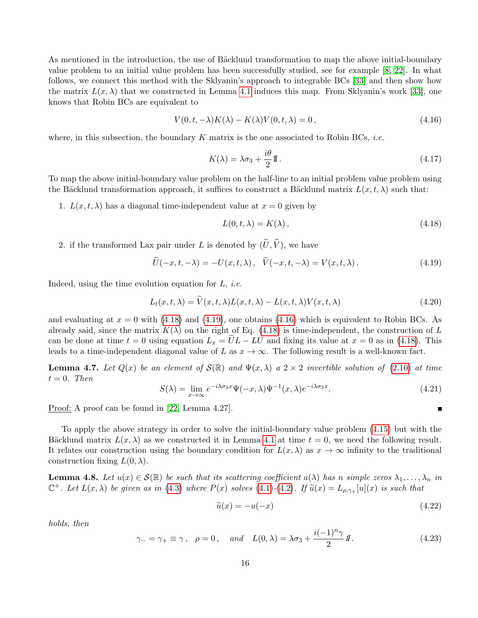As mentioned in the introduction, the use of Bäcklund transformation to map the above initial-boundary value problem to an initial value problem has been successfully studied, see for example [\[8,](#page-35-2) [22\]](#page-36-6). In what follows, we connect this method with the Sklyanin's approach to integrable BCs [\[33\]](#page-36-0) and then show how the matrix  $L(x, \lambda)$  that we constructed in Lemma [4.1](#page-10-2) induces this map. From Sklyanin's work [\[33\]](#page-36-0), one knows that Robin BCs are equivalent to

<span id="page-15-3"></span>
$$
V(0, t, -\lambda)K(\lambda) - K(\lambda)V(0, t, \lambda) = 0,
$$
\n(4.16)

where, in this subsection, the boundary K matrix is the one associated to Robin BCs, *i.e.* 

<span id="page-15-0"></span>
$$
K(\lambda) = \lambda \sigma_3 + \frac{i\theta}{2} \mathbb{I} \,. \tag{4.17}
$$

To map the above initial-boundary value problem on the half-line to an initial problem value problem using the Bäcklund transformation approach, it suffices to construct a Bäcklund matrix  $L(x, t, \lambda)$  such that:

1.  $L(x, t, \lambda)$  has a diagonal time-independent value at  $x = 0$  given by

<span id="page-15-1"></span>
$$
L(0, t, \lambda) = K(\lambda), \qquad (4.18)
$$

2. if the transformed Lax pair under L is denoted by  $(\widetilde{U}, \widetilde{V})$ , we have

<span id="page-15-2"></span>
$$
\widetilde{U}(-x,t,-\lambda) = -U(x,t,\lambda), \quad \widetilde{V}(-x,t,-\lambda) = V(x,t,\lambda).
$$
\n(4.19)

Indeed, using the time evolution equation for  $L$ , *i.e.* 

$$
L_t(x, t, \lambda) = V(x, t, \lambda) L(x, t, \lambda) - L(x, t, \lambda) V(x, t, \lambda)
$$
\n(4.20)

and evaluating at  $x = 0$  with [\(4.18\)](#page-15-1) and [\(4.19\)](#page-15-2), one obtains [\(4.16\)](#page-15-3) which is equivalent to Robin BCs. As already said, since the matrix  $K(\lambda)$  on the right of Eq. [\(4.18\)](#page-15-1) is time-independent, the construction of L can be done at time  $t = 0$  using equation  $L_x = UL - LU$  and fixing its value at  $x = 0$  as in [\(4.18\)](#page-15-1). This leads to a time-independent diagonal value of L as  $x \to \infty$ . The following result is a well-known fact.

**Lemma 4.7.** Let  $Q(x)$  be an element of  $\mathcal{S}(\mathbb{R})$  and  $\Psi(x,\lambda)$  a  $2 \times 2$  invertible solution of [\(2.10\)](#page-4-3) at time  $t = 0$ . Then

$$
S(\lambda) = \lim_{x \to \infty} e^{-i\lambda \sigma_3 x} \Psi(-x, \lambda) \Psi^{-1}(x, \lambda) e^{-i\lambda \sigma_3 x}.
$$
 (4.21)

Proof: A proof can be found in [\[22,](#page-36-6) Lemma 4.27].

To apply the above strategy in order to solve the initial-boundary value problem [\(4.15\)](#page-14-1) but with the Bäcklund matrix  $L(x, \lambda)$  as we constructed it in Lemma [4.1](#page-10-2) at time  $t = 0$ , we need the following result. It relates our construction using the boundary condition for  $L(x, \lambda)$  as  $x \to \infty$  infinity to the traditional construction fixing  $L(0, \lambda)$ .

<span id="page-15-5"></span>**Lemma 4.8.** Let  $u(x) \in \mathcal{S}(\mathbb{R})$  be such that its scattering coefficient  $a(\lambda)$  has n simple zeros  $\lambda_1, \ldots, \lambda_n$  in  $\mathbb{C}^+$ . Let  $L(x,\lambda)$  be given as in [\(4.3\)](#page-11-2) where  $P(x)$  solves [\(4.1\)](#page-10-1)-[\(4.2\)](#page-11-0). If  $\widetilde{u}(x) = L_{\rho,\gamma+}[u](x)$  is such that

<span id="page-15-4"></span>
$$
\widetilde{u}(x) = -u(-x) \tag{4.22}
$$

 $\blacksquare$ 

holds, then

$$
\gamma_{-} = \gamma_{+} \equiv \gamma \,, \quad \rho = 0 \,, \quad \text{and} \quad L(0, \lambda) = \lambda \sigma_3 + \frac{i(-1)^n \gamma}{2} \mathbf{1} \,. \tag{4.23}
$$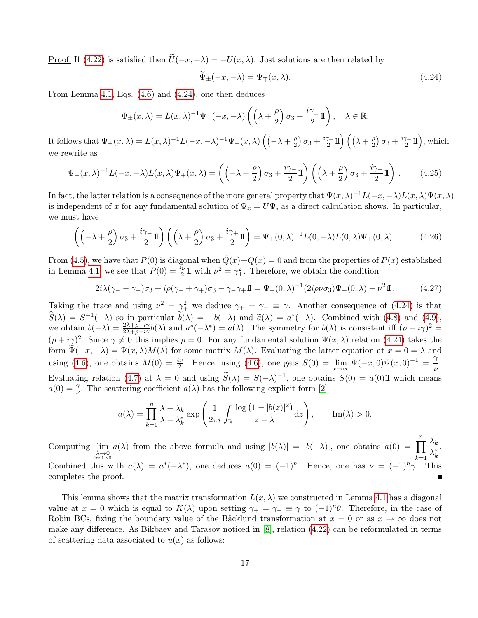<u>Proof:</u> If [\(4.22\)](#page-15-4) is satisfied then  $\tilde{U}(-x, -\lambda) = -U(x, \lambda)$ . Jost solutions are then related by

<span id="page-16-0"></span>
$$
\widetilde{\Psi}_{\pm}(-x,-\lambda) = \Psi_{\mp}(x,\lambda). \tag{4.24}
$$

From Lemma [4.1,](#page-10-2) Eqs. [\(4.6\)](#page-12-1) and [\(4.24\)](#page-16-0), one then deduces

$$
\Psi_{\pm}(x,\lambda) = L(x,\lambda)^{-1}\Psi_{\mp}(-x,-\lambda)\left(\left(\lambda + \frac{\rho}{2}\right)\sigma_3 + \frac{i\gamma_{\pm}}{2}\mathbb{I}\right), \quad \lambda \in \mathbb{R}.
$$

It follows that  $\Psi_+(x,\lambda) = L(x,\lambda)^{-1}L(-x,-\lambda)^{-1}\Psi_+(x,\lambda)\left((-\lambda+\frac{\rho}{2})\right)$  $\frac{\rho}{2}$ )  $\sigma_3 + \frac{i\gamma_-}{2}$  $\frac{\gamma_-}{2}1\!\!1\Bigr)\,\Bigl(\bigl(\lambda + \tfrac{\rho}{2}\bigr)$  $\frac{\rho}{2}$ )  $\sigma_3 + \frac{i\gamma_+}{2}$  $\binom{\gamma_+}{2}$   $\prod$ ), which we rewrite as

$$
\Psi_{+}(x,\lambda)^{-1}L(-x,-\lambda)L(x,\lambda)\Psi_{+}(x,\lambda) = \left(\left(-\lambda + \frac{\rho}{2}\right)\sigma_{3} + \frac{i\gamma_{-}}{2}\mathbb{I}\right)\left(\left(\lambda + \frac{\rho}{2}\right)\sigma_{3} + \frac{i\gamma_{+}}{2}\mathbb{I}\right). \tag{4.25}
$$

In fact, the latter relation is a consequence of the more general property that  $\Psi(x,\lambda)^{-1}L(-x,-\lambda)L(x,\lambda)\Psi(x,\lambda)$ is independent of x for any fundamental solution of  $\Psi_x = U\Psi$ , as a direct calculation shows. In particular, we must have

$$
\left( \left( -\lambda + \frac{\rho}{2} \right) \sigma_3 + \frac{i\gamma}{2} \mathbb{I} \right) \left( \left( \lambda + \frac{\rho}{2} \right) \sigma_3 + \frac{i\gamma}{2} \mathbb{I} \right) = \Psi_+(0, \lambda)^{-1} L(0, -\lambda) L(0, \lambda) \Psi_+(0, \lambda).
$$
 (4.26)

From [\(4.5\)](#page-11-1), we have that  $P(0)$  is diagonal when  $Q(x)+Q(x) = 0$  and from the properties of  $P(x)$  established in Lemma [4.1,](#page-10-2) we see that  $P(0) = \frac{i\nu}{2} \mathbb{I}$  with  $\nu^2 = \gamma_+^2$ . Therefore, we obtain the condition

$$
2i\lambda(\gamma_{-} - \gamma_{+})\sigma_{3} + i\rho(\gamma_{-} + \gamma_{+})\sigma_{3} - \gamma_{-}\gamma_{+}\mathbb{I} = \Psi_{+}(0,\lambda)^{-1}(2i\rho\nu\sigma_{3})\Psi_{+}(0,\lambda) - \nu^{2}\mathbb{I}. \tag{4.27}
$$

Taking the trace and using  $\nu^2 = \gamma_+^2$  we deduce  $\gamma_+ = \gamma_- \equiv \gamma$ . Another consequence of [\(4.24\)](#page-16-0) is that  $\widetilde{S}(\lambda) = S^{-1}(-\lambda)$  so in particular  $\widetilde{b}(\lambda) = -b(-\lambda)$  and  $\widetilde{a}(\lambda) = a^*(-\lambda)$ . Combined with [\(4.8\)](#page-13-2) and [\(4.9\)](#page-13-0), we obtain  $b(-\lambda) = 2\lambda + \rho - i\gamma b(\lambda)$  and  $a^*(-\lambda) = a(\lambda)$ . The symmetry for  $b(\lambda)$  is consistent iff (a  $-ia\lambda^2 =$ we obtain  $b(-\lambda) = \frac{2\lambda + \rho - i\gamma}{2\lambda + \rho + i\gamma} b(\lambda)$  and  $a^*(-\lambda^*) = a(\lambda)$ . The symmetry for  $b(\lambda)$  is consistent iff  $(\rho - i\gamma)^2 =$  $(\rho + i\gamma)^2$ . Since  $\gamma \neq 0$  this implies  $\rho = 0$ . For any fundamental solution  $\Psi(x, \lambda)$  relation [\(4.24\)](#page-16-0) takes the form  $\Psi(-x, -\lambda) = \Psi(x, \lambda)M(\lambda)$  for some matrix  $M(\lambda)$ . Evaluating the latter equation at  $x = 0 = \lambda$  and using [\(4.6\)](#page-12-1), one obtains  $M(0) = \frac{i\nu}{2}$ . Hence, using (4.6), one gets  $S(0) = \lim_{x\to\infty} \Psi(-x,0)\Psi(x,0)^{-1} = \frac{\gamma}{\nu}$  $\frac{1}{\nu}$ . Evaluating relation [\(4.7\)](#page-13-3) at  $\lambda = 0$  and using  $\widetilde{S}(\lambda) = S(-\lambda)^{-1}$ , one obtains  $S(0) = a(0)$  If which means  $a(0) = \frac{\gamma}{\nu}$ . The scattering coefficient  $a(\lambda)$  has the following explicit form [\[2\]](#page-35-14)

$$
a(\lambda) = \prod_{k=1}^{n} \frac{\lambda - \lambda_k}{\lambda - \lambda_k^*} \exp\left(\frac{1}{2\pi i} \int_{\mathbb{R}} \frac{\log(1 - |b(z)|^2)}{z - \lambda} dz\right), \quad \text{Im}(\lambda) > 0.
$$

Computing  $\lim_{\substack{\lambda \to 0 \\ \text{Im }\lambda > 0}}$  $a(\lambda)$  from the above formula and using  $|b(\lambda)| = |b(-\lambda)|$ , one obtains  $a(0) = \prod_{\lambda}^n \frac{\lambda_k}{\lambda_k}$  $k=1$  $\overline{\lambda_k^*}$ . Combined this with  $a(\lambda) = a^*(-\lambda^*)$ , one deduces  $a(0) = (-1)^n$ . Hence, one has  $\nu = (-1)^n \gamma$ . This completes the proof.

This lemma shows that the matrix transformation  $L(x, \lambda)$  we constructed in Lemma [4.1](#page-10-2) has a diagonal value at  $x = 0$  which is equal to  $K(\lambda)$  upon setting  $\gamma_+ = \gamma_- \equiv \gamma$  to  $(-1)^n \theta$ . Therefore, in the case of Robin BCs, fixing the boundary value of the Bäcklund transformation at  $x = 0$  or as  $x \to \infty$  does not make any difference. As Bikbaev and Tarasov noticed in [\[8\]](#page-35-2), relation [\(4.22\)](#page-15-4) can be reformulated in terms of scattering data associated to  $u(x)$  as follows: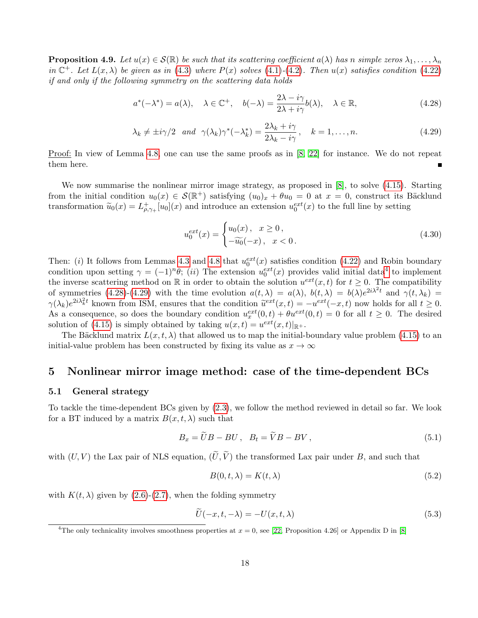**Proposition 4.9.** Let  $u(x) \in \mathcal{S}(\mathbb{R})$  be such that its scattering coefficient  $a(\lambda)$  has n simple zeros  $\lambda_1, \ldots, \lambda_n$ in  $\mathbb{C}^+$ . Let  $L(x,\lambda)$  be given as in [\(4.3\)](#page-11-2) where  $P(x)$  solves [\(4.1\)](#page-10-1)-[\(4.2\)](#page-11-0). Then  $u(x)$  satisfies condition [\(4.22\)](#page-15-4) if and only if the following symmetry on the scattering data holds

<span id="page-17-2"></span>
$$
a^*(-\lambda^*) = a(\lambda), \quad \lambda \in \mathbb{C}^+, \quad b(-\lambda) = \frac{2\lambda - i\gamma}{2\lambda + i\gamma}b(\lambda), \quad \lambda \in \mathbb{R},
$$
\n(4.28)

<span id="page-17-3"></span>
$$
\lambda_k \neq \pm i\gamma/2 \quad and \quad \gamma(\lambda_k)\gamma^*(-\lambda_k^*) = \frac{2\lambda_k + i\gamma}{2\lambda_k - i\gamma}, \quad k = 1, \dots, n. \tag{4.29}
$$

Proof: In view of Lemma [4.8,](#page-15-5) one can use the same proofs as in [\[8,](#page-35-2) [22\]](#page-36-6) for instance. We do not repeat them here.

We now summarise the nonlinear mirror image strategy, as proposed in [\[8\]](#page-35-2), to solve [\(4.15\)](#page-14-1). Starting from the initial condition  $u_0(x) \in \mathcal{S}(\mathbb{R}^+)$  satisfying  $(u_0)_x + \theta u_0 = 0$  at  $x = 0$ , construct its Bäcklund transformation  $\tilde{u}_0(x) = L^+_{\rho,\gamma_+}[u_0](x)$  and introduce an extension  $u_0^{ext}(x)$  to the full line by setting

$$
u_0^{ext}(x) = \begin{cases} u_0(x), & x \ge 0, \\ -\widetilde{u_0}(-x), & x < 0. \end{cases}
$$
 (4.30)

Then: (i) It follows from Lemmas [4.3](#page-12-2) and [4.8](#page-15-5) that  $u_0^{ext}(x)$  satisfies condition [\(4.22\)](#page-15-4) and Robin boundary condition upon setting  $\gamma = (-1)^n \theta$ ; (ii) The extension  $u_0^{ext}(x)$  provides valid initial data<sup>[4](#page-17-1)</sup> to implement the inverse scattering method on  $\mathbb R$  in order to obtain the solution  $u^{ext}(x, t)$  for  $t \geq 0$ . The compatibility of symmetries [\(4.28\)](#page-17-2)-[\(4.29\)](#page-17-3) with the time evolution  $a(t,\lambda) = a(\lambda)$ ,  $b(t,\lambda) = b(\lambda)e^{2i\lambda^2t}$  and  $\gamma(t,\lambda_k) =$  $\gamma(\lambda_k)e^{2i\lambda_k^2t}$  known from ISM, ensures that the condition  $\tilde{u}^{ext}(x,t) = -u^{ext}(-x,t)$  now holds for all  $t \ge 0$ . As a consequence, so does the boundary condition  $u_x^{ext}(0,t) + \theta u^{ext}(0,t) = 0$  for all  $t \geq 0$ . The desired solution of [\(4.15\)](#page-14-1) is simply obtained by taking  $u(x,t) = u^{ext}(x,t)|_{\mathbb{R}^+}.$ 

The Bäcklund matrix  $L(x, t, \lambda)$  that allowed us to map the initial-boundary value problem [\(4.15\)](#page-14-1) to an initial-value problem has been constructed by fixing its value as  $x \to \infty$ 

# <span id="page-17-0"></span>5 Nonlinear mirror image method: case of the time-dependent BCs

### 5.1 General strategy

To tackle the time-dependent BCs given by [\(2.3\)](#page-3-2), we follow the method reviewed in detail so far. We look for a BT induced by a matrix  $B(x, t, \lambda)$  such that

$$
B_x = \tilde{U}B - BU \,, \quad B_t = \tilde{V}B - BV \,, \tag{5.1}
$$

with  $(U, V)$  the Lax pair of NLS equation,  $(\tilde{U}, \tilde{V})$  the transformed Lax pair under B, and such that

<span id="page-17-4"></span>
$$
B(0, t, \lambda) = K(t, \lambda) \tag{5.2}
$$

with  $K(t, \lambda)$  given by [\(2.6\)](#page-4-1)-[\(2.7\)](#page-4-2), when the folding symmetry

$$
\widetilde{U}(-x,t,-\lambda) = -U(x,t,\lambda)
$$
\n(5.3)

<span id="page-17-1"></span><sup>&</sup>lt;sup>4</sup>The only technicality involves smoothness properties at  $x = 0$ , see [\[22,](#page-36-6) Proposition 4.26] or Appendix D in [\[8\]](#page-35-2)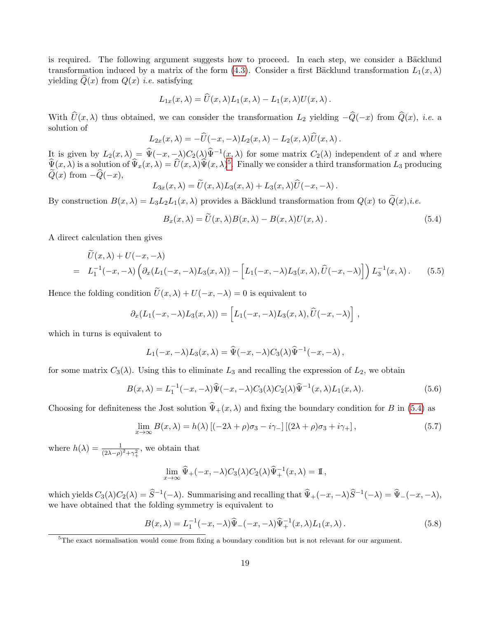is required. The following argument suggests how to proceed. In each step, we consider a Bäcklund transformation induced by a matrix of the form [\(4.3\)](#page-11-2). Consider a first Bäcklund transformation  $L_1(x, \lambda)$ yielding  $Q(x)$  from  $Q(x)$  *i.e.* satisfying

$$
L_{1x}(x,\lambda) = \widehat{U}(x,\lambda)L_1(x,\lambda) - L_1(x,\lambda)U(x,\lambda).
$$

With  $\hat{U}(x, \lambda)$  thus obtained, we can consider the transformation  $L_2$  yielding  $-\hat{Q}(-x)$  from  $\hat{Q}(x)$ , *i.e.* a solution of

$$
L_{2x}(x,\lambda) = -\widehat{U}(-x,-\lambda)L_2(x,\lambda) - L_2(x,\lambda)\widehat{U}(x,\lambda).
$$

It is given by  $L_2(x, \lambda) = \hat{\Psi}(-x, -\lambda)C_2(\lambda)\hat{\Psi}^{-1}(x, \lambda)$  for some matrix  $C_2(\lambda)$  independent of x and where  $\widehat{\Psi}(x,\lambda)$  is a solution of  $\widehat{\Psi}_x(x,\lambda) = \widehat{U}(x,\lambda)\widehat{\Psi}(x,\lambda)^5$  $\widehat{\Psi}_x(x,\lambda) = \widehat{U}(x,\lambda)\widehat{\Psi}(x,\lambda)^5$ . Finally we consider a third transformation  $L_3$  producing  $Q(x)$  from  $-Q(-x)$ ,

$$
L_{3x}(x,\lambda) = \tilde{U}(x,\lambda)L_3(x,\lambda) + L_3(x,\lambda)\tilde{U}(-x,-\lambda).
$$

By construction  $B(x, \lambda) = L_3L_2L_1(x, \lambda)$  provides a Bäcklund transformation from  $Q(x)$  to  $\widetilde{Q}(x), i.e.$ 

<span id="page-18-1"></span>
$$
B_x(x,\lambda) = \tilde{U}(x,\lambda)B(x,\lambda) - B(x,\lambda)U(x,\lambda).
$$
\n(5.4)

A direct calculation then gives

$$
U(x,\lambda) + U(-x,-\lambda)
$$
  
=  $L_1^{-1}(-x,-\lambda)\left(\partial_x(L_1(-x,-\lambda)L_3(x,\lambda)) - \left[L_1(-x,-\lambda)L_3(x,\lambda),\hat{U}(-x,-\lambda)\right]\right)L_3^{-1}(x,\lambda).$  (5.5)

Hence the folding condition  $\tilde{U}(x, \lambda) + U(-x, -\lambda) = 0$  is equivalent to

$$
\partial_x (L_1(-x,-\lambda)L_3(x,\lambda)) = \left[L_1(-x,-\lambda)L_3(x,\lambda),\widehat{U}(-x,-\lambda)\right],
$$

which in turns is equivalent to

$$
L_1(-x,-\lambda)L_3(x,\lambda)=\widehat{\Psi}(-x,-\lambda)C_3(\lambda)\widehat{\Psi}^{-1}(-x,-\lambda)\,,
$$

for some matrix  $C_3(\lambda)$ . Using this to eliminate  $L_3$  and recalling the expression of  $L_2$ , we obtain

$$
B(x,\lambda) = L_1^{-1}(-x,-\lambda)\widehat{\Psi}(-x,-\lambda)C_3(\lambda)C_2(\lambda)\widehat{\Psi}^{-1}(x,\lambda)L_1(x,\lambda).
$$
 (5.6)

Choosing for definiteness the Jost solution  $\hat{\Psi}_+(x,\lambda)$  and fixing the boundary condition for B in [\(5.4\)](#page-18-1) as

$$
\lim_{x \to \infty} B(x,\lambda) = h(\lambda) \left[ (-2\lambda + \rho)\sigma_3 - i\gamma_- \right] \left[ (2\lambda + \rho)\sigma_3 + i\gamma_+ \right],\tag{5.7}
$$

where  $h(\lambda) = \frac{1}{(2\lambda - \rho)^2 + \gamma_+^2}$ , we obtain that

$$
\lim_{x \to \infty} \widehat{\Psi}_+(-x, -\lambda) C_3(\lambda) C_2(\lambda) \widehat{\Psi}_+^{-1}(x, \lambda) = \mathbb{I},
$$

which yields  $C_3(\lambda)C_2(\lambda) = \hat{S}^{-1}(-\lambda)$ . Summarising and recalling that  $\hat{\Psi}_+(-x, -\lambda)\hat{S}^{-1}(-\lambda) = \hat{\Psi}_-(-x, -\lambda)$ , we have obtained that the folding symmetry is equivalent to

$$
B(x,\lambda) = L_1^{-1}(-x,-\lambda)\widehat{\Psi}_-(-x,-\lambda)\widehat{\Psi}_+^{-1}(x,\lambda)L_1(x,\lambda).
$$
 (5.8)

<span id="page-18-0"></span> $5$ The exact normalisation would come from fixing a boundary condition but is not relevant for our argument.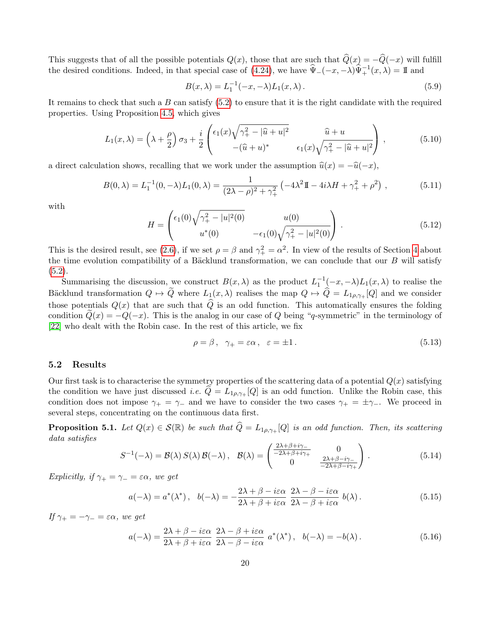This suggests that of all the possible potentials  $Q(x)$ , those that are such that  $\hat{Q}(x) = -\hat{Q}(-x)$  will fulfill the desired conditions. Indeed, in that special case of [\(4.24\)](#page-16-0), we have  $\hat{\Psi}_{-}(-x, -\lambda)\hat{\Psi}_{+}^{-1}(x, \lambda) = \mathbb{I}$  and

<span id="page-19-4"></span>
$$
B(x,\lambda) = L_1^{-1}(-x,-\lambda)L_1(x,\lambda).
$$
 (5.9)

It remains to check that such a  $B$  can satisfy  $(5.2)$  to ensure that it is the right candidate with the required properties. Using Proposition [4.5,](#page-13-4) which gives

$$
L_1(x,\lambda) = \left(\lambda + \frac{\rho}{2}\right)\sigma_3 + \frac{i}{2}\begin{pmatrix} \epsilon_1(x)\sqrt{\gamma_+^2 - |\hat{u} + u|^2} & \hat{u} + u \\ -(\hat{u} + u)^* & \epsilon_1(x)\sqrt{\gamma_+^2 - |\hat{u} + u|^2} \end{pmatrix},
$$
(5.10)

a direct calculation shows, recalling that we work under the assumption  $\hat{u}(x) = -\hat{u}(-x)$ ,

<span id="page-19-6"></span>
$$
B(0,\lambda) = L_1^{-1}(0,-\lambda)L_1(0,\lambda) = \frac{1}{(2\lambda - \rho)^2 + \gamma_+^2} \left( -4\lambda^2 \mathbb{I} - 4i\lambda H + \gamma_+^2 + \rho^2 \right),\tag{5.11}
$$

with

<span id="page-19-7"></span>
$$
H = \begin{pmatrix} \epsilon_1(0)\sqrt{\gamma_+^2 - |u|^2(0)} & u(0) \\ u^*(0) & -\epsilon_1(0)\sqrt{\gamma_+^2 - |u|^2(0)} \end{pmatrix} .
$$
 (5.12)

This is the desired result, see [\(2.6\)](#page-4-1), if we set  $\rho = \beta$  and  $\gamma_+^2 = \alpha^2$ . In view of the results of Section [4](#page-10-0) about the time evolution compatibility of a Bäcklund transformation, we can conclude that our  $B$  will satisfy  $(5.2).$  $(5.2).$ 

Summarising the discussion, we construct  $B(x, \lambda)$  as the product  $L_1^{-1}(-x, -\lambda)L_1(x, \lambda)$  to realise the Bäcklund transformation  $Q \mapsto \tilde{Q}$  where  $L_1(x, \lambda)$  realises the map  $Q \mapsto \hat{Q} = L_{1\rho,\gamma_+}[Q]$  and we consider those potentials  $Q(x)$  that are such that  $\widehat{Q}$  is an odd function. This automatically ensures the folding condition  $Q(x) = -Q(-x)$ . This is the analog in our case of Q being "q-symmetric" in the terminology of [\[22\]](#page-36-6) who dealt with the Robin case. In the rest of this article, we fix

<span id="page-19-1"></span>
$$
\rho = \beta, \quad \gamma_+ = \varepsilon \alpha, \quad \varepsilon = \pm 1. \tag{5.13}
$$

## 5.2 Results

Our first task is to characterise the symmetry properties of the scattering data of a potential  $Q(x)$  satisfying the condition we have just discussed *i.e.*  $Q = L_{1\rho,\gamma+} [Q]$  is an odd function. Unlike the Robin case, this condition does not impose  $\gamma_+ = \gamma_-$  and we have to consider the two cases  $\gamma_+ = \pm \gamma_-$ . We proceed in several steps, concentrating on the continuous data first.

<span id="page-19-0"></span>**Proposition 5.1.** Let  $Q(x) \in \mathcal{S}(\mathbb{R})$  be such that  $\widehat{Q} = L_{1\rho,\gamma+} [Q]$  is an odd function. Then, its scattering data satisfies

<span id="page-19-2"></span>
$$
S^{-1}(-\lambda) = \mathcal{B}(\lambda) S(\lambda) \mathcal{B}(-\lambda), \quad \mathcal{B}(\lambda) = \begin{pmatrix} \frac{2\lambda + \beta + i\gamma_{-}}{-2\lambda + \beta + i\gamma_{+}} & 0\\ 0 & \frac{2\lambda + \beta - i\gamma_{-}}{-2\lambda + \beta - i\gamma_{+}} \end{pmatrix}.
$$
 (5.14)

Explicitly, if  $\gamma_+ = \gamma_- = \varepsilon \alpha$ , we get

<span id="page-19-3"></span>
$$
a(-\lambda) = a^*(\lambda^*), \quad b(-\lambda) = -\frac{2\lambda + \beta - i\varepsilon\alpha}{2\lambda + \beta + i\varepsilon\alpha} \frac{2\lambda - \beta - i\varepsilon\alpha}{2\lambda - \beta + i\varepsilon\alpha} b(\lambda).
$$
 (5.15)

If  $\gamma_+ = -\gamma_- = \varepsilon \alpha$ , we get

<span id="page-19-5"></span>
$$
a(-\lambda) = \frac{2\lambda + \beta - i\varepsilon\alpha}{2\lambda + \beta + i\varepsilon\alpha} \frac{2\lambda - \beta + i\varepsilon\alpha}{2\lambda - \beta - i\varepsilon\alpha} a^*(\lambda^*), \quad b(-\lambda) = -b(\lambda). \tag{5.16}
$$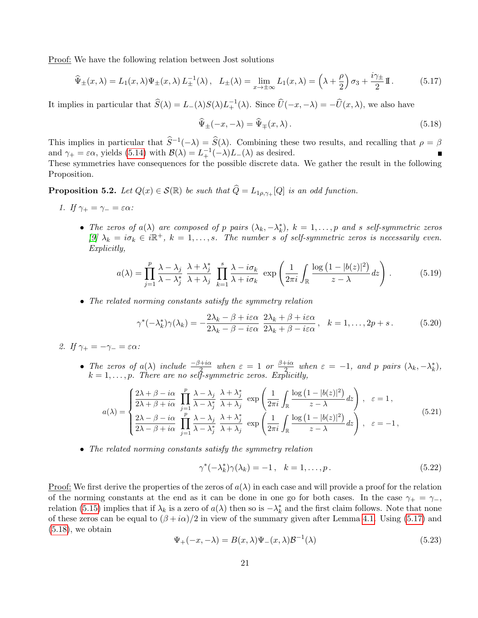Proof: We have the following relation between Jost solutions

<span id="page-20-1"></span>
$$
\widehat{\Psi}_{\pm}(x,\lambda) = L_1(x,\lambda)\Psi_{\pm}(x,\lambda)L_{\pm}^{-1}(\lambda), \quad L_{\pm}(\lambda) = \lim_{x \to \pm \infty} L_1(x,\lambda) = \left(\lambda + \frac{\rho}{2}\right)\sigma_3 + \frac{i\gamma_{\pm}}{2}\mathbb{I}.
$$
 (5.17)

It implies in particular that  $\widehat{S}(\lambda) = L_{-}(\lambda)S(\lambda)L_{+}^{-1}(\lambda)$ . Since  $\widehat{U}(-x, -\lambda) = -\widehat{U}(x, \lambda)$ , we also have

<span id="page-20-2"></span>
$$
\widehat{\Psi}_{\pm}(-x,-\lambda) = \widehat{\Psi}_{\mp}(x,\lambda). \tag{5.18}
$$

This implies in particular that  $\hat{S}^{-1}(-\lambda) = \hat{S}(\lambda)$ . Combining these two results, and recalling that  $\rho = \beta$ and  $\gamma_+ = \varepsilon \alpha$ , yields [\(5.14\)](#page-19-2) with  $\mathcal{B}(\lambda) = L_+^{-1}(-\lambda)L_-(\lambda)$  as desired.

These symmetries have consequences for the possible discrete data. We gather the result in the following Proposition.

<span id="page-20-0"></span>**Proposition 5.2.** Let  $Q(x) \in \mathcal{S}(\mathbb{R})$  be such that  $\widehat{Q} = L_{1\rho,\gamma+} |Q|$  is an odd function.

- 1. If  $\gamma_+ = \gamma_- = \varepsilon \alpha$ :
	- The zeros of  $a(\lambda)$  are composed of p pairs  $(\lambda_k, -\lambda_k^*)$ ,  $k = 1, \ldots, p$  and s self-symmetric zeros [\[9\]](#page-35-4)  $\lambda_k = i\sigma_k \in i\mathbb{R}^+, k = 1, \ldots, s$ . The number s of self-symmetric zeros is necessarily even. Explicitly,

<span id="page-20-3"></span>
$$
a(\lambda) = \prod_{j=1}^{p} \frac{\lambda - \lambda_j}{\lambda - \lambda_j^*} \frac{\lambda + \lambda_j^*}{\lambda + \lambda_j} \prod_{k=1}^{s} \frac{\lambda - i\sigma_k}{\lambda + i\sigma_k} \exp\left(\frac{1}{2\pi i} \int_{\mathbb{R}} \frac{\log(1 - |b(z)|^2)}{z - \lambda} dz\right).
$$
 (5.19)

• The related norming constants satisfy the symmetry relation

<span id="page-20-7"></span>
$$
\gamma^*(-\lambda_k^*)\gamma(\lambda_k) = -\frac{2\lambda_k - \beta + i\varepsilon\alpha}{2\lambda_k - \beta - i\varepsilon\alpha} \frac{2\lambda_k + \beta + i\varepsilon\alpha}{2\lambda_k + \beta - i\varepsilon\alpha}, \quad k = 1, \dots, 2p + s. \tag{5.20}
$$

- 2. If  $\gamma_+ = -\gamma_- = \varepsilon \alpha$ :
	- The zeros of  $a(\lambda)$  include  $\frac{-\beta+i\alpha}{2}$  when  $\varepsilon = 1$  or  $\frac{\beta+i\alpha}{2}$  $\frac{\partial^2 f}{\partial x^2}$  when  $\varepsilon = -1$ , and p pairs  $(\lambda_k, -\lambda_k^*),$  $k = 1, \ldots, p$ . There are no self-symmetric zeros. Explicitly,

<span id="page-20-4"></span>
$$
a(\lambda) = \begin{cases} \frac{2\lambda + \beta - i\alpha}{2\lambda + \beta + i\alpha} \prod_{j=1}^{p} \frac{\lambda - \lambda_j}{\lambda - \lambda_j} \frac{\lambda + \lambda_j^*}{\lambda + \lambda_j} \exp\left(\frac{1}{2\pi i} \int_{\mathbb{R}} \frac{\log(1 - |b(z)|^2)}{z - \lambda} dz\right), & \varepsilon = 1, \\ \frac{2\lambda - \beta - i\alpha}{2\lambda - \beta + i\alpha} \prod_{j=1}^{p} \frac{\lambda - \lambda_j}{\lambda - \lambda_j^*} \frac{\lambda + \lambda_j^*}{\lambda + \lambda_j} \exp\left(\frac{1}{2\pi i} \int_{\mathbb{R}} \frac{\log(1 - |b(z)|^2)}{z - \lambda} dz\right), & \varepsilon = -1, \end{cases}
$$
(5.21)

• The related norming constants satisfy the symmetry relation

<span id="page-20-6"></span>
$$
\gamma^*(-\lambda_k^*)\gamma(\lambda_k) = -1, \quad k = 1, \dots, p. \tag{5.22}
$$

Proof: We first derive the properties of the zeros of  $a(\lambda)$  in each case and will provide a proof for the relation of the norming constants at the end as it can be done in one go for both cases. In the case  $\gamma_+ = \gamma_-,$ relation [\(5.15\)](#page-19-3) implies that if  $\lambda_k$  is a zero of  $a(\lambda)$  then so is  $-\lambda_k^*$  and the first claim follows. Note that none of these zeros can be equal to  $(\beta + i\alpha)/2$  in view of the summary given after Lemma [4.1.](#page-10-2) Using [\(5.17\)](#page-20-1) and  $(5.18)$ , we obtain

<span id="page-20-5"></span>
$$
\Psi_{+}(-x,-\lambda) = B(x,\lambda)\Psi_{-}(x,\lambda)\mathcal{B}^{-1}(\lambda)
$$
\n(5.23)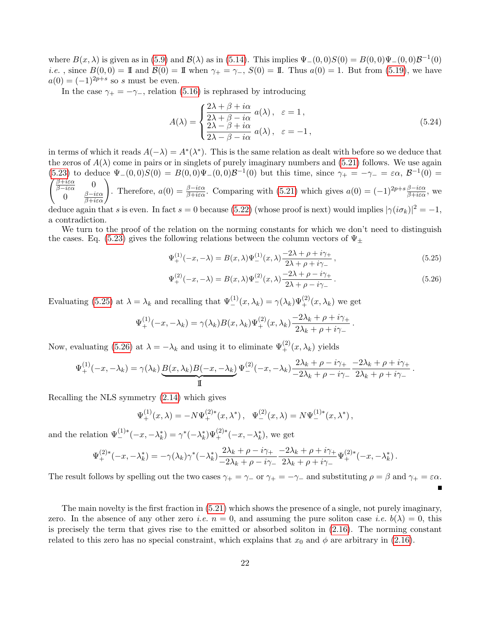where  $B(x, \lambda)$  is given as in [\(5.9\)](#page-19-4) and  $\mathcal{B}(\lambda)$  as in [\(5.14\)](#page-19-2). This implies  $\Psi_-(0,0)S(0) = B(0,0)\Psi_-(0,0)\mathcal{B}^{-1}(0)$ *i.e.*, since  $B(0,0) = \mathbb{I}$  and  $\mathcal{B}(0) = \mathbb{I}$  when  $\gamma_+ = \gamma_-, S(0) = \mathbb{I}$ . Thus  $a(0) = 1$ . But from [\(5.19\)](#page-20-3), we have  $a(0) = (-1)^{2p+s}$  so s must be even.

In the case  $\gamma_+ = -\gamma_-,$  relation [\(5.16\)](#page-19-5) is rephrased by introducing

$$
A(\lambda) = \begin{cases} \frac{2\lambda + \beta + i\alpha}{2\lambda + \beta - i\alpha} a(\lambda), & \varepsilon = 1, \\ \frac{2\lambda - \beta + i\alpha}{2\lambda - \beta - i\alpha} a(\lambda), & \varepsilon = -1, \end{cases}
$$
(5.24)

in terms of which it reads  $A(-\lambda) = A^*(\lambda^*)$ . This is the same relation as dealt with before so we deduce that the zeros of  $A(\lambda)$  come in pairs or in singlets of purely imaginary numbers and [\(5.21\)](#page-20-4) follows. We use again [\(5.23\)](#page-20-5) to deduce  $\Psi_-(0,0)S(0) = B(0,0)\Psi_-(0,0)\mathcal{B}^{-1}(0)$  but this time, since  $\gamma_+ = -\gamma_- = \varepsilon \alpha, \mathcal{B}^{-1}$  $\sqrt{ }$  $(0) =$  $\frac{\beta+i\varepsilon\alpha}{\beta-i\varepsilon\alpha}$  0 0 β−iεα  $\begin{pmatrix} 0 \\ \frac{\beta - i \varepsilon \alpha}{\beta + i \varepsilon \alpha} \end{pmatrix}$ Therefore,  $a(0) = \frac{\beta - i\varepsilon\alpha}{\beta + i\varepsilon\alpha}$ . Comparing with [\(5.21\)](#page-20-4) which gives  $a(0) = (-1)^{2p + s}\frac{\beta - i\varepsilon\alpha}{\beta + i\varepsilon\alpha}$ , we deduce again that s is even. In fact s = 0 because [\(5.22\)](#page-20-6) (whose proof is next) would implies  $|\gamma(i\sigma_k)|^2 = -1$ ,

a contradiction.

We turn to the proof of the relation on the norming constants for which we don't need to distinguish the cases. Eq. [\(5.23\)](#page-20-5) gives the following relations between the column vectors of  $\Psi_{\pm}$ 

<span id="page-21-0"></span>
$$
\Psi_{+}^{(1)}(-x,-\lambda) = B(x,\lambda)\Psi_{-}^{(1)}(x,\lambda)\frac{-2\lambda + \rho + i\gamma_{+}}{2\lambda + \rho + i\gamma_{-}},
$$
\n(5.25)

$$
\Psi_{+}^{(2)}(-x, -\lambda) = B(x, \lambda)\Psi_{-}^{(2)}(x, \lambda)\frac{-2\lambda + \rho - i\gamma_{+}}{2\lambda + \rho - i\gamma_{-}}.
$$
\n(5.26)

Evaluating [\(5.25\)](#page-21-0) at  $\lambda = \lambda_k$  and recalling that  $\Psi_{-}^{(1)}(x, \lambda_k) = \gamma(\lambda_k) \Psi_{+}^{(2)}(x, \lambda_k)$  we get

$$
\Psi_+^{(1)}(-x,-\lambda_k) = \gamma(\lambda_k)B(x,\lambda_k)\Psi_+^{(2)}(x,\lambda_k)\frac{-2\lambda_k + \rho + i\gamma_+}{2\lambda_k + \rho + i\gamma_-}.
$$

Now, evaluating [\(5.26\)](#page-21-0) at  $\lambda = -\lambda_k$  and using it to eliminate  $\Psi_{+}^{(2)}(x, \lambda_k)$  yields

$$
\Psi_+^{(1)}(-x,-\lambda_k) = \gamma(\lambda_k) \underbrace{B(x,\lambda_k)B(-x,-\lambda_k)}_{\text{II}} \Psi_-^{(2)}(-x,-\lambda_k) \frac{2\lambda_k + \rho - i\gamma_+}{-2\lambda_k + \rho - i\gamma_-} \frac{-2\lambda_k + \rho + i\gamma_+}{2\lambda_k + \rho + i\gamma_-}.
$$

Recalling the NLS symmetry [\(2.14\)](#page-4-4) which gives

$$
\Psi_+^{(1)}(x,\lambda) = -N\Psi_+^{(2)*}(x,\lambda^*), \quad \Psi_-^{(2)}(x,\lambda) = N\Psi_-^{(1)*}(x,\lambda^*),
$$

and the relation  $\Psi_{-}^{(1)*}(-x, -\lambda_k^*) = \gamma^*(-\lambda_k^*)\Psi_{+}^{(2)*}(-x, -\lambda_k^*)$ , we get

$$
\Psi_{+}^{(2)*}(-x, -\lambda_{k}^{*}) = -\gamma(\lambda_{k})\gamma^{*}(-\lambda_{k}^{*})\frac{2\lambda_{k}+\rho-i\gamma_{+}}{-2\lambda_{k}+\rho-i\gamma_{-}}\frac{-2\lambda_{k}+\rho+i\gamma_{+}}{2\lambda_{k}+\rho+i\gamma_{-}}\Psi_{+}^{(2)*}(-x, -\lambda_{k}^{*}).
$$

The result follows by spelling out the two cases  $\gamma_+ = \gamma_-$  or  $\gamma_+ = -\gamma_-$  and substituting  $\rho = \beta$  and  $\gamma_+ = \varepsilon \alpha$ . Ē

The main novelty is the first fraction in [\(5.21\)](#page-20-4) which shows the presence of a single, not purely imaginary, zero. In the absence of any other zero *i.e.*  $n = 0$ , and assuming the pure soliton case *i.e.*  $b(\lambda) = 0$ , this is precisely the term that gives rise to the emitted or absorbed soliton in [\(2.16\)](#page-5-0). The norming constant related to this zero has no special constraint, which explains that  $x_0$  and  $\phi$  are arbitrary in [\(2.16\)](#page-5-0).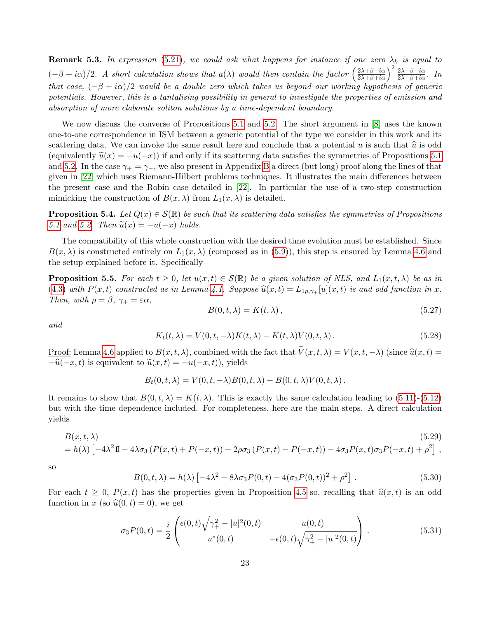**Remark 5.3.** In expression [\(5.21\)](#page-20-4), we could ask what happens for instance if one zero  $\lambda_k$  is equal to  $(-\beta + i\alpha)/2$ . A short calculation shows that  $a(\lambda)$  would then contain the factor  $\left(\frac{2\lambda+\beta-i\alpha}{2\lambda+\beta+i\alpha}\right)^2 \frac{2\lambda-\beta-i\alpha}{2\lambda-\beta+i\alpha}$ . In that case,  $(-\beta + i\alpha)/2$  would be a double zero which takes us beyond our working hypothesis of generic potentials. However, this is a tantalising possibility in general to investigate the properties of emission and absorption of more elaborate soliton solutions by a time-dependent boundary.

We now discuss the converse of Propositions [5.1](#page-19-0) and [5.2.](#page-20-0) The short argument in [\[8\]](#page-35-2) uses the known one-to-one correspondence in ISM between a generic potential of the type we consider in this work and its scattering data. We can invoke the same result here and conclude that a potential u is such that  $\hat{u}$  is odd (equivalently  $\tilde{u}(x) = -u(-x)$ ) if and only if its scattering data satisfies the symmetries of Propositions [5.1](#page-19-0) and [5.2.](#page-20-0) In the case  $\gamma_+ = \gamma_-,$  we also present in Appendix [B](#page-32-0) a direct (but long) proof along the lines of that given in [\[22\]](#page-36-6) which uses Riemann-Hilbert problems techniques. It illustrates the main differences between the present case and the Robin case detailed in [\[22\]](#page-36-6). In particular the use of a two-step construction mimicking the construction of  $B(x, \lambda)$  from  $L_1(x, \lambda)$  is detailed.

<span id="page-22-0"></span>**Proposition 5.4.** Let  $Q(x) \in \mathcal{S}(\mathbb{R})$  be such that its scattering data satisfies the symmetries of Propositions [5.1](#page-19-0) and [5.2.](#page-20-0) Then  $\widetilde{u}(x) = -u(-x)$  holds.

The compatibility of this whole construction with the desired time evolution must be established. Since  $B(x, \lambda)$  is constructed entirely on  $L_1(x, \lambda)$  (composed as in [\(5.9\)](#page-19-4)), this step is ensured by Lemma [4.6](#page-14-2) and the setup explained before it. Specifically

**Proposition 5.5.** For each  $t \geq 0$ , let  $u(x,t) \in \mathcal{S}(\mathbb{R})$  be a given solution of NLS, and  $L_1(x,t,\lambda)$  be as in [\(4.3\)](#page-11-2) with  $P(x, t)$  constructed as in Lemma [4.1.](#page-10-2) Suppose  $\hat{u}(x, t) = L_{1\rho, \gamma_+}[u](x, t)$  is and odd function in x. Then, with  $\rho = \beta$ ,  $\gamma_+ = \varepsilon \alpha$ ,

$$
B(0, t, \lambda) = K(t, \lambda), \qquad (5.27)
$$

and

$$
K_t(t,\lambda) = V(0,t,-\lambda)K(t,\lambda) - K(t,\lambda)V(0,t,\lambda).
$$
\n(5.28)

Proof: Lemma [4.6](#page-14-2) applied to  $B(x, t, \lambda)$ , combined with the fact that  $\widetilde{V}(x, t, \lambda) = V(x, t, -\lambda)$  (since  $\widehat{u}(x, t) =$  $-\widehat{u}(-x, t)$  is equivalent to  $\widetilde{u}(x, t) = -u(-x, t)$ , yields

$$
B_t(0, t, \lambda) = V(0, t, -\lambda)B(0, t, \lambda) - B(0, t, \lambda)V(0, t, \lambda).
$$

It remains to show that  $B(0, t, \lambda) = K(t, \lambda)$ . This is exactly the same calculation leading to [\(5.11\)](#page-19-6)-[\(5.12\)](#page-19-7) but with the time dependence included. For completeness, here are the main steps. A direct calculation yields

<span id="page-22-1"></span>
$$
B(x,t,\lambda)
$$
\n
$$
(5.29)
$$
\n
$$
= h(\lambda) \left[ -4\lambda^2 \mathbb{I} - 4\lambda \sigma_3 \left( P(x,t) + P(-x,t) \right) + 2\rho \sigma_3 \left( P(x,t) - P(-x,t) \right) - 4\sigma_3 P(x,t) \sigma_3 P(-x,t) + \rho^2 \right],
$$
\n
$$
(5.29)
$$

so

$$
B(0, t, \lambda) = h(\lambda) \left[ -4\lambda^2 - 8\lambda \sigma_3 P(0, t) - 4(\sigma_3 P(0, t))^2 + \rho^2 \right].
$$
 (5.30)

For each  $t \geq 0$ ,  $P(x,t)$  has the properties given in Proposition [4.5](#page-13-4) so, recalling that  $\hat{u}(x,t)$  is an odd function in x (so  $\hat{u}(0, t) = 0$ ), we get

$$
\sigma_3 P(0,t) = \frac{i}{2} \begin{pmatrix} \epsilon(0,t) \sqrt{\gamma_+^2 - |u|^2(0,t)} & u(0,t) \\ u^*(0,t) & -\epsilon(0,t) \sqrt{\gamma_+^2 - |u|^2(0,t)} \end{pmatrix} . \tag{5.31}
$$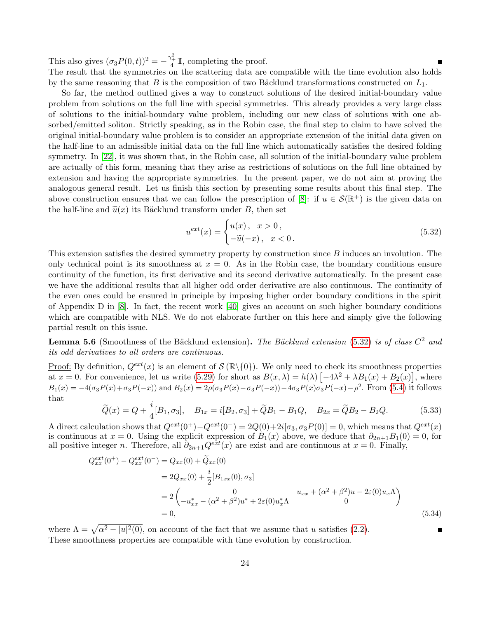This also gives  $(\sigma_3 P(0, t))^2 = -\frac{\gamma_+^2}{4} \mathbb{I}$ , completing the proof. The result that the symmetries on the scattering data are compatible with the time evolution also holds by the same reasoning that B is the composition of two Bäcklund transformations constructed on  $L_1$ .

So far, the method outlined gives a way to construct solutions of the desired initial-boundary value problem from solutions on the full line with special symmetries. This already provides a very large class of solutions to the initial-boundary value problem, including our new class of solutions with one absorbed/emitted soliton. Strictly speaking, as in the Robin case, the final step to claim to have solved the original initial-boundary value problem is to consider an appropriate extension of the initial data given on the half-line to an admissible initial data on the full line which automatically satisfies the desired folding symmetry. In [\[22\]](#page-36-6), it was shown that, in the Robin case, all solution of the initial-boundary value problem are actually of this form, meaning that they arise as restrictions of solutions on the full line obtained by extension and having the appropriate symmetries. In the present paper, we do not aim at proving the analogous general result. Let us finish this section by presenting some results about this final step. The above construction ensures that we can follow the prescription of [\[8\]](#page-35-2): if  $u \in \mathcal{S}(\mathbb{R}^+)$  is the given data on the half-line and  $\tilde{u}(x)$  its Bäcklund transform under B, then set

<span id="page-23-0"></span>
$$
u^{ext}(x) = \begin{cases} u(x), & x > 0, \\ -\tilde{u}(-x), & x < 0. \end{cases}
$$
 (5.32)

This extension satisfies the desired symmetry property by construction since B induces an involution. The only technical point is its smoothness at  $x = 0$ . As in the Robin case, the boundary conditions ensure continuity of the function, its first derivative and its second derivative automatically. In the present case we have the additional results that all higher odd order derivative are also continuous. The continuity of the even ones could be ensured in principle by imposing higher order boundary conditions in the spirit of Appendix D in [\[8\]](#page-35-2). In fact, the recent work [\[40\]](#page-37-3) gives an account on such higher boundary conditions which are compatible with NLS. We do not elaborate further on this here and simply give the following partial result on this issue.

**Lemma 5.6** (Smoothness of the Bäcklund extension). The Bäcklund extension [\(5.32\)](#page-23-0) is of class  $C^2$  and its odd derivatives to all orders are continuous.

Proof: By definition,  $Q^{ext}(x)$  is an element of  $\mathcal{S}(\mathbb{R}\setminus\{0\})$ . We only need to check its smoothness properties at  $x = 0$ . For convenience, let us write [\(5.29\)](#page-22-1) for short as  $B(x, \lambda) = h(\lambda) \left[ -4\lambda^2 + \lambda B_1(x) + B_2(x) \right]$ , where  $B_1(x) = -4(\sigma_3 P(x) + \sigma_3 P(-x))$  and  $B_2(x) = 2\rho(\sigma_3 P(x) - \sigma_3 P(-x)) - 4\sigma_3 P(x)\sigma_3 P(-x) - \rho^2$ . From [\(5.4\)](#page-18-1) it follows that

$$
\widetilde{Q}(x) = Q + \frac{i}{4}[B_1, \sigma_3], \quad B_{1x} = i[B_2, \sigma_3] + \widetilde{Q}B_1 - B_1Q, \quad B_{2x} = \widetilde{Q}B_2 - B_2Q. \tag{5.33}
$$

A direct calculation shows that  $Q^{ext}(0^+) - Q^{ext}(0^-) = 2Q(0) + 2i[\sigma_3, \sigma_3 P(0)] = 0$ , which means that  $Q^{ext}(x)$ is continuous at  $x = 0$ . Using the explicit expression of  $B_1(x)$  above, we deduce that  $\partial_{2n+1}B_1(0) = 0$ , for all positive integer n. Therefore, all  $\partial_{2n+1}Q^{ext}(x)$  are exist and are continuous at  $x=0$ . Finally,

$$
Q_{xx}^{ext}(0^{+}) - Q_{xx}^{ext}(0^{-}) = Q_{xx}(0) + \tilde{Q}_{xx}(0)
$$
  
=  $2Q_{xx}(0) + \frac{i}{2}[B_{1xx}(0), \sigma_3]$   
=  $2\begin{pmatrix} 0 & u_{xx} + (\alpha^2 + \beta^2)u - 2\varepsilon(0)u_x\Lambda \\ -u_{xx}^* - (\alpha^2 + \beta^2)u^* + 2\varepsilon(0)u_x^*\Lambda & 0 \end{pmatrix}$   
= 0, (5.34)

where  $\Lambda = \sqrt{\alpha^2 - |u|^2(0)}$ , on account of the fact that we assume that u satisfies [\(2.2\)](#page-3-0). These smoothness properties are compatible with time evolution by construction.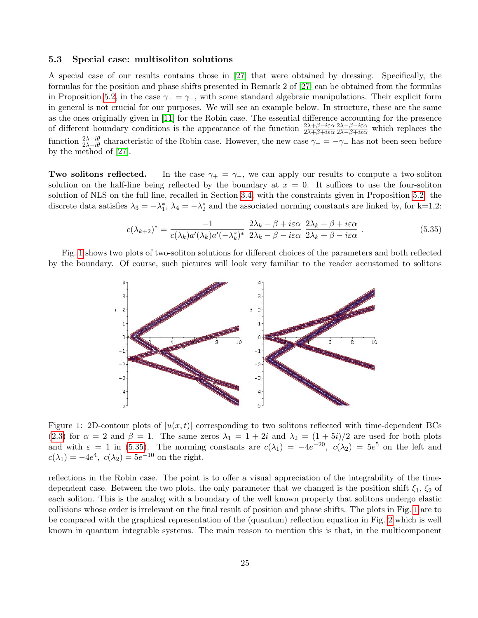### <span id="page-24-0"></span>5.3 Special case: multisoliton solutions

A special case of our results contains those in [\[27\]](#page-36-9) that were obtained by dressing. Specifically, the formulas for the position and phase shifts presented in Remark 2 of [\[27\]](#page-36-9) can be obtained from the formulas in Proposition [5.2,](#page-20-0) in the case  $\gamma_+ = \gamma_-,$  with some standard algebraic manipulations. Their explicit form in general is not crucial for our purposes. We will see an example below. In structure, these are the same as the ones originally given in [\[11\]](#page-35-3) for the Robin case. The essential difference accounting for the presence of different boundary conditions is the appearance of the function  $\frac{2\lambda+\beta-i\varepsilon\alpha}{2\lambda+\beta+i\varepsilon\alpha}$  $\frac{2\lambda-\beta-i\varepsilon\alpha}{2\lambda-\beta+i\varepsilon\alpha}$  which replaces the function  $\frac{2\lambda-i\theta}{2\lambda+i\theta}$  characteristic of the Robin case. However, the new case  $\gamma_+=-\gamma_-$  has not been seen before by the method of [\[27\]](#page-36-9).

**Two solitons reflected.** In the case  $\gamma_+ = \gamma_-,$  we can apply our results to compute a two-soliton solution on the half-line being reflected by the boundary at  $x = 0$ . It suffices to use the four-soliton solution of NLS on the full line, recalled in Section [3.4,](#page-10-3) with the constraints given in Proposition [5.2:](#page-20-0) the discrete data satisfies  $\lambda_3 = -\lambda_1^*$ ,  $\lambda_4 = -\lambda_2^*$  and the associated norming constants are linked by, for k=1,2:

<span id="page-24-2"></span>
$$
c(\lambda_{k+2})^* = \frac{-1}{c(\lambda_k)a'(\lambda_k)a'(-\lambda_k^*)^*} \frac{2\lambda_k - \beta + i\varepsilon\alpha}{2\lambda_k - \beta - i\varepsilon\alpha} \frac{2\lambda_k + \beta + i\varepsilon\alpha}{2\lambda_k + \beta - i\varepsilon\alpha}.
$$
 (5.35)

Fig. [1](#page-24-1) shows two plots of two-soliton solutions for different choices of the parameters and both reflected by the boundary. Of course, such pictures will look very familiar to the reader accustomed to solitons



<span id="page-24-1"></span>Figure 1: 2D-contour plots of  $|u(x,t)|$  corresponding to two solitons reflected with time-dependent BCs [\(2.3\)](#page-3-2) for  $\alpha = 2$  and  $\beta = 1$ . The same zeros  $\lambda_1 = 1 + 2i$  and  $\lambda_2 = (1 + 5i)/2$  are used for both plots and with  $\varepsilon = 1$  in [\(5.35\)](#page-24-2). The norming constants are  $c(\lambda_1) = -4e^{-20}$ ,  $c(\lambda_2) = 5e^5$  on the left and  $c(\lambda_1) = -4e^4$ ,  $c(\lambda_2) = 5e^{-10}$  on the right.

reflections in the Robin case. The point is to offer a visual appreciation of the integrability of the timedependent case. Between the two plots, the only parameter that we changed is the position shift  $\xi_1, \xi_2$  of each soliton. This is the analog with a boundary of the well known property that solitons undergo elastic collisions whose order is irrelevant on the final result of position and phase shifts. The plots in Fig. [1](#page-24-1) are to be compared with the graphical representation of the (quantum) reflection equation in Fig. [2](#page-25-0) which is well known in quantum integrable systems. The main reason to mention this is that, in the multicomponent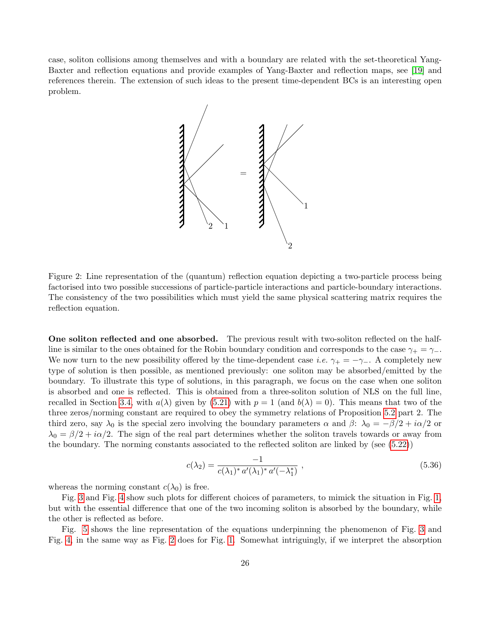case, soliton collisions among themselves and with a boundary are related with the set-theoretical Yang-Baxter and reflection equations and provide examples of Yang-Baxter and reflection maps, see [\[19\]](#page-36-13) and references therein. The extension of such ideas to the present time-dependent BCs is an interesting open problem.



<span id="page-25-0"></span>Figure 2: Line representation of the (quantum) reflection equation depicting a two-particle process being factorised into two possible successions of particle-particle interactions and particle-boundary interactions. The consistency of the two possibilities which must yield the same physical scattering matrix requires the reflection equation.

One soliton reflected and one absorbed. The previous result with two-soliton reflected on the halfline is similar to the ones obtained for the Robin boundary condition and corresponds to the case  $\gamma_+ = \gamma_-$ . We now turn to the new possibility offered by the time-dependent case *i.e.*  $\gamma_+ = -\gamma_-$ . A completely new type of solution is then possible, as mentioned previously: one soliton may be absorbed/emitted by the boundary. To illustrate this type of solutions, in this paragraph, we focus on the case when one soliton is absorbed and one is reflected. This is obtained from a three-soliton solution of NLS on the full line, recalled in Section [3.4,](#page-10-3) with  $a(\lambda)$  given by [\(5.21\)](#page-20-4) with  $p = 1$  (and  $b(\lambda) = 0$ ). This means that two of the three zeros/norming constant are required to obey the symmetry relations of Proposition [5.2](#page-20-0) part 2. The third zero, say  $\lambda_0$  is the special zero involving the boundary parameters  $\alpha$  and  $\beta$ :  $\lambda_0 = -\beta/2 + i\alpha/2$  or  $\lambda_0 = \beta/2 + i\alpha/2$ . The sign of the real part determines whether the soliton travels towards or away from the boundary. The norming constants associated to the reflected soliton are linked by (see [\(5.22\)](#page-20-6))

$$
c(\lambda_2) = \frac{-1}{c(\lambda_1)^* a'(\lambda_1)^* a'(-\lambda_1^*)},
$$
\n(5.36)

whereas the norming constant  $c(\lambda_0)$  is free.

Fig. [3](#page-26-0) and Fig. [4](#page-26-1) show such plots for different choices of parameters, to mimick the situation in Fig. [1,](#page-24-1) but with the essential difference that one of the two incoming soliton is absorbed by the boundary, while the other is reflected as before.

Fig. [5](#page-27-1) shows the line representation of the equations underpinning the phenomenon of Fig. [3](#page-26-0) and Fig. [4,](#page-26-1) in the same way as Fig. [2](#page-25-0) does for Fig. [1.](#page-24-1) Somewhat intriguingly, if we interpret the absorption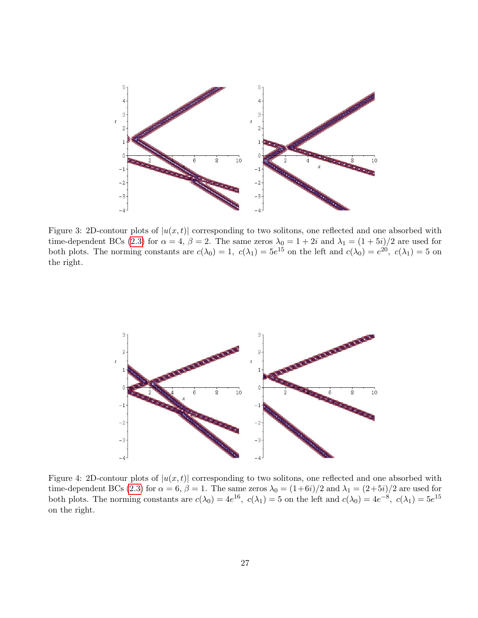

<span id="page-26-0"></span>Figure 3: 2D-contour plots of  $|u(x,t)|$  corresponding to two solitons, one reflected and one absorbed with time-dependent BCs [\(2.3\)](#page-3-2) for  $\alpha = 4$ ,  $\beta = 2$ . The same zeros  $\lambda_0 = 1 + 2i$  and  $\lambda_1 = (1 + 5i)/2$  are used for both plots. The norming constants are  $c(\lambda_0) = 1$ ,  $c(\lambda_1) = 5e^{15}$  on the left and  $c(\lambda_0) = e^{20}$ ,  $c(\lambda_1) = 5$  on the right.



<span id="page-26-1"></span>Figure 4: 2D-contour plots of  $|u(x,t)|$  corresponding to two solitons, one reflected and one absorbed with time-dependent BCs [\(2.3\)](#page-3-2) for  $\alpha = 6$ ,  $\beta = 1$ . The same zeros  $\lambda_0 = (1+6i)/2$  and  $\lambda_1 = (2+5i)/2$  are used for both plots. The norming constants are  $c(\lambda_0) = 4e^{16}$ ,  $c(\lambda_1) = 5$  on the left and  $c(\lambda_0) = 4e^{-8}$ ,  $c(\lambda_1) = 5e^{15}$ on the right.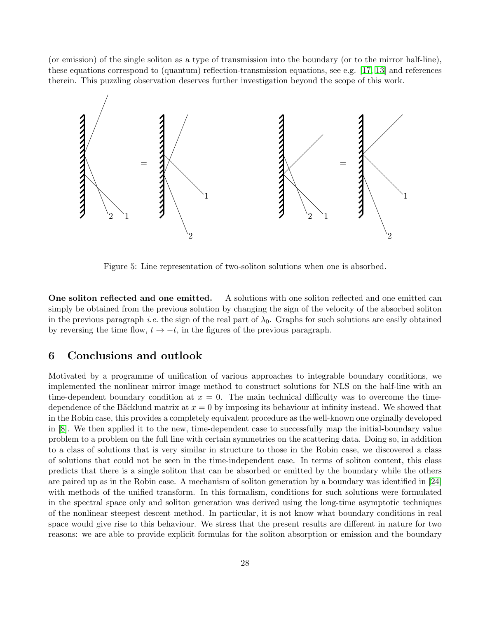(or emission) of the single soliton as a type of transmission into the boundary (or to the mirror half-line), these equations correspond to (quantum) reflection-transmission equations, see e.g. [\[17,](#page-36-14) [13\]](#page-35-15) and references therein. This puzzling observation deserves further investigation beyond the scope of this work.



<span id="page-27-1"></span>Figure 5: Line representation of two-soliton solutions when one is absorbed.

One soliton reflected and one emitted. A solutions with one soliton reflected and one emitted can simply be obtained from the previous solution by changing the sign of the velocity of the absorbed soliton in the previous paragraph *i.e.* the sign of the real part of  $\lambda_0$ . Graphs for such solutions are easily obtained by reversing the time flow,  $t \to -t$ , in the figures of the previous paragraph.

# <span id="page-27-0"></span>6 Conclusions and outlook

Motivated by a programme of unification of various approaches to integrable boundary conditions, we implemented the nonlinear mirror image method to construct solutions for NLS on the half-line with an time-dependent boundary condition at  $x = 0$ . The main technical difficulty was to overcome the timedependence of the Bäcklund matrix at  $x = 0$  by imposing its behaviour at infinity instead. We showed that in the Robin case, this provides a completely equivalent procedure as the well-known one orginally developed in [\[8\]](#page-35-2). We then applied it to the new, time-dependent case to successfully map the initial-boundary value problem to a problem on the full line with certain symmetries on the scattering data. Doing so, in addition to a class of solutions that is very similar in structure to those in the Robin case, we discovered a class of solutions that could not be seen in the time-independent case. In terms of soliton content, this class predicts that there is a single soliton that can be absorbed or emitted by the boundary while the others are paired up as in the Robin case. A mechanism of soliton generation by a boundary was identified in [\[24\]](#page-36-15) with methods of the unified transform. In this formalism, conditions for such solutions were formulated in the spectral space only and soliton generation was derived using the long-time asymptotic techniques of the nonlinear steepest descent method. In particular, it is not know what boundary conditions in real space would give rise to this behaviour. We stress that the present results are different in nature for two reasons: we are able to provide explicit formulas for the soliton absorption or emission and the boundary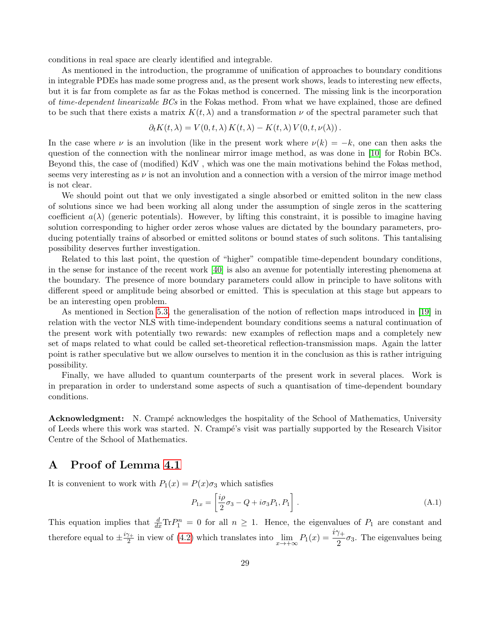conditions in real space are clearly identified and integrable.

As mentioned in the introduction, the programme of unification of approaches to boundary conditions in integrable PDEs has made some progress and, as the present work shows, leads to interesting new effects, but it is far from complete as far as the Fokas method is concerned. The missing link is the incorporation of time-dependent linearizable BCs in the Fokas method. From what we have explained, those are defined to be such that there exists a matrix  $K(t, \lambda)$  and a transformation  $\nu$  of the spectral parameter such that

$$
\partial_t K(t,\lambda) = V(0,t,\lambda) K(t,\lambda) - K(t,\lambda) V(0,t,\nu(\lambda)).
$$

In the case where  $\nu$  is an involution (like in the present work where  $\nu(k) = -k$ , one can then asks the question of the connection with the nonlinear mirror image method, as was done in [\[10\]](#page-35-10) for Robin BCs. Beyond this, the case of (modified) KdV , which was one the main motivations behind the Fokas method, seems very interesting as  $\nu$  is not an involution and a connection with a version of the mirror image method is not clear.

We should point out that we only investigated a single absorbed or emitted soliton in the new class of solutions since we had been working all along under the assumption of single zeros in the scattering coefficient  $a(\lambda)$  (generic potentials). However, by lifting this constraint, it is possible to imagine having solution corresponding to higher order zeros whose values are dictated by the boundary parameters, producing potentially trains of absorbed or emitted solitons or bound states of such solitons. This tantalising possibility deserves further investigation.

Related to this last point, the question of "higher" compatible time-dependent boundary conditions, in the sense for instance of the recent work [\[40\]](#page-37-3) is also an avenue for potentially interesting phenomena at the boundary. The presence of more boundary parameters could allow in principle to have solitons with different speed or amplitude being absorbed or emitted. This is speculation at this stage but appears to be an interesting open problem.

As mentioned in Section [5.3,](#page-24-0) the generalisation of the notion of reflection maps introduced in [\[19\]](#page-36-13) in relation with the vector NLS with time-independent boundary conditions seems a natural continuation of the present work with potentially two rewards: new examples of reflection maps and a completely new set of maps related to what could be called set-theoretical reflection-transmission maps. Again the latter point is rather speculative but we allow ourselves to mention it in the conclusion as this is rather intriguing possibility.

Finally, we have alluded to quantum counterparts of the present work in several places. Work is in preparation in order to understand some aspects of such a quantisation of time-dependent boundary conditions.

**Acknowledgment:** N. Crampé acknowledges the hospitality of the School of Mathematics, University of Leeds where this work was started. N. Cramp´e's visit was partially supported by the Research Visitor Centre of the School of Mathematics.

# <span id="page-28-0"></span>A Proof of Lemma [4.1](#page-10-2)

It is convenient to work with  $P_1(x) = P(x)\sigma_3$  which satisfies

<span id="page-28-1"></span>
$$
P_{1x} = \left[\frac{i\rho}{2}\sigma_3 - Q + i\sigma_3 P_1, P_1\right].\tag{A.1}
$$

This equation implies that  $\frac{d}{dx} \text{Tr} P_1^n = 0$  for all  $n \geq 1$ . Hence, the eigenvalues of  $P_1$  are constant and therefore equal to  $\pm \frac{i\gamma_+}{2}$  $\frac{\gamma_+}{2}$  in view of [\(4.2\)](#page-11-0) which translates into  $\lim_{x \to +\infty} P_1(x) = \frac{i\gamma_+}{2} \sigma_3$ . The eigenvalues being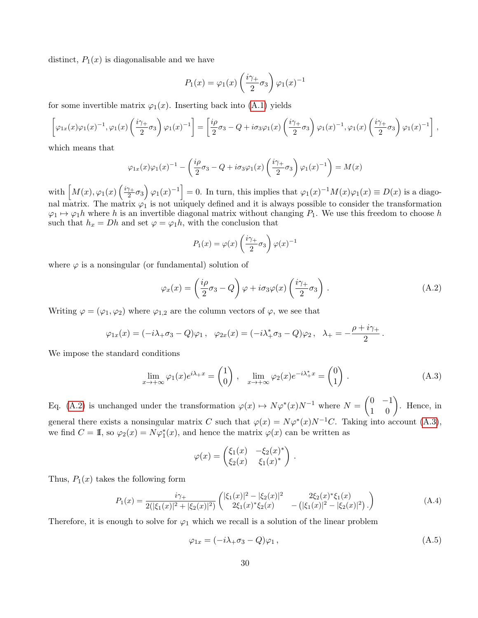distinct,  $P_1(x)$  is diagonalisable and we have

$$
P_1(x) = \varphi_1(x) \left(\frac{i\gamma_+}{2}\sigma_3\right) \varphi_1(x)^{-1}
$$

for some invertible matrix  $\varphi_1(x)$ . Inserting back into [\(A.1\)](#page-28-1) yields

$$
\left[\varphi_{1x}(x)\varphi_{1}(x)^{-1},\varphi_{1}(x)\left(\frac{i\gamma_{+}}{2}\sigma_{3}\right)\varphi_{1}(x)^{-1}\right]=\left[\frac{i\rho}{2}\sigma_{3}-Q+i\sigma_{3}\varphi_{1}(x)\left(\frac{i\gamma_{+}}{2}\sigma_{3}\right)\varphi_{1}(x)^{-1},\varphi_{1}(x)\left(\frac{i\gamma_{+}}{2}\sigma_{3}\right)\varphi_{1}(x)^{-1}\right],
$$

which means that

$$
\varphi_{1x}(x)\varphi_{1}(x)^{-1} - \left(\frac{i\rho}{2}\sigma_{3} - Q + i\sigma_{3}\varphi_{1}(x)\left(\frac{i\gamma_{+}}{2}\sigma_{3}\right)\varphi_{1}(x)^{-1}\right) = M(x)
$$

with  $\left[ M(x), \varphi_1(x) \left( \frac{i\gamma_+}{2} \right) \right]$  $\left[\frac{\gamma_+}{2}\sigma_3\right]\varphi_1(x)^{-1}\big] = 0.$  In turn, this implies that  $\varphi_1(x)^{-1}M(x)\varphi_1(x) \equiv D(x)$  is a diagonal matrix. The matrix  $\varphi_1$  is not uniquely defined and it is always possible to consider the transformation  $\varphi_1 \mapsto \varphi_1 h$  where h is an invertible diagonal matrix without changing  $P_1$ . We use this freedom to choose h such that  $h_x = Dh$  and set  $\varphi = \varphi_1 h$ , with the conclusion that

$$
P_1(x) = \varphi(x) \left(\frac{i\gamma_+}{2}\sigma_3\right) \varphi(x)^{-1}
$$

where  $\varphi$  is a nonsingular (or fundamental) solution of

<span id="page-29-1"></span>
$$
\varphi_x(x) = \left(\frac{i\rho}{2}\sigma_3 - Q\right)\varphi + i\sigma_3\varphi(x)\left(\frac{i\gamma_+}{2}\sigma_3\right). \tag{A.2}
$$

Writing  $\varphi = (\varphi_1, \varphi_2)$  where  $\varphi_{1,2}$  are the column vectors of  $\varphi$ , we see that

$$
\varphi_{1x}(x) = (-i\lambda_+\sigma_3 - Q)\varphi_1, \quad \varphi_{2x}(x) = (-i\lambda_+^*\sigma_3 - Q)\varphi_2, \quad \lambda_+ = -\frac{\rho + i\gamma_+}{2}.
$$

We impose the standard conditions

<span id="page-29-2"></span>
$$
\lim_{x \to +\infty} \varphi_1(x) e^{i\lambda_+ x} = \begin{pmatrix} 1 \\ 0 \end{pmatrix}, \quad \lim_{x \to +\infty} \varphi_2(x) e^{-i\lambda_+^* x} = \begin{pmatrix} 0 \\ 1 \end{pmatrix}.
$$
 (A.3)

Eq. [\(A.2\)](#page-29-1) is unchanged under the transformation  $\varphi(x) \mapsto N\varphi^*(x)N^{-1}$  where  $N = \begin{pmatrix} 0 & -1 \\ 1 & 0 \end{pmatrix}$ . Hence, in general there exists a nonsingular matrix C such that  $\varphi(x) = N\varphi^*(x)N^{-1}C$ . Taking into account [\(A.3\)](#page-29-2), we find  $C = \mathbb{I}$ , so  $\varphi_2(x) = N\varphi_1^*(x)$ , and hence the matrix  $\varphi(x)$  can be written as

$$
\varphi(x) = \begin{pmatrix} \xi_1(x) & -\xi_2(x)^* \\ \xi_2(x) & \xi_1(x)^* \end{pmatrix}.
$$

Thus,  $P_1(x)$  takes the following form

<span id="page-29-0"></span>
$$
P_1(x) = \frac{i\gamma_+}{2(|\xi_1(x)|^2 + |\xi_2(x)|^2)} \begin{pmatrix} |\xi_1(x)|^2 - |\xi_2(x)|^2 & 2\xi_2(x)^* \xi_1(x) \\ 2\xi_1(x)^* \xi_2(x) & -(|\xi_1(x)|^2 - |\xi_2(x)|^2) \end{pmatrix} \tag{A.4}
$$

Therefore, it is enough to solve for  $\varphi_1$  which we recall is a solution of the linear problem

<span id="page-29-3"></span>
$$
\varphi_{1x} = (-i\lambda_+\sigma_3 - Q)\varphi_1, \qquad (A.5)
$$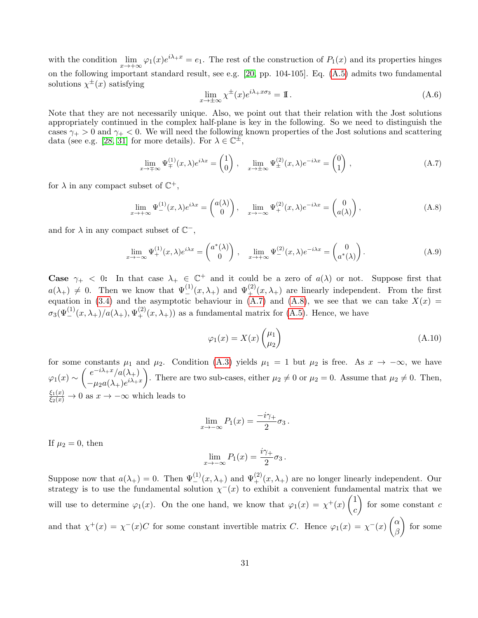with the condition  $\lim_{x\to+\infty} \varphi_1(x)e^{i\lambda+x} = e_1$ . The rest of the construction of  $P_1(x)$  and its properties hinges on the following important standard result, see e.g. [\[20,](#page-36-16) pp. 104-105]. Eq. [\(A.5\)](#page-29-3) admits two fundamental solutions  $\chi^{\pm}(x)$  satisfying

$$
\lim_{x \to \pm \infty} \chi^{\pm}(x) e^{i\lambda + x\sigma_3} = \mathbb{I} \,. \tag{A.6}
$$

Note that they are not necessarily unique. Also, we point out that their relation with the Jost solutions appropriately continued in the complex half-plane is key in the following. So we need to distinguish the cases  $\gamma_+ > 0$  and  $\gamma_+ < 0$ . We will need the following known properties of the Jost solutions and scattering data (see e.g. [\[28,](#page-36-17) [31\]](#page-36-11) for more details). For  $\lambda \in \mathbb{C}^{\pm}$ ,

<span id="page-30-1"></span>
$$
\lim_{x \to \pm \infty} \Psi_{\pm}^{(1)}(x,\lambda) e^{i\lambda x} = \begin{pmatrix} 1 \\ 0 \end{pmatrix}, \quad \lim_{x \to \pm \infty} \Psi_{\pm}^{(2)}(x,\lambda) e^{-i\lambda x} = \begin{pmatrix} 0 \\ 1 \end{pmatrix}, \tag{A.7}
$$

for  $\lambda$  in any compact subset of  $\mathbb{C}^+$ ,

<span id="page-30-2"></span>
$$
\lim_{x \to +\infty} \Psi_{-}^{(1)}(x,\lambda)e^{i\lambda x} = \begin{pmatrix} a(\lambda) \\ 0 \end{pmatrix}, \quad \lim_{x \to -\infty} \Psi_{+}^{(2)}(x,\lambda)e^{-i\lambda x} = \begin{pmatrix} 0 \\ a(\lambda) \end{pmatrix},
$$
\n(A.8)

and for  $\lambda$  in any compact subset of  $\mathbb{C}^{-}$ ,

<span id="page-30-3"></span>
$$
\lim_{x \to -\infty} \Psi_+^{(1)}(x,\lambda) e^{i\lambda x} = \begin{pmatrix} a^*(\lambda) \\ 0 \end{pmatrix}, \quad \lim_{x \to +\infty} \Psi_-^{(2)}(x,\lambda) e^{-i\lambda x} = \begin{pmatrix} 0 \\ a^*(\lambda) \end{pmatrix}.
$$
 (A.9)

Case  $\gamma_+$  < 0: In that case  $\lambda_+ \in \mathbb{C}^+$  and it could be a zero of  $a(\lambda)$  or not. Suppose first that  $a(\lambda_+) \neq 0$ . Then we know that  $\Psi_{-}^{(1)}(x,\lambda_+)$  and  $\Psi_{+}^{(2)}(x,\lambda_+)$  are linearly independent. From the first equation in [\(3.4\)](#page-8-2) and the asymptotic behaviour in [\(A.7\)](#page-30-1) and [\(A.8\)](#page-30-2), we see that we can take  $X(x) =$  $\sigma_3(\Psi_-^{(1)}(x,\lambda_+)/a(\lambda_+),\Psi_+^{(2)}(x,\lambda_+))$  as a fundamental matrix for [\(A.5\)](#page-29-3). Hence, we have

<span id="page-30-0"></span>
$$
\varphi_1(x) = X(x) \begin{pmatrix} \mu_1 \\ \mu_2 \end{pmatrix} \tag{A.10}
$$

for some constants  $\mu_1$  and  $\mu_2$ . Condition [\(A.3\)](#page-29-2) yields  $\mu_1 = 1$  but  $\mu_2$  is free. As  $x \to -\infty$ , we have ϕ1(x) ∼ e <sup>−</sup>iλ+x/a(λ+)  $-\mu_2 a(\lambda_+)e^{i\lambda_+ x}$ ). There are two sub-cases, either  $\mu_2 \neq 0$  or  $\mu_2 = 0$ . Assume that  $\mu_2 \neq 0$ . Then,  $\frac{\xi_1(x)}{\xi_2(x)} \to 0$  as  $x \to -\infty$  which leads to

$$
\lim_{x \to -\infty} P_1(x) = \frac{-i\gamma_+}{2} \sigma_3.
$$

If  $\mu_2 = 0$ , then

$$
\lim_{x \to -\infty} P_1(x) = \frac{i\gamma_+}{2} \sigma_3 \, .
$$

Suppose now that  $a(\lambda_+) = 0$ . Then  $\Psi_{-}^{(1)}(x, \lambda_+)$  and  $\Psi_{+}^{(2)}(x, \lambda_+)$  are no longer linearly independent. Our strategy is to use the fundamental solution  $\chi^-(x)$  to exhibit a convenient fundamental matrix that we will use to determine  $\varphi_1(x)$ . On the one hand, we know that  $\varphi_1(x) = \chi^+(x) \begin{pmatrix} 1 \\ 1 \end{pmatrix}$ c for some constant  $c$ and that  $\chi^+(x) = \chi^-(x)C$  for some constant invertible matrix C. Hence  $\varphi_1(x) = \chi^-(x) \begin{pmatrix} \alpha & 0 \\ 0 & \alpha \end{pmatrix}$ β  $\Big)$  for some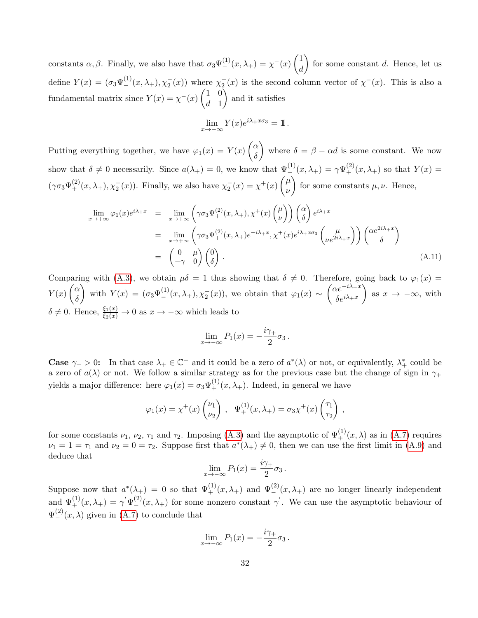constants  $\alpha, \beta$ . Finally, we also have that  $\sigma_3 \Psi_{-}^{(1)}(x, \lambda_+) = \chi_{-}^{-}(x) \begin{pmatrix} 1 \\ d \end{pmatrix}$ d for some constant d. Hence, let us define  $Y(x) = (\sigma_3 \Psi_{-}^{(1)}(x, \lambda_+), \chi_2^-(x))$  where  $\chi_2^-(x)$  is the second column vector of  $\chi^-(x)$ . This is also a fundamental matrix since  $Y(x) = \chi^{-}(x) \begin{pmatrix} 1 & 0 \\ 1 & 1 \end{pmatrix}$  $d<sub>1</sub>$ and it satisfies

$$
\lim_{x \to -\infty} Y(x)e^{i\lambda + x\sigma_3} = \mathbb{I}.
$$

Putting everything together, we have  $\varphi_1(x) = Y(x) \begin{pmatrix} \alpha \\ s \end{pmatrix}$ δ where  $\delta = \beta - \alpha d$  is some constant. We now show that  $\delta \neq 0$  necessarily. Since  $a(\lambda_+) = 0$ , we know that  $\Psi_{-}^{(1)}(x, \lambda_+) = \gamma \Psi_{+}^{(2)}(x, \lambda_+)$  so that  $Y(x) =$  $(\gamma \sigma_3 \Psi_+^{(2)}(x, \lambda_+), \chi_2^-(x))$ . Finally, we also have  $\chi_2^-(x) = \chi^+(x) \begin{pmatrix} \mu & \mu \\ \nu & \mu \end{pmatrix}$ ν for some constants  $\mu, \nu$ . Hence,

$$
\lim_{x \to +\infty} \varphi_1(x) e^{i\lambda + x} = \lim_{x \to +\infty} \left( \gamma \sigma_3 \Psi_+^{(2)}(x, \lambda_+), \chi^+(x) \begin{pmatrix} \mu \\ \nu \end{pmatrix} \right) \begin{pmatrix} \alpha \\ \delta \end{pmatrix} e^{i\lambda + x} \n= \lim_{x \to +\infty} \left( \gamma \sigma_3 \Psi_+^{(2)}(x, \lambda_+) e^{-i\lambda + x}, \chi^+(x) e^{i\lambda + x\sigma_3} \begin{pmatrix} \mu \\ \nu e^{2i\lambda + x} \end{pmatrix} \right) \begin{pmatrix} \alpha e^{2i\lambda + x} \\ \delta \end{pmatrix} \n= \begin{pmatrix} 0 & \mu \\ -\gamma & 0 \end{pmatrix} \begin{pmatrix} 0 \\ \delta \end{pmatrix} .
$$
\n(A.11)

Comparing with [\(A.3\)](#page-29-2), we obtain  $\mu\delta = 1$  thus showing that  $\delta \neq 0$ . Therefore, going back to  $\varphi_1(x) =$  $Y(x)\int_{c}^{\alpha}$ δ with  $Y(x) = (\sigma_3 \Psi_{-}^{(1)}(x, \lambda_+), \chi_2^-(x))$ , we obtain that  $\varphi_1(x) \sim \begin{pmatrix} \alpha e^{-i\lambda_+ x} \\ \delta e^{i\lambda_+ x} \end{pmatrix}$  $\delta e^{i\lambda_{+}x}$ as  $x \to -\infty$ , with  $\delta \neq 0$ . Hence,  $\frac{\xi_1(x)}{\xi_2(x)} \to 0$  as  $x \to -\infty$  which leads to

$$
\lim_{x \to -\infty} P_1(x) = -\frac{i\gamma_+}{2}\sigma_3.
$$

**Case**  $\gamma_+ > 0$ : In that case  $\lambda_+ \in \mathbb{C}^-$  and it could be a zero of  $a^*(\lambda)$  or not, or equivalently,  $\lambda_+^*$  could be a zero of  $a(\lambda)$  or not. We follow a similar strategy as for the previous case but the change of sign in  $\gamma_+$ yields a major difference: here  $\varphi_1(x) = \sigma_3 \Psi_+^{(1)}(x, \lambda_+)$ . Indeed, in general we have

$$
\varphi_1(x) = \chi^+(x) \begin{pmatrix} \nu_1 \\ \nu_2 \end{pmatrix}, \quad \Psi_+^{(1)}(x,\lambda_+) = \sigma_3 \chi^+(x) \begin{pmatrix} \tau_1 \\ \tau_2 \end{pmatrix},
$$

for some constants  $\nu_1, \nu_2, \tau_1$  and  $\tau_2$ . Imposing [\(A.3\)](#page-29-2) and the asymptotic of  $\Psi_+^{(1)}(x,\lambda)$  as in [\(A.7\)](#page-30-1) requires  $\nu_1 = 1 = \tau_1$  and  $\nu_2 = 0 = \tau_2$ . Suppose first that  $a^*(\lambda_+) \neq 0$ , then we can use the first limit in [\(A.9\)](#page-30-3) and deduce that

$$
\lim_{x \to -\infty} P_1(x) = \frac{i\gamma_+}{2} \sigma_3 \, .
$$

Suppose now that  $a^*(\lambda_+) = 0$  so that  $\Psi_+^{(1)}(x,\lambda_+)$  and  $\Psi_-^{(2)}(x,\lambda_+)$  are no longer linearly independent and  $\Psi_{+}^{(1)}(x,\lambda_{+}) = \gamma \Psi_{-}^{(2)}(x,\lambda_{+})$  for some nonzero constant  $\gamma'$ . We can use the asymptotic behaviour of  $\Psi_{-}^{(2)}(x,\lambda)$  given in [\(A.7\)](#page-30-1) to conclude that

$$
\lim_{x \to -\infty} P_1(x) = -\frac{i\gamma_+}{2}\sigma_3.
$$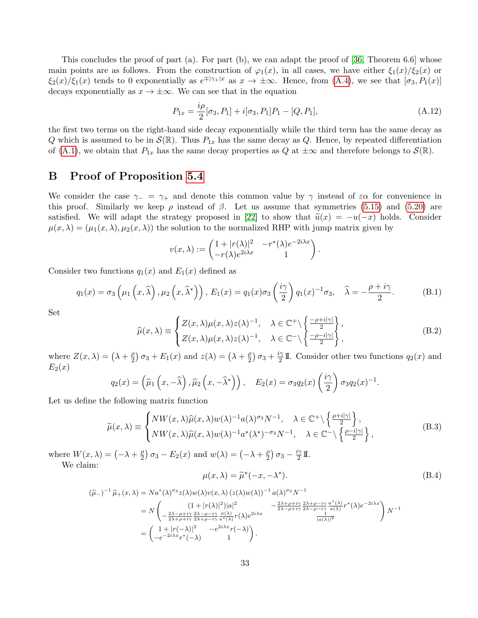This concludes the proof of part (a). For part (b), we can adapt the proof of [\[36,](#page-37-5) Theorem 6.6] whose main points are as follows. From the construction of  $\varphi_1(x)$ , in all cases, we have either  $\xi_1(x)/\xi_2(x)$  or  $\xi_2(x)/\xi_1(x)$  tends to 0 exponentially as  $e^{\mp|\gamma_+|x|}$  as  $x \to \pm \infty$ . Hence, from  $(A.4)$ , we see that  $[\sigma_3, P_1(x)]$ decays exponentially as  $x \to \pm \infty$ . We can see that in the equation

$$
P_{1x} = \frac{i\rho}{2}[\sigma_3, P_1] + i[\sigma_3, P_1]P_1 - [Q, P_1],
$$
\n(A.12)

the first two terms on the right-hand side decay exponentially while the third term has the same decay as Q which is assumed to be in  $\mathcal{S}(\mathbb{R})$ . Thus  $P_{1x}$  has the same decay as Q. Hence, by repeated differentiation of [\(A.1\)](#page-28-1), we obtain that  $P_{1x}$  has the same decay properties as Q at  $\pm\infty$  and therefore belongs to  $\mathcal{S}(\mathbb{R})$ .

# <span id="page-32-0"></span>B Proof of Proposition [5.4](#page-22-0)

We consider the case  $\gamma = \gamma_+$  and denote this common value by  $\gamma$  instead of  $\varepsilon \alpha$  for convenience in this proof. Similarly we keep  $\rho$  instead of  $\beta$ . Let us assume that symmetries [\(5.15\)](#page-19-3) and [\(5.20\)](#page-20-7) are satisfied. We will adapt the strategy proposed in [\[22\]](#page-36-6) to show that  $\tilde{u}(x) = -u(-x)$  holds. Consider  $\mu(x, \lambda) = (\mu_1(x, \lambda), \mu_2(x, \lambda))$  the solution to the normalized RHP with jump matrix given by

$$
v(x,\lambda) := \begin{pmatrix} 1+|r(\lambda)|^2 & -r^*(\lambda)e^{-2i\lambda x} \\ -r(\lambda)e^{2i\lambda x} & 1 \end{pmatrix}.
$$

Consider two functions  $q_1(x)$  and  $E_1(x)$  defined as

$$
q_1(x) = \sigma_3\left(\mu_1\left(x,\hat{\lambda}\right),\mu_2\left(x,\hat{\lambda}^*\right)\right), E_1(x) = q_1(x)\sigma_3\left(\frac{i\gamma}{2}\right)q_1(x)^{-1}\sigma_3, \quad \hat{\lambda} = -\frac{\rho + i\gamma}{2}.
$$
 (B.1)

Set

$$
\widehat{\mu}(x,\lambda) \equiv \begin{cases} Z(x,\lambda)\mu(x,\lambda)z(\lambda)^{-1}, & \lambda \in \mathbb{C}^+\backslash \left\{ \frac{-\rho+i|\gamma|}{2} \right\}, \\ Z(x,\lambda)\mu(x,\lambda)z(\lambda)^{-1}, & \lambda \in \mathbb{C}^-\backslash \left\{ \frac{-\rho-i|\gamma|}{2} \right\}, \end{cases}
$$
(B.2)

where  $Z(x, \lambda) = (\lambda + \frac{\rho}{2})$  $\frac{\rho}{2}$ )  $\sigma_3 + E_1(x)$  and  $z(\lambda) = (\lambda + \frac{\rho}{2})$  $\frac{\rho}{2}$ )  $\sigma_3 + \frac{i\gamma}{2}$  $\frac{2}{2}$  II. Consider other two functions  $q_2(x)$  and  $E_2(x)$ 

$$
q_2(x) = (\widehat{\mu}_1(x, -\widehat{\lambda}), \widehat{\mu}_2(x, -\widehat{\lambda}^*)) , \quad E_2(x) = \sigma_3 q_2(x) \left(\frac{i\gamma}{2}\right) \sigma_3 q_2(x)^{-1}.
$$

Let us define the following matrix function

<span id="page-32-2"></span>
$$
\widetilde{\mu}(x,\lambda) \equiv \begin{cases}\nNW(x,\lambda)\widehat{\mu}(x,\lambda)w(\lambda)^{-1}a(\lambda)^{\sigma_3}N^{-1}, & \lambda \in \mathbb{C}^+\backslash \left\{\frac{\rho+i|\gamma|}{2}\right\}, \\
NW(x,\lambda)\widehat{\mu}(x,\lambda)w(\lambda)^{-1}a^*(\lambda^*)^{-\sigma_3}N^{-1}, & \lambda \in \mathbb{C}^-\backslash \left\{\frac{\rho-i|\gamma|}{2}\right\},\n\end{cases}
$$
\n(B.3)

where  $W(x, \lambda) = \left(-\lambda + \frac{\rho}{2}\right)$  $\frac{\rho}{2}$ )  $\sigma_3 - E_2(x)$  and  $w(\lambda) = \left(-\lambda + \frac{\rho}{2}\right)$  $\frac{\rho}{2}$ )  $\sigma_3 - \frac{i\gamma}{2}$  $\frac{\gamma}{2}$  II. We claim:

<span id="page-32-1"></span>
$$
\mu(x,\lambda) = \tilde{\mu}^*(-x,-\lambda^*). \tag{B.4}
$$

$$
(\widetilde{\mu}_{-})^{-1} \widetilde{\mu}_{+}(x,\lambda) = N a^{*}(\lambda)^{\sigma_{3}} z(\lambda) w(\lambda) v(x,\lambda) (z(\lambda) w(\lambda))^{-1} a(\lambda)^{\sigma_{3}} N^{-1}
$$
  
\n
$$
= N \left( \frac{(1+|r(\lambda)|^{2})|a|^{2}}{-\frac{2\lambda+\rho+i\gamma}{2\lambda+\rho-i\gamma} \frac{2\lambda-\rho-i\gamma}{a(\lambda)}} r^{*}(\lambda) e^{-2i\lambda x} \right) N^{-1}
$$
  
\n
$$
= \left( \frac{1+|r(-\lambda)|^{2}}{-\frac{2\lambda+\rho+i\gamma}{2\lambda+\rho-i\gamma} \frac{a(\lambda)}{a^{*}(\lambda)}} r(\lambda) e^{2i\lambda x} + \frac{1}{|a(\lambda)|^{2}} r^{*}(\lambda) e^{-2i\lambda x} \right) N^{-1}
$$
  
\n
$$
= \left( \frac{1+|r(-\lambda)|^{2}}{-e^{-2i\lambda x}r^{*}(-\lambda)} - e^{2i\lambda x}r(-\lambda) \right).
$$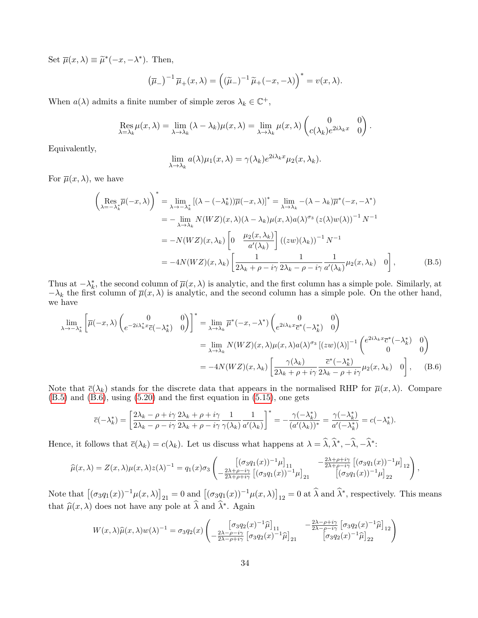Set  $\overline{\mu}(x,\lambda) \equiv \widetilde{\mu}^*(-x,-\lambda^*)$ . Then,

$$
(\overline{\mu}_-)^{-1} \overline{\mu}_+(x,\lambda) = ((\widetilde{\mu}_-)^{-1} \widetilde{\mu}_+(-x,-\lambda))^{*} = v(x,\lambda).
$$

When  $a(\lambda)$  admits a finite number of simple zeros  $\lambda_k \in \mathbb{C}^+$ ,

$$
\operatorname{Res}_{\lambda=\lambda_k} \mu(x,\lambda) = \lim_{\lambda \to \lambda_k} (\lambda - \lambda_k) \mu(x,\lambda) = \lim_{\lambda \to \lambda_k} \mu(x,\lambda) \begin{pmatrix} 0 & 0 \\ c(\lambda_k) e^{2i\lambda_k x} & 0 \end{pmatrix}.
$$

Equivalently,

<span id="page-33-1"></span><span id="page-33-0"></span>
$$
\lim_{\lambda \to \lambda_k} a(\lambda) \mu_1(x, \lambda) = \gamma(\lambda_k) e^{2i\lambda_k x} \mu_2(x, \lambda_k).
$$

For  $\overline{\mu}(x,\lambda)$ , we have

$$
\begin{split}\n\left(\operatorname*{Res}_{\lambda=-\lambda_{k}^{*}}\overline{\mu}(-x,\lambda)\right)^{*} &= \lim_{\lambda\to-\lambda_{k}^{*}}\left[(\lambda-(-\lambda_{k}^{*}))\overline{\mu}(-x,\lambda)\right]^{*} = \lim_{\lambda\to\lambda_{k}}-(\lambda-\lambda_{k})\overline{\mu}^{*}(-x,-\lambda^{*}) \\
&= -\lim_{\lambda\to\lambda_{k}}N(WZ)(x,\lambda)(\lambda-\lambda_{k})\mu(x,\lambda)a(\lambda)^{\sigma_{3}}\left(z(\lambda)w(\lambda)\right)^{-1}N^{-1} \\
&= -N(WZ)(x,\lambda_{k})\left[0-\frac{\mu_{2}(x,\lambda_{k})}{a'(\lambda_{k})}\right]\left((zw)(\lambda_{k})\right)^{-1}N^{-1} \\
&= -4N(WZ)(x,\lambda_{k})\left[\frac{1}{2\lambda_{k}+\rho-i\gamma}\frac{1}{2\lambda_{k}-\rho-i\gamma}\frac{1}{a'(\lambda_{k})}\mu_{2}(x,\lambda_{k})\right],\n\end{split} \tag{B.5}
$$

Thus at  $-\lambda_k^*$ , the second column of  $\overline{\mu}(x,\lambda)$  is analytic, and the first column has a simple pole. Similarly, at  $-\lambda_k$  the first column of  $\overline{\mu}(x,\lambda)$  is analytic, and the second column has a simple pole. On the other hand, we have

$$
\lim_{\lambda \to -\lambda_k^*} \left[ \overline{\mu}(-x, \lambda) \begin{pmatrix} 0 & 0 \\ e^{-2i\lambda_k^* x} \overline{c}(-\lambda_k^*) & 0 \end{pmatrix} \right]^* = \lim_{\lambda \to \lambda_k} \overline{\mu}^*(-x, -\lambda^*) \begin{pmatrix} 0 & 0 \\ e^{2i\lambda_k x} \overline{c}^*(-\lambda_k^*) & 0 \end{pmatrix}
$$
  
\n
$$
= \lim_{\lambda \to \lambda_k} N(WZ)(x, \lambda) \mu(x, \lambda) a(\lambda)^{\sigma_3} [(zw)(\lambda)]^{-1} \begin{pmatrix} e^{2i\lambda_k x} \overline{c}^*(-\lambda_k^*) & 0 \\ 0 & 0 \end{pmatrix}
$$
  
\n
$$
= -4N(WZ)(x, \lambda_k) \left[ \frac{\gamma(\lambda_k)}{2\lambda_k + \rho + i\gamma} \frac{\overline{c}^*(-\lambda_k^*)}{2\lambda_k - \rho + i\gamma} \mu_2(x, \lambda_k) \right] (B.6)
$$

Note that  $\bar{c}(\lambda_k)$  stands for the discrete data that appears in the normalised RHP for  $\bar{\mu}(x,\lambda)$ . Compare [\(B.5\)](#page-33-0) and [\(B.6\)](#page-33-1), using [\(5.20\)](#page-20-7) and the first equation in [\(5.15\)](#page-19-3), one gets

$$
\overline{c}(-\lambda_k^*) = \left[\frac{2\lambda_k - \rho + i\gamma}{2\lambda_k - \rho - i\gamma} \frac{2\lambda_k + \rho + i\gamma}{2\lambda_k + \rho - i\gamma} \frac{1}{\gamma(\lambda_k)} \frac{1}{a'(\lambda_k)}\right]^* = -\frac{\gamma(-\lambda_k^*)}{(a'(\lambda_k))^*} = \frac{\gamma(-\lambda_k^*)}{a'(-\lambda_k^*)} = c(-\lambda_k^*).
$$

Hence, it follows that  $\bar{c}(\lambda_k) = c(\lambda_k)$ . Let us discuss what happens at  $\lambda = \hat{\lambda}, \hat{\lambda}^*, -\hat{\lambda}, -\hat{\lambda}^*$ :

$$
\widehat{\mu}(x,\lambda) = Z(x,\lambda)\mu(x,\lambda)z(\lambda)^{-1} = q_1(x)\sigma_3\left(\begin{bmatrix}(\sigma_3q_1(x))^{-1}\mu\end{bmatrix}_{11}\begin{bmatrix}-\frac{2\lambda+\rho+i\gamma}{2\lambda+\rho-i\gamma}\left[(\sigma_3q_1(x))^{-1}\mu\right]_{12}\\-\frac{2\lambda+\rho-i\gamma}{2\lambda+\rho+i\gamma}\left[(\sigma_3q_1(x))^{-1}\mu\right]_{21}\left[(\sigma_3q_1(x))^{-1}\mu\right]_{22}\end{bmatrix},\right)
$$

Note that  $[(\sigma_3q_1(x))^{-1}\mu(x,\lambda)]_{21} = 0$  and  $[(\sigma_3q_1(x))^{-1}\mu(x,\lambda)]_{12} = 0$  at  $\widehat{\lambda}$  and  $\widehat{\lambda}^*$ , respectively. This means that  $\widehat{\mu}(x, \lambda)$  does not have any pole at  $\widehat{\lambda}$  and  $\widehat{\lambda}^*$ . Again

$$
W(x,\lambda)\widehat{\mu}(x,\lambda)w(\lambda)^{-1} = \sigma_3 q_2(x) \begin{pmatrix} \left[\sigma_3 q_2(x)^{-1}\widehat{\mu}\right]_{11} & -\frac{2\lambda - \rho + i\gamma}{2\lambda - \rho - i\gamma} \left[\sigma_3 q_2(x)^{-1}\widehat{\mu}\right]_{12} \\ -\frac{2\lambda - \rho - i\gamma}{2\lambda - \rho + i\gamma} \left[\sigma_3 q_2(x)^{-1}\widehat{\mu}\right]_{21} & \left[\sigma_3 q_2(x)^{-1}\widehat{\mu}\right]_{22} \end{pmatrix}
$$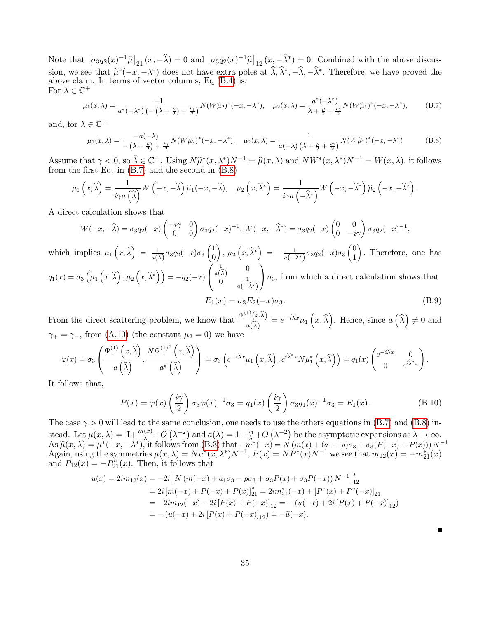Note that  $\left[\sigma_3q_2(x)^{-1}\hat{\mu}\right]_{21}(x,-\hat{\lambda}) = 0$  and  $\left[\sigma_3q_2(x)^{-1}\hat{\mu}\right]_{12}(x,-\hat{\lambda}^*) = 0$ . Combined with the above discussion, we see that  $\widetilde{\mu}^*(-x,-\lambda^*)$  does not have extra poles at  $\widehat{\lambda}, \widehat{\lambda}^*, -\widehat{\lambda}, -\widehat{\lambda}^*$ . Therefore, we have proved the above claim. In terms of vector columns, Eq (B.4) is: above claim. In terms of vector columns, Eq [\(B.4\)](#page-32-1) is: For  $\lambda \in \mathbb{C}^+$ 

<span id="page-34-0"></span>
$$
\mu_1(x,\lambda) = \frac{-1}{a^*(-\lambda^*) \left(-\left(\lambda + \frac{\rho}{2}\right) + \frac{i\gamma}{2}\right)} N(W\widehat{\mu}_2)^*(-x, -\lambda^*), \quad \mu_2(x,\lambda) = \frac{a^*(-\lambda^*)}{\lambda + \frac{\rho}{2} + \frac{i\gamma}{2}} N(W\widehat{\mu}_1)^*(-x, -\lambda^*),\tag{B.7}
$$

and, for  $\lambda \in \mathbb{C}^-$ 

<span id="page-34-1"></span>
$$
\mu_1(x,\lambda) = \frac{-a(-\lambda)}{-\left(\lambda + \frac{\rho}{2}\right) + \frac{i\gamma}{2}} N(W\widehat{\mu}_2)^*(-x, -\lambda^*), \quad \mu_2(x,\lambda) = \frac{1}{a(-\lambda)\left(\lambda + \frac{\rho}{2} + \frac{i\gamma}{2}\right)} N(W\widehat{\mu}_1)^*(-x, -\lambda^*)
$$
(B.8)

Assume that  $\gamma < 0$ , so  $\widehat{\lambda} \in \mathbb{C}^+$ . Using  $N\widehat{\mu}^*(x, \lambda^*)N^{-1} = \widehat{\mu}(x, \lambda)$  and  $NW^*(x, \lambda^*)N^{-1} = W(x, \lambda)$ , it follows from the first Eq. in (R.7) and the second in (R.8) from the first Eq. in [\(B.7\)](#page-34-0) and the second in [\(B.8\)](#page-34-1)

$$
\mu_1\left(x,\widehat{\lambda}\right) = \frac{1}{i\gamma a\left(\widehat{\lambda}\right)}W\left(-x,-\widehat{\lambda}\right)\widehat{\mu}_1(-x,-\widehat{\lambda}), \quad \mu_2\left(x,\widehat{\lambda}^*\right) = \frac{1}{i\gamma a\left(-\widehat{\lambda}^*\right)}W\left(-x,-\widehat{\lambda}^*\right)\widehat{\mu}_2\left(-x,-\widehat{\lambda}^*\right).
$$

A direct calculation shows that

$$
W(-x,-\widehat{\lambda})=\sigma_3q_2(-x)\begin{pmatrix}-i\gamma & 0\\ 0 & 0\end{pmatrix}\sigma_3q_2(-x)^{-1},\ W(-x,-\widehat{\lambda}^*)=\sigma_3q_2(-x)\begin{pmatrix}0 & 0\\ 0 & -i\gamma\end{pmatrix}\sigma_3q_2(-x)^{-1},
$$

which implies  $\mu_1(x,\hat{\lambda}) = \frac{1}{a(\hat{\lambda})} \sigma_3 q_2(-x) \sigma_3 \begin{pmatrix} 1 \\ 0 \end{pmatrix}$ 0  $\bigg),\, \mu_2\left(x,\widehat{\lambda}^*\right) \;=\; -\frac{1}{a(-\widehat{\lambda}^*)}\sigma_3q_2(-x)\sigma_3\begin{pmatrix}0\0\1\end{pmatrix}$ 1 . Therefore, one has  $q_{1}(x) = \sigma_{3}\left(\mu_{1}\left(x, \widehat{\lambda}\right), \mu_{2}\left(x, \widehat{\lambda}^{*}\right)\right) = -q_{2}(-x)$  $\sqrt{ }$  $\mathcal{L}$  $rac{1}{a(\widehat{\lambda})}$  0  $0 \qquad \frac{1}{a(-\widehat{\lambda}^*)}$  $\setminus$  $\sigma_3$ , from which a direct calculation shows that

$$
E_1(x) = \sigma_3 E_2(-x)\sigma_3.
$$
 (B.9)

From the direct scattering problem, we know that  $\frac{\Psi^{(1)}(x,\hat{\lambda})}{\hat{\lambda}}$  $\frac{d\hat{\lambda}}{d(\hat{\lambda})} = e^{-i\hat{\lambda}x}\mu_1(x,\hat{\lambda})$ . Hence, since  $a(\hat{\lambda}) \neq 0$  and  $\gamma_+ = \gamma_-,$  from [\(A.10\)](#page-30-0) (the constant  $\mu_2 = 0$ ) we have

$$
\varphi(x) = \sigma_3\left(\frac{\Psi_{-}^{(1)}(x,\hat{\lambda})}{a(\hat{\lambda})},\frac{N\Psi_{-}^{(1)^*}(x,\hat{\lambda})}{a^* (\hat{\lambda})}\right) = \sigma_3\left(e^{-i\hat{\lambda}x}\mu_1\left(x,\hat{\lambda}\right),e^{i\hat{\lambda}^*x}N\mu_1^*\left(x,\hat{\lambda}\right)\right) = q_1(x)\begin{pmatrix}e^{-i\hat{\lambda}x} & 0\\ 0 & e^{i\hat{\lambda}^*x}\end{pmatrix}.
$$

It follows that,

$$
P(x) = \varphi(x) \left(\frac{i\gamma}{2}\right) \sigma_3 \varphi(x)^{-1} \sigma_3 = q_1(x) \left(\frac{i\gamma}{2}\right) \sigma_3 q_1(x)^{-1} \sigma_3 = E_1(x). \tag{B.10}
$$

The case  $\gamma > 0$  will lead to the same conclusion, one needs to use the others equations in [\(B.7\)](#page-34-0) and [\(B.8\)](#page-34-1) instead. Let  $\mu(x,\lambda) = 1 + \frac{m(x)}{\lambda} + O\left(\lambda^{-2}\right)$  and  $a(\lambda) = 1 + \frac{a_1}{\lambda} + O\left(\lambda^{-2}\right)$  be the asymptotic expansions as  $\lambda \to \infty$ . As  $\widetilde{\mu}(x,\lambda) = \mu^*(-x,-\lambda^*)$ , it follows from [\(B.3\)](#page-32-2) that  $-m^*(-x) = N(m(x) + (a_1 - \rho)\sigma_3 + \sigma_3(P(-x) + P(x)))N^{-1}$ <br>Again using the symmetries  $\mu(x,\lambda) = N\mu^*(x,\lambda^*)N^{-1}P(x) = N\mu^*(x)N^{-1}$  we see that  $m_1(x) = -m^*(x)$ Again, using the symmetries  $\mu(x,\lambda) = N\mu^*(x,\lambda^*)N^{-1}$ ,  $P(x) = NP^*(x)N^{-1}$  we see that  $m_{12}(x) = -m_{21}^*(x)$ and  $P_{12}(x) = -P_{21}^*(x)$ . Then, it follows that

$$
u(x) = 2im_{12}(x) = -2i [N (m(-x) + a_1\sigma_3 - \rho\sigma_3 + \sigma_3 P(x) + \sigma_3 P(-x)) N^{-1}]_{12}^*
$$
  
=  $2i [m(-x) + P(-x) + P(x)]_{21}^*$  =  $2im_{21}^*(-x) + [P^*(x) + P^*(-x)]_{21}$   
=  $-2im_{12}(-x) - 2i [P(x) + P(-x)]_{12} = -(u(-x) + 2i [P(x) + P(-x)]_{12})$   
=  $-(u(-x) + 2i [P(x) + P(-x)]_{12}) = -\tilde{u}(-x).$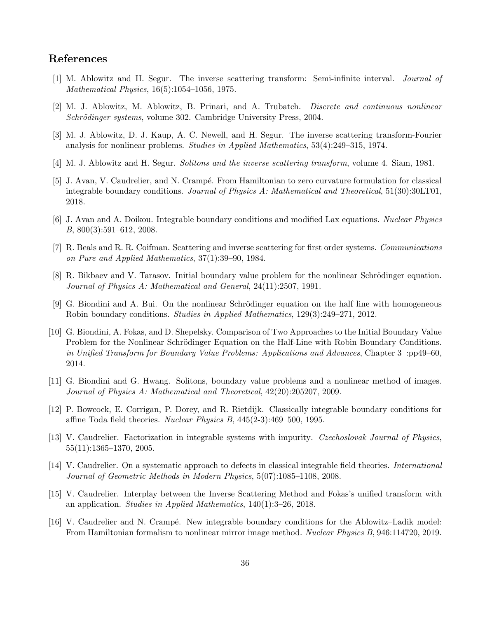# References

- <span id="page-35-6"></span>[1] M. Ablowitz and H. Segur. The inverse scattering transform: Semi-infinite interval. Journal of Mathematical Physics, 16(5):1054–1056, 1975.
- <span id="page-35-14"></span>[2] M. J. Ablowitz, M. Ablowitz, B. Prinari, and A. Trubatch. Discrete and continuous nonlinear Schrödinger systems, volume 302. Cambridge University Press, 2004.
- <span id="page-35-0"></span>[3] M. J. Ablowitz, D. J. Kaup, A. C. Newell, and H. Segur. The inverse scattering transform-Fourier analysis for nonlinear problems. Studies in Applied Mathematics, 53(4):249–315, 1974.
- <span id="page-35-12"></span>[4] M. J. Ablowitz and H. Segur. Solitons and the inverse scattering transform, volume 4. Siam, 1981.
- <span id="page-35-7"></span>[5] J. Avan, V. Caudrelier, and N. Crampé. From Hamiltonian to zero curvature formulation for classical integrable boundary conditions. Journal of Physics A: Mathematical and Theoretical, 51(30):30LT01, 2018.
- <span id="page-35-9"></span>[6] J. Avan and A. Doikou. Integrable boundary conditions and modified Lax equations. Nuclear Physics B, 800(3):591–612, 2008.
- <span id="page-35-13"></span>[7] R. Beals and R. R. Coifman. Scattering and inverse scattering for first order systems. Communications on Pure and Applied Mathematics, 37(1):39–90, 1984.
- <span id="page-35-2"></span>[8] R. Bikbaev and V. Tarasov. Initial boundary value problem for the nonlinear Schrödinger equation. Journal of Physics A: Mathematical and General, 24(11):2507, 1991.
- <span id="page-35-4"></span>[9] G. Biondini and A. Bui. On the nonlinear Schrödinger equation on the half line with homogeneous Robin boundary conditions. Studies in Applied Mathematics, 129(3):249–271, 2012.
- <span id="page-35-10"></span>[10] G. Biondini, A. Fokas, and D. Shepelsky. Comparison of Two Approaches to the Initial Boundary Value Problem for the Nonlinear Schrödinger Equation on the Half-Line with Robin Boundary Conditions. in Unified Transform for Boundary Value Problems: Applications and Advances, Chapter 3 :pp49–60, 2014.
- <span id="page-35-3"></span>[11] G. Biondini and G. Hwang. Solitons, boundary value problems and a nonlinear method of images. Journal of Physics A: Mathematical and Theoretical, 42(20):205207, 2009.
- <span id="page-35-1"></span>[12] P. Bowcock, E. Corrigan, P. Dorey, and R. Rietdijk. Classically integrable boundary conditions for affine Toda field theories. Nuclear Physics B, 445(2-3):469–500, 1995.
- <span id="page-35-15"></span>[13] V. Caudrelier. Factorization in integrable systems with impurity. Czechoslovak Journal of Physics, 55(11):1365–1370, 2005.
- <span id="page-35-11"></span>[14] V. Caudrelier. On a systematic approach to defects in classical integrable field theories. International Journal of Geometric Methods in Modern Physics, 5(07):1085–1108, 2008.
- <span id="page-35-5"></span>[15] V. Caudrelier. Interplay between the Inverse Scattering Method and Fokas's unified transform with an application. Studies in Applied Mathematics, 140(1):3–26, 2018.
- <span id="page-35-8"></span>[16] V. Caudrelier and N. Crampé. New integrable boundary conditions for the Ablowitz–Ladik model: From Hamiltonian formalism to nonlinear mirror image method. Nuclear Physics B, 946:114720, 2019.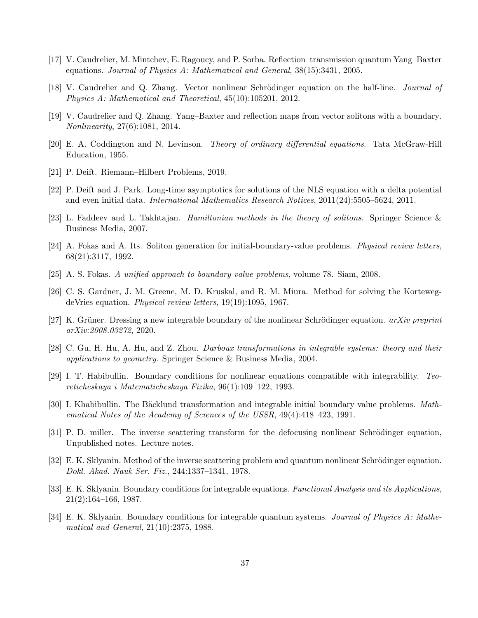- <span id="page-36-14"></span>[17] V. Caudrelier, M. Mintchev, E. Ragoucy, and P. Sorba. Reflection–transmission quantum Yang–Baxter equations. Journal of Physics A: Mathematical and General, 38(15):3431, 2005.
- <span id="page-36-7"></span>[18] V. Caudrelier and Q. Zhang. Vector nonlinear Schrödinger equation on the half-line. *Journal of* Physics A: Mathematical and Theoretical, 45(10):105201, 2012.
- <span id="page-36-13"></span>[19] V. Caudrelier and Q. Zhang. Yang–Baxter and reflection maps from vector solitons with a boundary. Nonlinearity, 27(6):1081, 2014.
- <span id="page-36-16"></span>[20] E. A. Coddington and N. Levinson. Theory of ordinary differential equations. Tata McGraw-Hill Education, 1955.
- <span id="page-36-12"></span>[21] P. Deift. Riemann–Hilbert Problems, 2019.
- <span id="page-36-6"></span>[22] P. Deift and J. Park. Long-time asymptotics for solutions of the NLS equation with a delta potential and even initial data. International Mathematics Research Notices, 2011(24):5505–5624, 2011.
- <span id="page-36-3"></span>[23] L. Faddeev and L. Takhtajan. Hamiltonian methods in the theory of solitons. Springer Science & Business Media, 2007.
- <span id="page-36-15"></span>[24] A. Fokas and A. Its. Soliton generation for initial-boundary-value problems. Physical review letters, 68(21):3117, 1992.
- <span id="page-36-8"></span>[25] A. S. Fokas. A unified approach to boundary value problems, volume 78. Siam, 2008.
- <span id="page-36-2"></span>[26] C. S. Gardner, J. M. Greene, M. D. Kruskal, and R. M. Miura. Method for solving the KortewegdeVries equation. Physical review letters, 19(19):1095, 1967.
- <span id="page-36-9"></span>[27] K. Grüner. Dressing a new integrable boundary of the nonlinear Schrödinger equation.  $arXiv$  preprint arXiv:2008.03272, 2020.
- <span id="page-36-17"></span>[28] C. Gu, H. Hu, A. Hu, and Z. Zhou. Darboux transformations in integrable systems: theory and their applications to geometry. Springer Science & Business Media, 2004.
- <span id="page-36-10"></span>[29] I. T. Habibullin. Boundary conditions for nonlinear equations compatible with integrability. Teoreticheskaya i Matematicheskaya Fizika, 96(1):109–122, 1993.
- <span id="page-36-5"></span>[30] I. Khabibullin. The Bäcklund transformation and integrable initial boundary value problems. Mathematical Notes of the Academy of Sciences of the USSR, 49(4):418–423, 1991.
- <span id="page-36-11"></span>[31] P. D. miller. The inverse scattering transform for the defocusing nonlinear Schrödinger equation, Unpublished notes. Lecture notes.
- <span id="page-36-1"></span>[32] E. K. Sklyanin. Method of the inverse scattering problem and quantum nonlinear Schrödinger equation. Dokl. Akad. Nauk Ser. Fiz., 244:1337–1341, 1978.
- <span id="page-36-0"></span>[33] E. K. Sklyanin. Boundary conditions for integrable equations. Functional Analysis and its Applications, 21(2):164–166, 1987.
- <span id="page-36-4"></span>[34] E. K. Sklyanin. Boundary conditions for integrable quantum systems. Journal of Physics A: Mathematical and General, 21(10):2375, 1988.